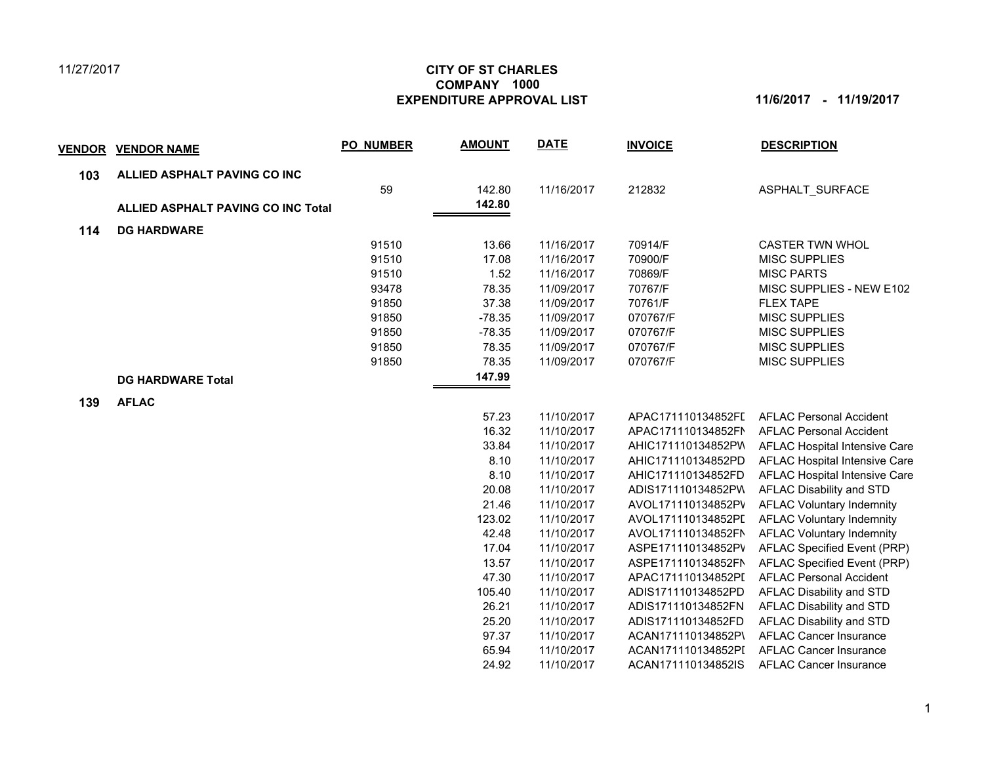## 11/27/2017

## **CITY OF ST CHARLES EXPENDITURE APPROVAL LIST 11/6/2017 - 11/19/2017 COMPANY 1000**

| <u>VENDOR</u> | <b>VENDOR NAME</b>                        | <b>PO NUMBER</b> | <b>AMOUNT</b> | <b>DATE</b> | <b>INVOICE</b>     | <b>DESCRIPTION</b>               |
|---------------|-------------------------------------------|------------------|---------------|-------------|--------------------|----------------------------------|
| 103           | ALLIED ASPHALT PAVING CO INC              |                  |               |             |                    |                                  |
|               |                                           | 59               | 142.80        | 11/16/2017  | 212832             | ASPHALT SURFACE                  |
|               | <b>ALLIED ASPHALT PAVING CO INC Total</b> |                  | 142.80        |             |                    |                                  |
| 114           | <b>DG HARDWARE</b>                        |                  |               |             |                    |                                  |
|               |                                           | 91510            | 13.66         | 11/16/2017  | 70914/F            | <b>CASTER TWN WHOL</b>           |
|               |                                           | 91510            | 17.08         | 11/16/2017  | 70900/F            | <b>MISC SUPPLIES</b>             |
|               |                                           | 91510            | 1.52          | 11/16/2017  | 70869/F            | <b>MISC PARTS</b>                |
|               |                                           | 93478            | 78.35         | 11/09/2017  | 70767/F            | MISC SUPPLIES - NEW E102         |
|               |                                           | 91850            | 37.38         | 11/09/2017  | 70761/F            | <b>FLEX TAPE</b>                 |
|               |                                           | 91850            | $-78.35$      | 11/09/2017  | 070767/F           | <b>MISC SUPPLIES</b>             |
|               |                                           | 91850            | $-78.35$      | 11/09/2017  | 070767/F           | <b>MISC SUPPLIES</b>             |
|               |                                           | 91850            | 78.35         | 11/09/2017  | 070767/F           | <b>MISC SUPPLIES</b>             |
|               |                                           | 91850            | 78.35         | 11/09/2017  | 070767/F           | <b>MISC SUPPLIES</b>             |
|               | <b>DG HARDWARE Total</b>                  |                  | 147.99        |             |                    |                                  |
| 139           | <b>AFLAC</b>                              |                  |               |             |                    |                                  |
|               |                                           |                  | 57.23         | 11/10/2017  | APAC171110134852FI | <b>AFLAC Personal Accident</b>   |
|               |                                           |                  | 16.32         | 11/10/2017  | APAC171110134852FN | <b>AFLAC Personal Accident</b>   |
|               |                                           |                  | 33.84         | 11/10/2017  | AHIC171110134852PV | AFLAC Hospital Intensive Care    |
|               |                                           |                  | 8.10          | 11/10/2017  | AHIC171110134852PD | AFLAC Hospital Intensive Care    |
|               |                                           |                  | 8.10          | 11/10/2017  | AHIC171110134852FD | AFLAC Hospital Intensive Care    |
|               |                                           |                  | 20.08         | 11/10/2017  | ADIS171110134852PW | AFLAC Disability and STD         |
|               |                                           |                  | 21.46         | 11/10/2017  | AVOL171110134852PV | <b>AFLAC Voluntary Indemnity</b> |
|               |                                           |                  | 123.02        | 11/10/2017  | AVOL171110134852PL | <b>AFLAC Voluntary Indemnity</b> |
|               |                                           |                  | 42.48         | 11/10/2017  | AVOL171110134852FN | <b>AFLAC Voluntary Indemnity</b> |
|               |                                           |                  | 17.04         | 11/10/2017  | ASPE171110134852PV | AFLAC Specified Event (PRP)      |
|               |                                           |                  | 13.57         | 11/10/2017  | ASPE171110134852FN | AFLAC Specified Event (PRP)      |
|               |                                           |                  | 47.30         | 11/10/2017  | APAC171110134852PI | <b>AFLAC Personal Accident</b>   |
|               |                                           |                  | 105.40        | 11/10/2017  | ADIS171110134852PD | AFLAC Disability and STD         |
|               |                                           |                  | 26.21         | 11/10/2017  | ADIS171110134852FN | AFLAC Disability and STD         |
|               |                                           |                  | 25.20         | 11/10/2017  | ADIS171110134852FD | AFLAC Disability and STD         |
|               |                                           |                  | 97.37         | 11/10/2017  | ACAN171110134852P\ | <b>AFLAC Cancer Insurance</b>    |
|               |                                           |                  | 65.94         | 11/10/2017  | ACAN171110134852PI | <b>AFLAC Cancer Insurance</b>    |
|               |                                           |                  | 24.92         | 11/10/2017  | ACAN171110134852IS | <b>AFLAC Cancer Insurance</b>    |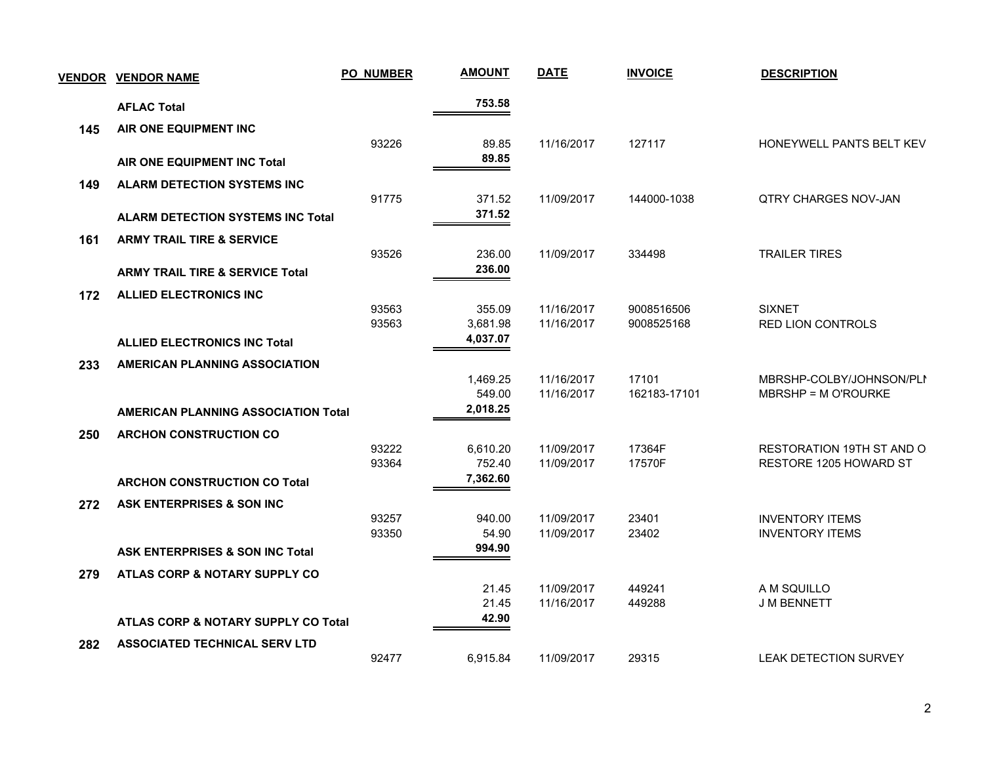|     | <b>VENDOR VENDOR NAME</b>                  | <b>PO_NUMBER</b> | <b>AMOUNT</b>      | <b>DATE</b>              | <b>INVOICE</b>           | <b>DESCRIPTION</b>                        |  |
|-----|--------------------------------------------|------------------|--------------------|--------------------------|--------------------------|-------------------------------------------|--|
|     | <b>AFLAC Total</b>                         |                  | 753.58             |                          |                          |                                           |  |
| 145 | AIR ONE EQUIPMENT INC                      |                  |                    |                          |                          |                                           |  |
|     |                                            | 93226            | 89.85              | 11/16/2017               | 127117                   | HONEYWELL PANTS BELT KEV                  |  |
|     | AIR ONE EQUIPMENT INC Total                |                  | 89.85              |                          |                          |                                           |  |
| 149 | <b>ALARM DETECTION SYSTEMS INC</b>         |                  |                    |                          |                          |                                           |  |
|     |                                            | 91775            | 371.52             | 11/09/2017               | 144000-1038              | <b>QTRY CHARGES NOV-JAN</b>               |  |
|     | <b>ALARM DETECTION SYSTEMS INC Total</b>   |                  | 371.52             |                          |                          |                                           |  |
| 161 | <b>ARMY TRAIL TIRE &amp; SERVICE</b>       |                  |                    |                          |                          |                                           |  |
|     |                                            | 93526            | 236.00             | 11/09/2017               | 334498                   | <b>TRAILER TIRES</b>                      |  |
|     | <b>ARMY TRAIL TIRE &amp; SERVICE Total</b> |                  | 236.00             |                          |                          |                                           |  |
| 172 | <b>ALLIED ELECTRONICS INC</b>              |                  |                    |                          |                          |                                           |  |
|     |                                            | 93563<br>93563   | 355.09<br>3,681.98 | 11/16/2017<br>11/16/2017 | 9008516506<br>9008525168 | <b>SIXNET</b><br><b>RED LION CONTROLS</b> |  |
|     | <b>ALLIED ELECTRONICS INC Total</b>        |                  | 4,037.07           |                          |                          |                                           |  |
| 233 | <b>AMERICAN PLANNING ASSOCIATION</b>       |                  |                    |                          |                          |                                           |  |
|     |                                            |                  | 1,469.25           | 11/16/2017               | 17101                    | MBRSHP-COLBY/JOHNSON/PLI                  |  |
|     |                                            |                  | 549.00             | 11/16/2017               | 162183-17101             | MBRSHP = M O'ROURKE                       |  |
|     | <b>AMERICAN PLANNING ASSOCIATION Total</b> |                  | 2,018.25           |                          |                          |                                           |  |
| 250 | <b>ARCHON CONSTRUCTION CO</b>              |                  |                    |                          |                          |                                           |  |
|     |                                            | 93222            | 6,610.20           | 11/09/2017               | 17364F                   | RESTORATION 19TH ST AND O                 |  |
|     |                                            | 93364            | 752.40<br>7,362.60 | 11/09/2017               | 17570F                   | RESTORE 1205 HOWARD ST                    |  |
|     | <b>ARCHON CONSTRUCTION CO Total</b>        |                  |                    |                          |                          |                                           |  |
| 272 | ASK ENTERPRISES & SON INC                  | 93257            | 940.00             | 11/09/2017               | 23401                    | <b>INVENTORY ITEMS</b>                    |  |
|     |                                            | 93350            | 54.90              | 11/09/2017               | 23402                    | <b>INVENTORY ITEMS</b>                    |  |
|     | <b>ASK ENTERPRISES &amp; SON INC Total</b> |                  | 994.90             |                          |                          |                                           |  |
| 279 | ATLAS CORP & NOTARY SUPPLY CO              |                  |                    |                          |                          |                                           |  |
|     |                                            |                  | 21.45              | 11/09/2017               | 449241                   | A M SQUILLO                               |  |
|     |                                            |                  | 21.45              | 11/16/2017               | 449288                   | <b>J M BENNETT</b>                        |  |
|     | ATLAS CORP & NOTARY SUPPLY CO Total        |                  | 42.90              |                          |                          |                                           |  |
| 282 | <b>ASSOCIATED TECHNICAL SERV LTD</b>       |                  |                    |                          |                          |                                           |  |
|     |                                            | 92477            | 6,915.84           | 11/09/2017               | 29315                    | <b>LEAK DETECTION SURVEY</b>              |  |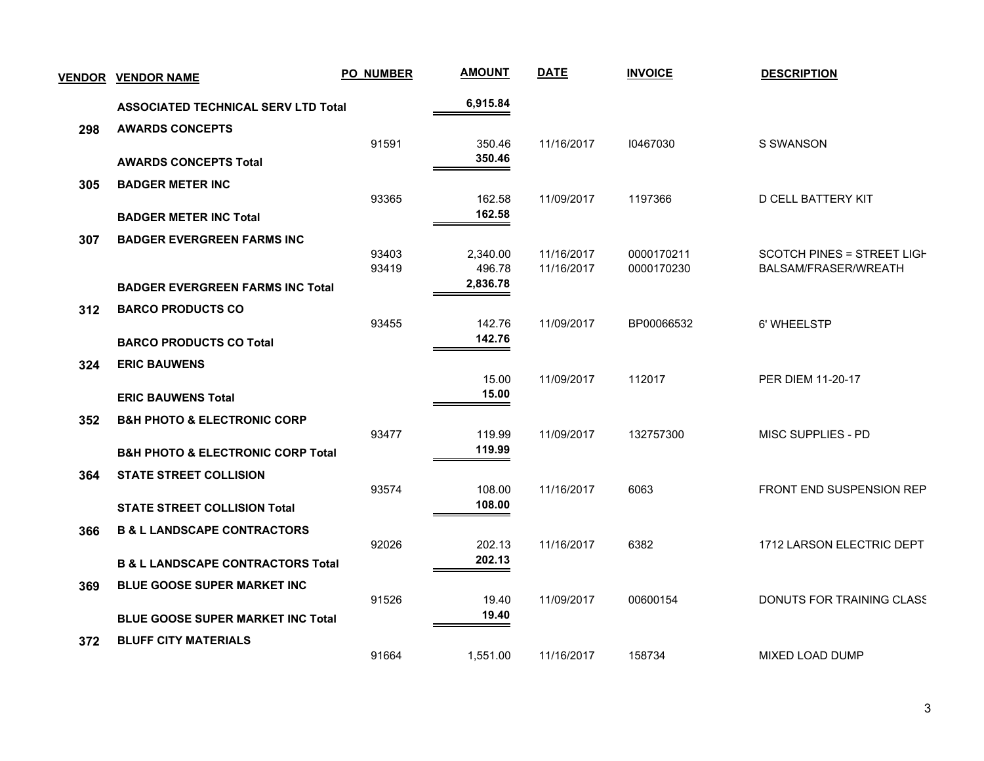| <b>VENDOR</b> | <b>VENDOR NAME</b>                               | <b>PO_NUMBER</b> | <b>AMOUNT</b>      | <b>DATE</b>              | <b>INVOICE</b>           | <b>DESCRIPTION</b>                                 |
|---------------|--------------------------------------------------|------------------|--------------------|--------------------------|--------------------------|----------------------------------------------------|
|               | <b>ASSOCIATED TECHNICAL SERV LTD Total</b>       |                  | 6,915.84           |                          |                          |                                                    |
| 298           | <b>AWARDS CONCEPTS</b>                           |                  |                    |                          |                          |                                                    |
|               | <b>AWARDS CONCEPTS Total</b>                     | 91591            | 350.46<br>350.46   | 11/16/2017               | 10467030                 | S SWANSON                                          |
| 305           | <b>BADGER METER INC</b>                          |                  |                    |                          |                          |                                                    |
|               | <b>BADGER METER INC Total</b>                    | 93365            | 162.58<br>162.58   | 11/09/2017               | 1197366                  | D CELL BATTERY KIT                                 |
| 307           | <b>BADGER EVERGREEN FARMS INC</b>                |                  |                    |                          |                          |                                                    |
|               |                                                  | 93403<br>93419   | 2,340.00<br>496.78 | 11/16/2017<br>11/16/2017 | 0000170211<br>0000170230 | SCOTCH PINES = STREET LIGH<br>BALSAM/FRASER/WREATH |
|               | <b>BADGER EVERGREEN FARMS INC Total</b>          |                  | 2,836.78           |                          |                          |                                                    |
| 312           | <b>BARCO PRODUCTS CO</b>                         |                  |                    |                          |                          |                                                    |
|               |                                                  | 93455            | 142.76<br>142.76   | 11/09/2017               | BP00066532               | 6' WHEELSTP                                        |
|               | <b>BARCO PRODUCTS CO Total</b>                   |                  |                    |                          |                          |                                                    |
| 324           | <b>ERIC BAUWENS</b>                              |                  | 15.00              | 11/09/2017               | 112017                   | PER DIEM 11-20-17                                  |
|               | <b>ERIC BAUWENS Total</b>                        |                  | 15.00              |                          |                          |                                                    |
| 352           | <b>B&amp;H PHOTO &amp; ELECTRONIC CORP</b>       |                  |                    |                          |                          |                                                    |
|               |                                                  | 93477            | 119.99<br>119.99   | 11/09/2017               | 132757300                | <b>MISC SUPPLIES - PD</b>                          |
|               | <b>B&amp;H PHOTO &amp; ELECTRONIC CORP Total</b> |                  |                    |                          |                          |                                                    |
| 364           | <b>STATE STREET COLLISION</b>                    | 93574            | 108.00             | 11/16/2017               | 6063                     | <b>FRONT END SUSPENSION REP</b>                    |
|               | <b>STATE STREET COLLISION Total</b>              |                  | 108.00             |                          |                          |                                                    |
| 366           | <b>B &amp; L LANDSCAPE CONTRACTORS</b>           |                  |                    |                          |                          |                                                    |
|               |                                                  | 92026            | 202.13<br>202.13   | 11/16/2017               | 6382                     | 1712 LARSON ELECTRIC DEPT                          |
|               | <b>B &amp; L LANDSCAPE CONTRACTORS Total</b>     |                  |                    |                          |                          |                                                    |
| 369           | <b>BLUE GOOSE SUPER MARKET INC</b>               | 91526            | 19.40              | 11/09/2017               | 00600154                 | DONUTS FOR TRAINING CLASS                          |
|               | <b>BLUE GOOSE SUPER MARKET INC Total</b>         |                  | 19.40              |                          |                          |                                                    |
| 372           | <b>BLUFF CITY MATERIALS</b>                      |                  |                    |                          |                          |                                                    |
|               |                                                  | 91664            | 1,551.00           | 11/16/2017               | 158734                   | <b>MIXED LOAD DUMP</b>                             |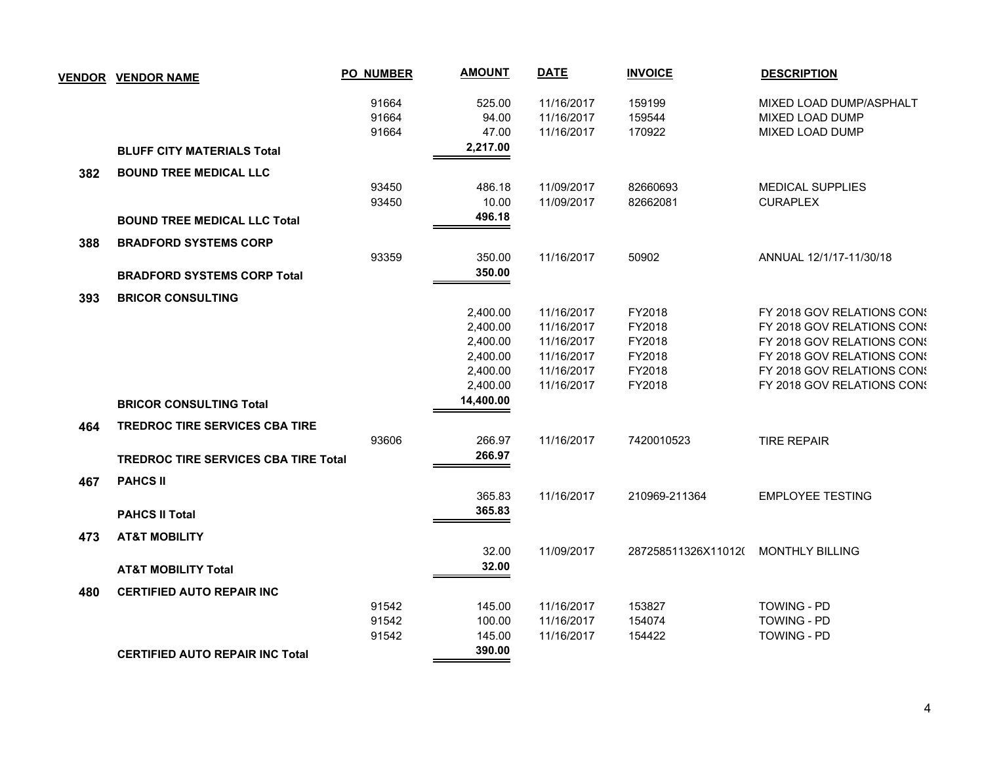|     | <b>VENDOR VENDOR NAME</b>                   | <b>PO_NUMBER</b> | <b>AMOUNT</b> | <b>DATE</b> | <b>INVOICE</b>      | <b>DESCRIPTION</b>         |
|-----|---------------------------------------------|------------------|---------------|-------------|---------------------|----------------------------|
|     |                                             | 91664            | 525.00        | 11/16/2017  | 159199              | MIXED LOAD DUMP/ASPHALT    |
|     |                                             | 91664            | 94.00         | 11/16/2017  | 159544              | MIXED LOAD DUMP            |
|     |                                             | 91664            | 47.00         | 11/16/2017  | 170922              | MIXED LOAD DUMP            |
|     | <b>BLUFF CITY MATERIALS Total</b>           |                  | 2,217.00      |             |                     |                            |
| 382 | <b>BOUND TREE MEDICAL LLC</b>               |                  |               |             |                     |                            |
|     |                                             | 93450            | 486.18        | 11/09/2017  | 82660693            | <b>MEDICAL SUPPLIES</b>    |
|     |                                             | 93450            | 10.00         | 11/09/2017  | 82662081            | <b>CURAPLEX</b>            |
|     | <b>BOUND TREE MEDICAL LLC Total</b>         |                  | 496.18        |             |                     |                            |
| 388 | <b>BRADFORD SYSTEMS CORP</b>                |                  |               |             |                     |                            |
|     |                                             | 93359            | 350.00        | 11/16/2017  | 50902               | ANNUAL 12/1/17-11/30/18    |
|     | <b>BRADFORD SYSTEMS CORP Total</b>          |                  | 350.00        |             |                     |                            |
| 393 | <b>BRICOR CONSULTING</b>                    |                  |               |             |                     |                            |
|     |                                             |                  | 2,400.00      | 11/16/2017  | FY2018              | FY 2018 GOV RELATIONS CON! |
|     |                                             |                  | 2,400.00      | 11/16/2017  | FY2018              | FY 2018 GOV RELATIONS CONS |
|     |                                             |                  | 2,400.00      | 11/16/2017  | FY2018              | FY 2018 GOV RELATIONS CONS |
|     |                                             |                  | 2,400.00      | 11/16/2017  | FY2018              | FY 2018 GOV RELATIONS CONS |
|     |                                             |                  | 2,400.00      | 11/16/2017  | FY2018              | FY 2018 GOV RELATIONS CONS |
|     |                                             |                  | 2,400.00      | 11/16/2017  | FY2018              | FY 2018 GOV RELATIONS CONS |
|     | <b>BRICOR CONSULTING Total</b>              |                  | 14,400.00     |             |                     |                            |
| 464 | <b>TREDROC TIRE SERVICES CBA TIRE</b>       |                  |               |             |                     |                            |
|     |                                             | 93606            | 266.97        | 11/16/2017  | 7420010523          | <b>TIRE REPAIR</b>         |
|     | <b>TREDROC TIRE SERVICES CBA TIRE Total</b> |                  | 266.97        |             |                     |                            |
| 467 | <b>PAHCS II</b>                             |                  |               |             |                     |                            |
|     |                                             |                  | 365.83        | 11/16/2017  | 210969-211364       | <b>EMPLOYEE TESTING</b>    |
|     | <b>PAHCS II Total</b>                       |                  | 365.83        |             |                     |                            |
| 473 | <b>AT&amp;T MOBILITY</b>                    |                  |               |             |                     |                            |
|     |                                             |                  | 32.00         | 11/09/2017  | 287258511326X110120 | <b>MONTHLY BILLING</b>     |
|     | <b>AT&amp;T MOBILITY Total</b>              |                  | 32.00         |             |                     |                            |
| 480 | <b>CERTIFIED AUTO REPAIR INC</b>            |                  |               |             |                     |                            |
|     |                                             | 91542            | 145.00        | 11/16/2017  | 153827              | <b>TOWING - PD</b>         |
|     |                                             | 91542            | 100.00        | 11/16/2017  | 154074              | <b>TOWING - PD</b>         |
|     |                                             | 91542            | 145.00        | 11/16/2017  | 154422              | <b>TOWING - PD</b>         |
|     | <b>CERTIFIED AUTO REPAIR INC Total</b>      |                  | 390.00        |             |                     |                            |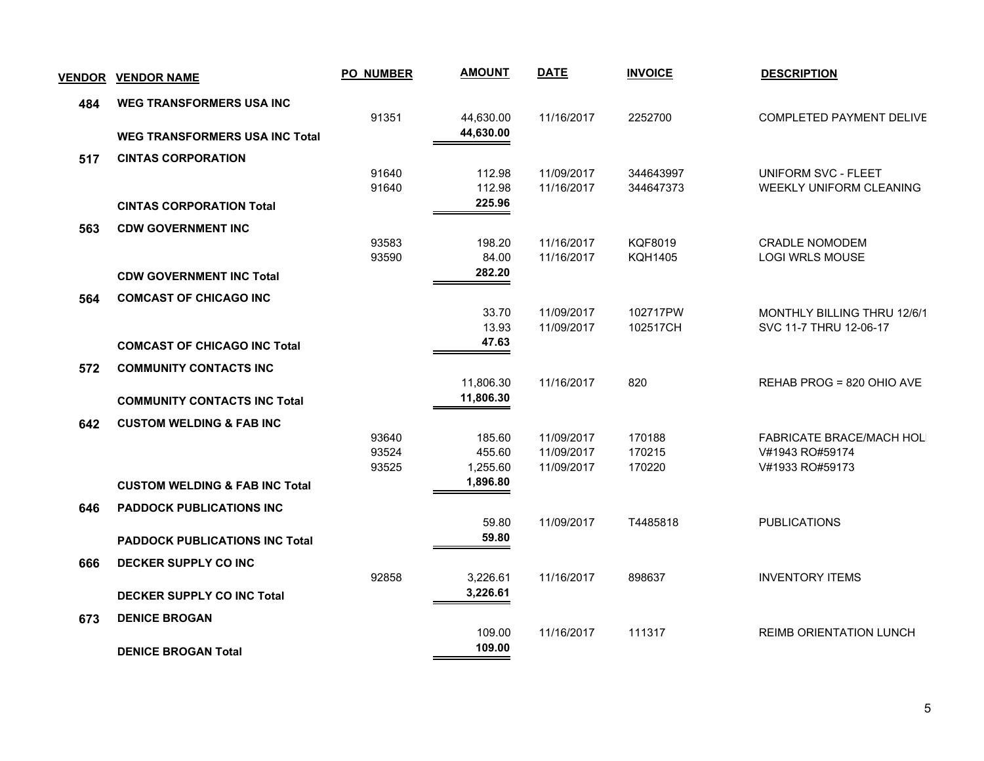| <b>VENDOR</b> | <b>VENDOR NAME</b>                        | <b>PO_NUMBER</b> | <b>AMOUNT</b>   | <b>DATE</b>              | <b>INVOICE</b>       | <b>DESCRIPTION</b>                                           |
|---------------|-------------------------------------------|------------------|-----------------|--------------------------|----------------------|--------------------------------------------------------------|
| 484           | <b>WEG TRANSFORMERS USA INC</b>           |                  |                 |                          |                      |                                                              |
|               |                                           | 91351            | 44,630.00       | 11/16/2017               | 2252700              | COMPLETED PAYMENT DELIVE                                     |
|               | <b>WEG TRANSFORMERS USA INC Total</b>     |                  | 44,630.00       |                          |                      |                                                              |
| 517           | <b>CINTAS CORPORATION</b>                 |                  |                 |                          |                      |                                                              |
|               |                                           | 91640            | 112.98          | 11/09/2017               | 344643997            | UNIFORM SVC - FLEET                                          |
|               |                                           | 91640            | 112.98          | 11/16/2017               | 344647373            | WEEKLY UNIFORM CLEANING                                      |
|               | <b>CINTAS CORPORATION Total</b>           |                  | 225.96          |                          |                      |                                                              |
| 563           | <b>CDW GOVERNMENT INC</b>                 |                  |                 |                          |                      |                                                              |
|               |                                           | 93583            | 198.20          | 11/16/2017               | <b>KQF8019</b>       | <b>CRADLE NOMODEM</b>                                        |
|               |                                           | 93590            | 84.00<br>282.20 | 11/16/2017               | <b>KQH1405</b>       | <b>LOGI WRLS MOUSE</b>                                       |
|               | <b>CDW GOVERNMENT INC Total</b>           |                  |                 |                          |                      |                                                              |
| 564           | <b>COMCAST OF CHICAGO INC</b>             |                  |                 |                          |                      |                                                              |
|               |                                           |                  | 33.70<br>13.93  | 11/09/2017<br>11/09/2017 | 102717PW<br>102517CH | <b>MONTHLY BILLING THRU 12/6/1</b><br>SVC 11-7 THRU 12-06-17 |
|               | <b>COMCAST OF CHICAGO INC Total</b>       |                  | 47.63           |                          |                      |                                                              |
|               |                                           |                  |                 |                          |                      |                                                              |
| 572           | <b>COMMUNITY CONTACTS INC</b>             |                  | 11,806.30       | 11/16/2017               | 820                  | REHAB PROG = 820 OHIO AVE                                    |
|               | <b>COMMUNITY CONTACTS INC Total</b>       |                  | 11,806.30       |                          |                      |                                                              |
|               |                                           |                  |                 |                          |                      |                                                              |
| 642           | <b>CUSTOM WELDING &amp; FAB INC</b>       | 93640            | 185.60          | 11/09/2017               | 170188               |                                                              |
|               |                                           | 93524            | 455.60          | 11/09/2017               | 170215               | FABRICATE BRACE/MACH HOLI<br>V#1943 RO#59174                 |
|               |                                           | 93525            | 1,255.60        | 11/09/2017               | 170220               | V#1933 RO#59173                                              |
|               | <b>CUSTOM WELDING &amp; FAB INC Total</b> |                  | 1,896.80        |                          |                      |                                                              |
| 646           | <b>PADDOCK PUBLICATIONS INC</b>           |                  |                 |                          |                      |                                                              |
|               |                                           |                  | 59.80           | 11/09/2017               | T4485818             | <b>PUBLICATIONS</b>                                          |
|               | <b>PADDOCK PUBLICATIONS INC Total</b>     |                  | 59.80           |                          |                      |                                                              |
| 666           | <b>DECKER SUPPLY CO INC</b>               |                  |                 |                          |                      |                                                              |
|               |                                           | 92858            | 3,226.61        | 11/16/2017               | 898637               | <b>INVENTORY ITEMS</b>                                       |
|               | <b>DECKER SUPPLY CO INC Total</b>         |                  | 3,226.61        |                          |                      |                                                              |
| 673           | <b>DENICE BROGAN</b>                      |                  |                 |                          |                      |                                                              |
|               |                                           |                  | 109.00          | 11/16/2017               | 111317               | <b>REIMB ORIENTATION LUNCH</b>                               |
|               | <b>DENICE BROGAN Total</b>                |                  | 109.00          |                          |                      |                                                              |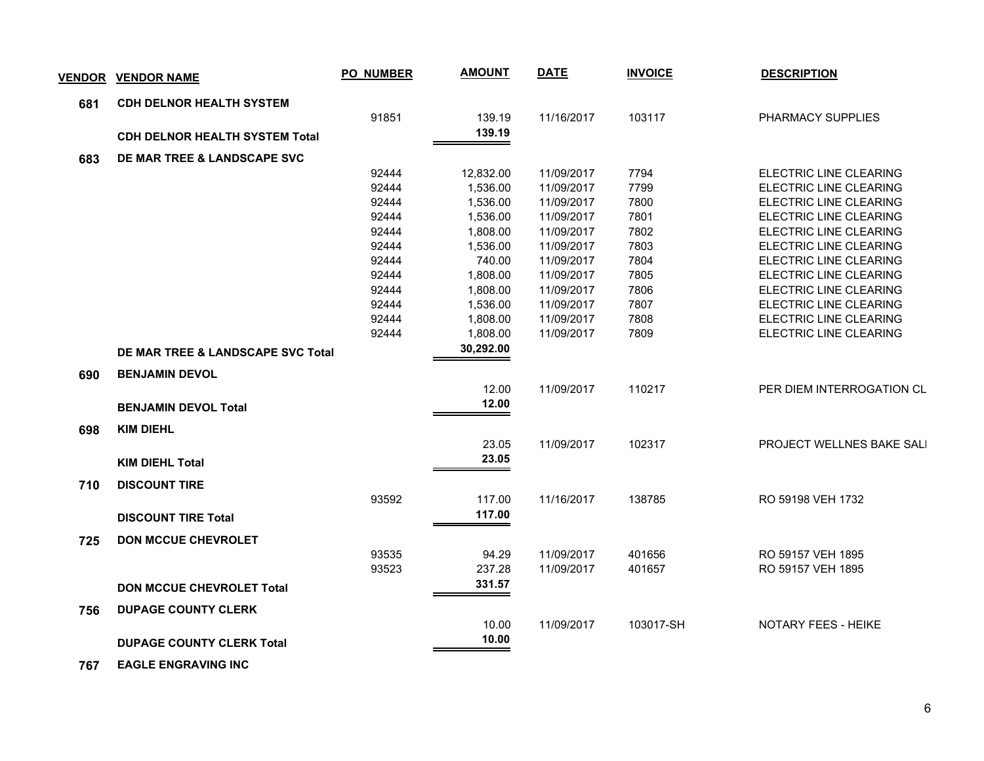| <b>VENDOR</b> | <b>VENDOR NAME</b>                           | <b>PO_NUMBER</b> | <b>AMOUNT</b> | <b>DATE</b> | <b>INVOICE</b> | <b>DESCRIPTION</b>        |
|---------------|----------------------------------------------|------------------|---------------|-------------|----------------|---------------------------|
| 681           | <b>CDH DELNOR HEALTH SYSTEM</b>              |                  |               |             |                |                           |
|               |                                              | 91851            | 139.19        | 11/16/2017  | 103117         | PHARMACY SUPPLIES         |
|               | <b>CDH DELNOR HEALTH SYSTEM Total</b>        |                  | 139.19        |             |                |                           |
| 683           | DE MAR TREE & LANDSCAPE SVC                  |                  |               |             |                |                           |
|               |                                              | 92444            | 12,832.00     | 11/09/2017  | 7794           | ELECTRIC LINE CLEARING    |
|               |                                              | 92444            | 1,536.00      | 11/09/2017  | 7799           | ELECTRIC LINE CLEARING    |
|               |                                              | 92444            | 1,536.00      | 11/09/2017  | 7800           | ELECTRIC LINE CLEARING    |
|               |                                              | 92444            | 1,536.00      | 11/09/2017  | 7801           | ELECTRIC LINE CLEARING    |
|               |                                              | 92444            | 1,808.00      | 11/09/2017  | 7802           | ELECTRIC LINE CLEARING    |
|               |                                              | 92444            | 1,536.00      | 11/09/2017  | 7803           | ELECTRIC LINE CLEARING    |
|               |                                              | 92444            | 740.00        | 11/09/2017  | 7804           | ELECTRIC LINE CLEARING    |
|               |                                              | 92444            | 1,808.00      | 11/09/2017  | 7805           | ELECTRIC LINE CLEARING    |
|               |                                              | 92444            | 1,808.00      | 11/09/2017  | 7806           | ELECTRIC LINE CLEARING    |
|               |                                              | 92444            | 1,536.00      | 11/09/2017  | 7807           | ELECTRIC LINE CLEARING    |
|               |                                              | 92444            | 1,808.00      | 11/09/2017  | 7808           | ELECTRIC LINE CLEARING    |
|               |                                              | 92444            | 1,808.00      | 11/09/2017  | 7809           | ELECTRIC LINE CLEARING    |
|               | <b>DE MAR TREE &amp; LANDSCAPE SVC Total</b> |                  | 30,292.00     |             |                |                           |
| 690           | <b>BENJAMIN DEVOL</b>                        |                  |               |             |                |                           |
|               |                                              |                  | 12.00         | 11/09/2017  | 110217         | PER DIEM INTERROGATION CL |
|               | <b>BENJAMIN DEVOL Total</b>                  |                  | 12.00         |             |                |                           |
| 698           | <b>KIM DIEHL</b>                             |                  |               |             |                |                           |
|               |                                              |                  | 23.05         | 11/09/2017  | 102317         | PROJECT WELLNES BAKE SALI |
|               | <b>KIM DIEHL Total</b>                       |                  | 23.05         |             |                |                           |
| 710           | <b>DISCOUNT TIRE</b>                         |                  |               |             |                |                           |
|               |                                              | 93592            | 117.00        | 11/16/2017  | 138785         | RO 59198 VEH 1732         |
|               | <b>DISCOUNT TIRE Total</b>                   |                  | 117.00        |             |                |                           |
|               |                                              |                  |               |             |                |                           |
| 725           | <b>DON MCCUE CHEVROLET</b>                   |                  |               |             |                |                           |
|               |                                              | 93535            | 94.29         | 11/09/2017  | 401656         | RO 59157 VEH 1895         |
|               |                                              | 93523            | 237.28        | 11/09/2017  | 401657         | RO 59157 VEH 1895         |
|               | <b>DON MCCUE CHEVROLET Total</b>             |                  | 331.57        |             |                |                           |
| 756           | <b>DUPAGE COUNTY CLERK</b>                   |                  |               |             |                |                           |
|               |                                              |                  | 10.00         | 11/09/2017  | 103017-SH      | NOTARY FEES - HEIKE       |
|               | <b>DUPAGE COUNTY CLERK Total</b>             |                  | 10.00         |             |                |                           |
|               |                                              |                  |               |             |                |                           |

 **767 EAGLE ENGRAVING INC**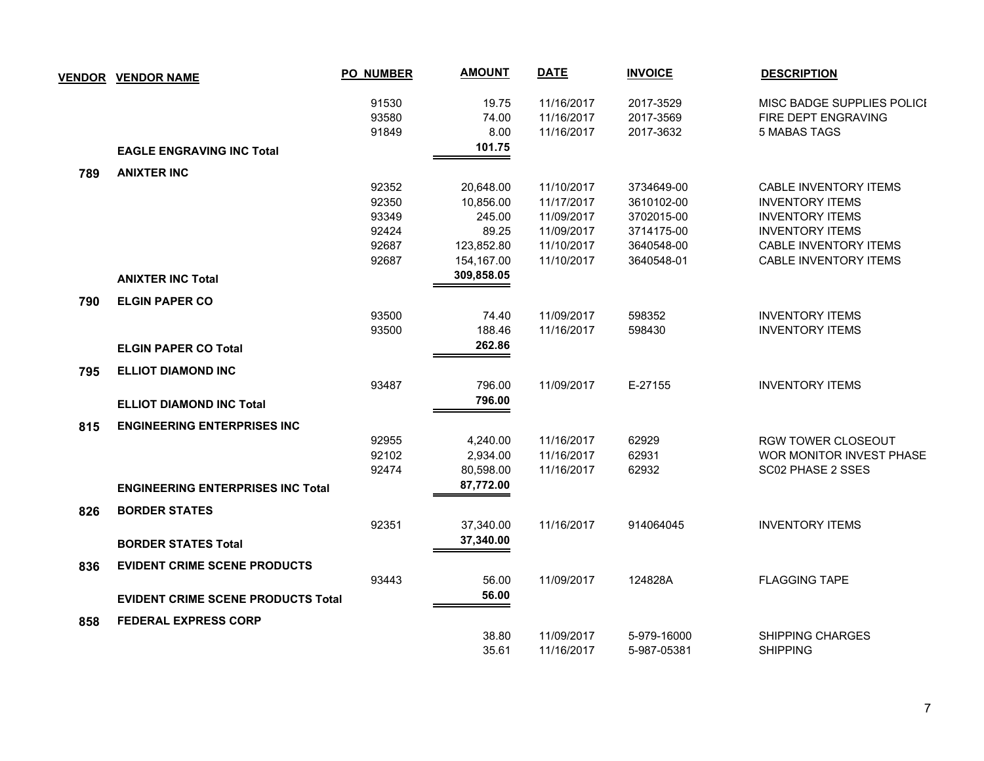|     | VENDOR VENDOR NAME                        | <b>PO_NUMBER</b> | <b>AMOUNT</b> | <b>DATE</b> | <b>INVOICE</b> | <b>DESCRIPTION</b>           |
|-----|-------------------------------------------|------------------|---------------|-------------|----------------|------------------------------|
|     |                                           | 91530            | 19.75         | 11/16/2017  | 2017-3529      | MISC BADGE SUPPLIES POLICI   |
|     |                                           | 93580            | 74.00         | 11/16/2017  | 2017-3569      | FIRE DEPT ENGRAVING          |
|     |                                           | 91849            | 8.00          | 11/16/2017  | 2017-3632      | <b>5 MABAS TAGS</b>          |
|     | <b>EAGLE ENGRAVING INC Total</b>          |                  | 101.75        |             |                |                              |
| 789 | <b>ANIXTER INC</b>                        |                  |               |             |                |                              |
|     |                                           | 92352            | 20,648.00     | 11/10/2017  | 3734649-00     | CABLE INVENTORY ITEMS        |
|     |                                           | 92350            | 10,856.00     | 11/17/2017  | 3610102-00     | <b>INVENTORY ITEMS</b>       |
|     |                                           | 93349            | 245.00        | 11/09/2017  | 3702015-00     | <b>INVENTORY ITEMS</b>       |
|     |                                           | 92424            | 89.25         | 11/09/2017  | 3714175-00     | <b>INVENTORY ITEMS</b>       |
|     |                                           | 92687            | 123,852.80    | 11/10/2017  | 3640548-00     | <b>CABLE INVENTORY ITEMS</b> |
|     |                                           | 92687            | 154,167.00    | 11/10/2017  | 3640548-01     | <b>CABLE INVENTORY ITEMS</b> |
|     | <b>ANIXTER INC Total</b>                  |                  | 309,858.05    |             |                |                              |
| 790 | <b>ELGIN PAPER CO</b>                     |                  |               |             |                |                              |
|     |                                           | 93500            | 74.40         | 11/09/2017  | 598352         | <b>INVENTORY ITEMS</b>       |
|     |                                           | 93500            | 188.46        | 11/16/2017  | 598430         | <b>INVENTORY ITEMS</b>       |
|     | <b>ELGIN PAPER CO Total</b>               |                  | 262.86        |             |                |                              |
| 795 | <b>ELLIOT DIAMOND INC</b>                 |                  |               |             |                |                              |
|     |                                           | 93487            | 796.00        | 11/09/2017  | E-27155        | <b>INVENTORY ITEMS</b>       |
|     | <b>ELLIOT DIAMOND INC Total</b>           |                  | 796.00        |             |                |                              |
| 815 | <b>ENGINEERING ENTERPRISES INC</b>        |                  |               |             |                |                              |
|     |                                           | 92955            | 4,240.00      | 11/16/2017  | 62929          | RGW TOWER CLOSEOUT           |
|     |                                           | 92102            | 2,934.00      | 11/16/2017  | 62931          | WOR MONITOR INVEST PHASE     |
|     |                                           | 92474            | 80,598.00     | 11/16/2017  | 62932          | SC02 PHASE 2 SSES            |
|     | <b>ENGINEERING ENTERPRISES INC Total</b>  |                  | 87,772.00     |             |                |                              |
| 826 | <b>BORDER STATES</b>                      |                  |               |             |                |                              |
|     |                                           | 92351            | 37,340.00     | 11/16/2017  | 914064045      | <b>INVENTORY ITEMS</b>       |
|     | <b>BORDER STATES Total</b>                |                  | 37,340.00     |             |                |                              |
| 836 | <b>EVIDENT CRIME SCENE PRODUCTS</b>       |                  |               |             |                |                              |
|     |                                           | 93443            | 56.00         | 11/09/2017  | 124828A        | <b>FLAGGING TAPE</b>         |
|     | <b>EVIDENT CRIME SCENE PRODUCTS Total</b> |                  | 56.00         |             |                |                              |
| 858 | <b>FEDERAL EXPRESS CORP</b>               |                  |               |             |                |                              |
|     |                                           |                  | 38.80         | 11/09/2017  | 5-979-16000    | SHIPPING CHARGES             |
|     |                                           |                  | 35.61         | 11/16/2017  | 5-987-05381    | <b>SHIPPING</b>              |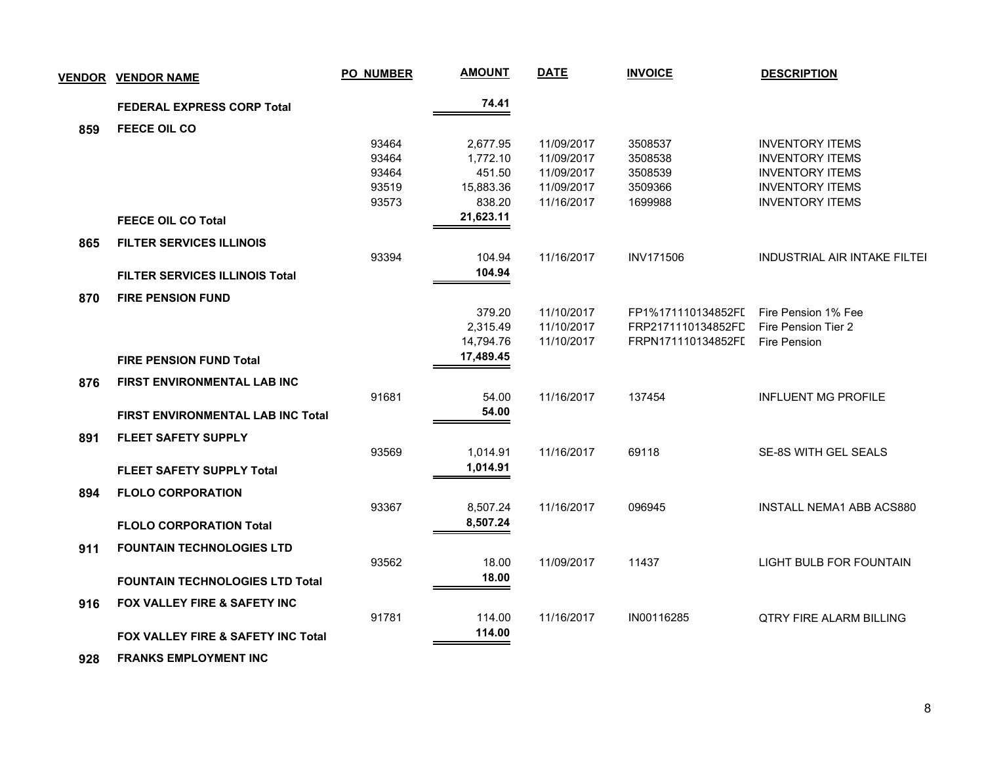| <b>VENDOR</b> | <b>VENDOR NAME</b>                            | <b>PO_NUMBER</b> | <b>AMOUNT</b> | <b>DATE</b> | <b>INVOICE</b>     | <b>DESCRIPTION</b>                  |
|---------------|-----------------------------------------------|------------------|---------------|-------------|--------------------|-------------------------------------|
|               | <b>FEDERAL EXPRESS CORP Total</b>             |                  | 74.41         |             |                    |                                     |
| 859           | <b>FEECE OIL CO</b>                           |                  |               |             |                    |                                     |
|               |                                               | 93464            | 2,677.95      | 11/09/2017  | 3508537            | <b>INVENTORY ITEMS</b>              |
|               |                                               | 93464            | 1,772.10      | 11/09/2017  | 3508538            | <b>INVENTORY ITEMS</b>              |
|               |                                               | 93464            | 451.50        | 11/09/2017  | 3508539            | <b>INVENTORY ITEMS</b>              |
|               |                                               | 93519            | 15,883.36     | 11/09/2017  | 3509366            | <b>INVENTORY ITEMS</b>              |
|               |                                               | 93573            | 838.20        | 11/16/2017  | 1699988            | <b>INVENTORY ITEMS</b>              |
|               | <b>FEECE OIL CO Total</b>                     |                  | 21,623.11     |             |                    |                                     |
| 865           | <b>FILTER SERVICES ILLINOIS</b>               |                  |               |             |                    |                                     |
|               |                                               | 93394            | 104.94        | 11/16/2017  | <b>INV171506</b>   | <b>INDUSTRIAL AIR INTAKE FILTEI</b> |
|               | <b>FILTER SERVICES ILLINOIS Total</b>         |                  | 104.94        |             |                    |                                     |
| 870           | <b>FIRE PENSION FUND</b>                      |                  |               |             |                    |                                     |
|               |                                               |                  | 379.20        | 11/10/2017  | FP1%171110134852FI | Fire Pension 1% Fee                 |
|               |                                               |                  | 2,315.49      | 11/10/2017  | FRP2171110134852FD | Fire Pension Tier 2                 |
|               |                                               |                  | 14,794.76     | 11/10/2017  | FRPN171110134852FI | Fire Pension                        |
|               | <b>FIRE PENSION FUND Total</b>                |                  | 17,489.45     |             |                    |                                     |
| 876           | FIRST ENVIRONMENTAL LAB INC                   |                  |               |             |                    |                                     |
|               |                                               | 91681            | 54.00         | 11/16/2017  | 137454             | <b>INFLUENT MG PROFILE</b>          |
|               | <b>FIRST ENVIRONMENTAL LAB INC Total</b>      |                  | 54.00         |             |                    |                                     |
| 891           | <b>FLEET SAFETY SUPPLY</b>                    |                  |               |             |                    |                                     |
|               |                                               | 93569            | 1,014.91      | 11/16/2017  | 69118              | SE-8S WITH GEL SEALS                |
|               | <b>FLEET SAFETY SUPPLY Total</b>              |                  | 1,014.91      |             |                    |                                     |
| 894           | <b>FLOLO CORPORATION</b>                      |                  |               |             |                    |                                     |
|               |                                               | 93367            | 8,507.24      | 11/16/2017  | 096945             | <b>INSTALL NEMA1 ABB ACS880</b>     |
|               | <b>FLOLO CORPORATION Total</b>                |                  | 8,507.24      |             |                    |                                     |
|               |                                               |                  |               |             |                    |                                     |
| 911           | <b>FOUNTAIN TECHNOLOGIES LTD</b>              |                  |               |             |                    |                                     |
|               |                                               | 93562            | 18.00         | 11/09/2017  | 11437              | <b>LIGHT BULB FOR FOUNTAIN</b>      |
|               | <b>FOUNTAIN TECHNOLOGIES LTD Total</b>        |                  | 18.00         |             |                    |                                     |
| 916           | FOX VALLEY FIRE & SAFETY INC                  |                  |               |             |                    |                                     |
|               |                                               | 91781            | 114.00        | 11/16/2017  | IN00116285         | <b>QTRY FIRE ALARM BILLING</b>      |
|               | <b>FOX VALLEY FIRE &amp; SAFETY INC Total</b> |                  | 114.00        |             |                    |                                     |
| 928           | <b>FRANKS EMPLOYMENT INC</b>                  |                  |               |             |                    |                                     |
|               |                                               |                  |               |             |                    |                                     |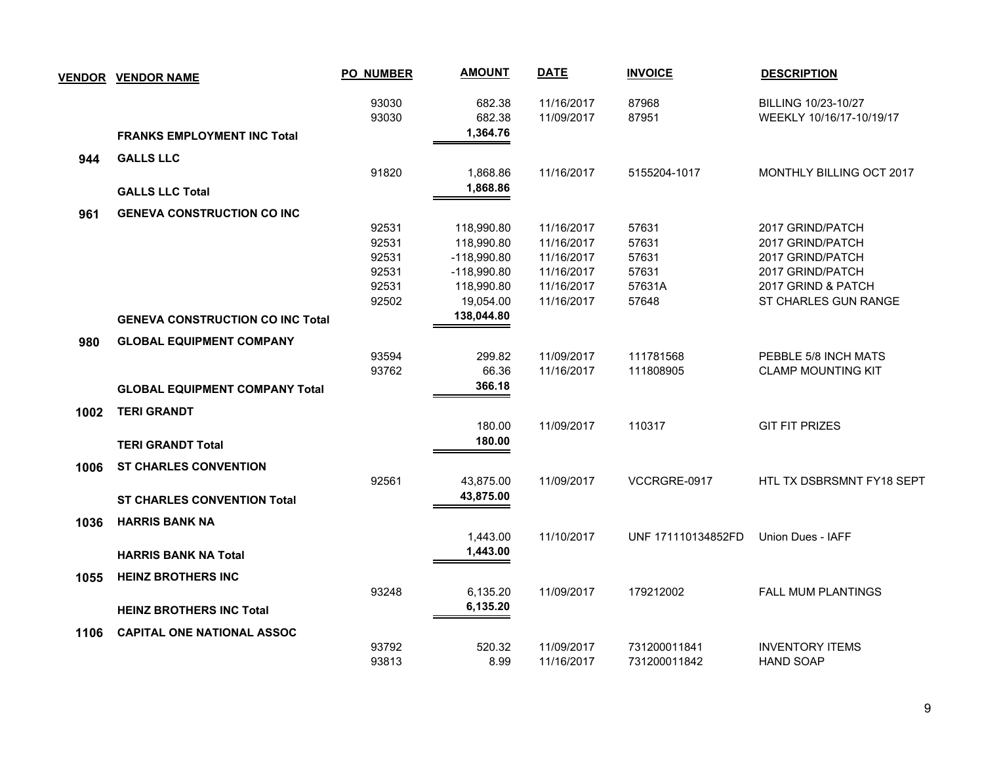|      | <b>VENDOR VENDOR NAME</b>                                                | <b>PO_NUMBER</b>                                   | <b>AMOUNT</b>                                                                                       | <b>DATE</b>                                                                      | <b>INVOICE</b>                                      | <b>DESCRIPTION</b>                                                                                                         |
|------|--------------------------------------------------------------------------|----------------------------------------------------|-----------------------------------------------------------------------------------------------------|----------------------------------------------------------------------------------|-----------------------------------------------------|----------------------------------------------------------------------------------------------------------------------------|
|      | <b>FRANKS EMPLOYMENT INC Total</b>                                       | 93030<br>93030                                     | 682.38<br>682.38<br>1,364.76                                                                        | 11/16/2017<br>11/09/2017                                                         | 87968<br>87951                                      | BILLING 10/23-10/27<br>WEEKLY 10/16/17-10/19/17                                                                            |
|      |                                                                          |                                                    |                                                                                                     |                                                                                  |                                                     |                                                                                                                            |
| 944  | <b>GALLS LLC</b><br><b>GALLS LLC Total</b>                               | 91820                                              | 1,868.86<br>1,868.86                                                                                | 11/16/2017                                                                       | 5155204-1017                                        | <b>MONTHLY BILLING OCT 2017</b>                                                                                            |
| 961  | <b>GENEVA CONSTRUCTION CO INC</b>                                        |                                                    |                                                                                                     |                                                                                  |                                                     |                                                                                                                            |
|      | <b>GENEVA CONSTRUCTION CO INC Total</b>                                  | 92531<br>92531<br>92531<br>92531<br>92531<br>92502 | 118,990.80<br>118,990.80<br>$-118,990.80$<br>$-118,990.80$<br>118,990.80<br>19,054.00<br>138,044.80 | 11/16/2017<br>11/16/2017<br>11/16/2017<br>11/16/2017<br>11/16/2017<br>11/16/2017 | 57631<br>57631<br>57631<br>57631<br>57631A<br>57648 | 2017 GRIND/PATCH<br>2017 GRIND/PATCH<br>2017 GRIND/PATCH<br>2017 GRIND/PATCH<br>2017 GRIND & PATCH<br>ST CHARLES GUN RANGE |
|      |                                                                          |                                                    |                                                                                                     |                                                                                  |                                                     |                                                                                                                            |
| 980  | <b>GLOBAL EQUIPMENT COMPANY</b><br><b>GLOBAL EQUIPMENT COMPANY Total</b> | 93594<br>93762                                     | 299.82<br>66.36<br>366.18                                                                           | 11/09/2017<br>11/16/2017                                                         | 111781568<br>111808905                              | PEBBLE 5/8 INCH MATS<br><b>CLAMP MOUNTING KIT</b>                                                                          |
| 1002 | <b>TERI GRANDT</b><br><b>TERI GRANDT Total</b>                           |                                                    | 180.00<br>180.00                                                                                    | 11/09/2017                                                                       | 110317                                              | <b>GIT FIT PRIZES</b>                                                                                                      |
| 1006 | <b>ST CHARLES CONVENTION</b><br><b>ST CHARLES CONVENTION Total</b>       | 92561                                              | 43,875.00<br>43,875.00                                                                              | 11/09/2017                                                                       | VCCRGRE-0917                                        | HTL TX DSBRSMNT FY18 SEPT                                                                                                  |
| 1036 | <b>HARRIS BANK NA</b><br><b>HARRIS BANK NA Total</b>                     |                                                    | 1,443.00<br>1,443.00                                                                                | 11/10/2017                                                                       | UNF 171110134852FD                                  | Union Dues - IAFF                                                                                                          |
|      |                                                                          |                                                    |                                                                                                     |                                                                                  |                                                     |                                                                                                                            |
| 1055 | <b>HEINZ BROTHERS INC</b><br><b>HEINZ BROTHERS INC Total</b>             | 93248                                              | 6,135.20<br>6,135.20                                                                                | 11/09/2017                                                                       | 179212002                                           | <b>FALL MUM PLANTINGS</b>                                                                                                  |
| 1106 | <b>CAPITAL ONE NATIONAL ASSOC</b>                                        |                                                    |                                                                                                     |                                                                                  |                                                     |                                                                                                                            |
|      |                                                                          | 93792<br>93813                                     | 520.32<br>8.99                                                                                      | 11/09/2017<br>11/16/2017                                                         | 731200011841<br>731200011842                        | <b>INVENTORY ITEMS</b><br><b>HAND SOAP</b>                                                                                 |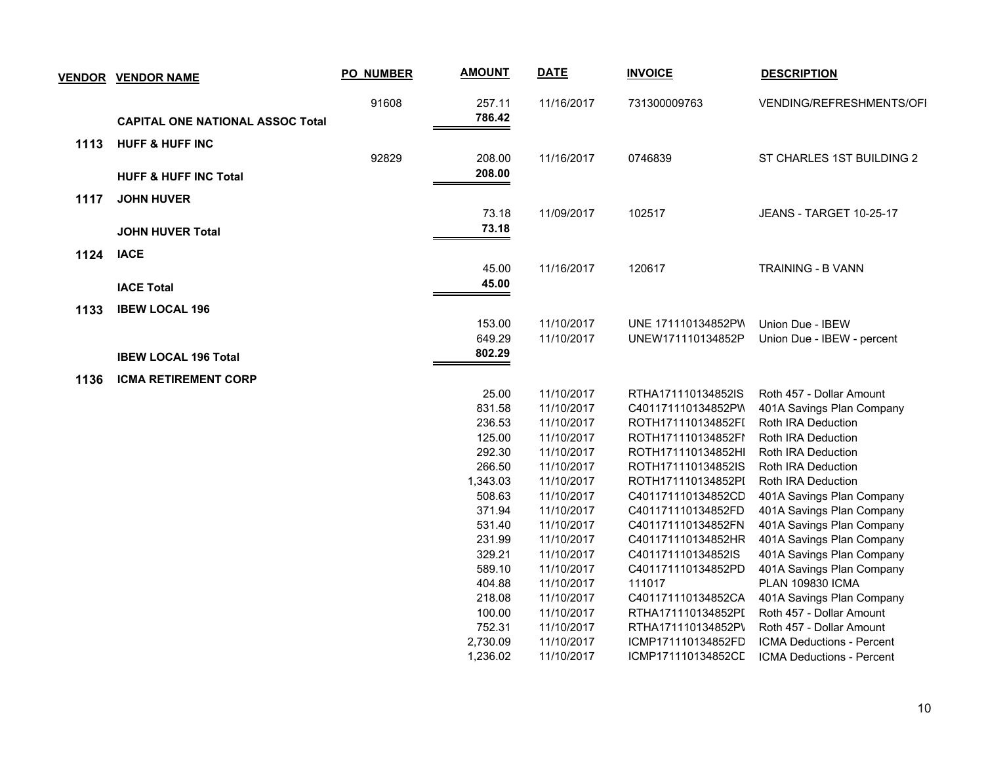|      | <b>VENDOR VENDOR NAME</b>               | PO_NUMBER | <b>AMOUNT</b>    | <b>DATE</b> | <b>INVOICE</b>     | <b>DESCRIPTION</b>             |
|------|-----------------------------------------|-----------|------------------|-------------|--------------------|--------------------------------|
|      |                                         | 91608     | 257.11<br>786.42 | 11/16/2017  | 731300009763       | VENDING/REFRESHMENTS/OFI       |
|      | <b>CAPITAL ONE NATIONAL ASSOC Total</b> |           |                  |             |                    |                                |
| 1113 | <b>HUFF &amp; HUFF INC</b>              |           |                  |             |                    |                                |
|      |                                         | 92829     | 208.00           | 11/16/2017  | 0746839            | ST CHARLES 1ST BUILDING 2      |
|      | <b>HUFF &amp; HUFF INC Total</b>        |           | 208.00           |             |                    |                                |
| 1117 | <b>JOHN HUVER</b>                       |           |                  |             |                    |                                |
|      |                                         |           | 73.18            | 11/09/2017  | 102517             | <b>JEANS - TARGET 10-25-17</b> |
|      | <b>JOHN HUVER Total</b>                 |           | 73.18            |             |                    |                                |
|      |                                         |           |                  |             |                    |                                |
| 1124 | <b>IACE</b>                             |           |                  |             |                    |                                |
|      |                                         |           | 45.00            | 11/16/2017  | 120617             | <b>TRAINING - B VANN</b>       |
|      | <b>IACE Total</b>                       |           | 45.00            |             |                    |                                |
| 1133 | <b>IBEW LOCAL 196</b>                   |           |                  |             |                    |                                |
|      |                                         |           | 153.00           | 11/10/2017  | UNE 171110134852PW | Union Due - IBEW               |
|      |                                         |           | 649.29           | 11/10/2017  | UNEW171110134852P  | Union Due - IBEW - percent     |
|      | <b>IBEW LOCAL 196 Total</b>             |           | 802.29           |             |                    |                                |
|      |                                         |           |                  |             |                    |                                |
| 1136 | <b>ICMA RETIREMENT CORP</b>             |           |                  |             |                    |                                |
|      |                                         |           | 25.00            | 11/10/2017  | RTHA171110134852IS | Roth 457 - Dollar Amount       |
|      |                                         |           | 831.58           | 11/10/2017  | C401171110134852PW | 401A Savings Plan Company      |
|      |                                         |           | 236.53           | 11/10/2017  | ROTH171110134852FI | Roth IRA Deduction             |
|      |                                         |           | 125.00           | 11/10/2017  | ROTH171110134852FI | Roth IRA Deduction             |
|      |                                         |           | 292.30           | 11/10/2017  | ROTH171110134852HI | Roth IRA Deduction             |
|      |                                         |           | 266.50           | 11/10/2017  | ROTH171110134852IS | Roth IRA Deduction             |
|      |                                         |           | 1,343.03         | 11/10/2017  | ROTH171110134852PI | Roth IRA Deduction             |
|      |                                         |           | 508.63           | 11/10/2017  | C401171110134852CD | 401A Savings Plan Company      |
|      |                                         |           | 371.94           | 11/10/2017  | C401171110134852FD | 401A Savings Plan Company      |
|      |                                         |           | 531.40           | 11/10/2017  | C401171110134852FN | 401A Savings Plan Company      |
|      |                                         |           | 231.99           | 11/10/2017  | C401171110134852HR | 401A Savings Plan Company      |
|      |                                         |           | 329.21           | 11/10/2017  | C401171110134852IS | 401A Savings Plan Company      |
|      |                                         |           | 589.10           | 11/10/2017  | C401171110134852PD | 401A Savings Plan Company      |
|      |                                         |           | 404.88           | 11/10/2017  | 111017             | <b>PLAN 109830 ICMA</b>        |
|      |                                         |           | 218.08           | 11/10/2017  | C401171110134852CA | 401A Savings Plan Company      |
|      |                                         |           | 100.00           | 11/10/2017  | RTHA171110134852PI | Roth 457 - Dollar Amount       |
|      |                                         |           | 752.31           | 11/10/2017  | RTHA171110134852P\ | Roth 457 - Dollar Amount       |
|      |                                         |           | 2,730.09         | 11/10/2017  | ICMP171110134852FD | ICMA Deductions - Percent      |
|      |                                         |           | 1,236.02         | 11/10/2017  | ICMP171110134852CD | ICMA Deductions - Percent      |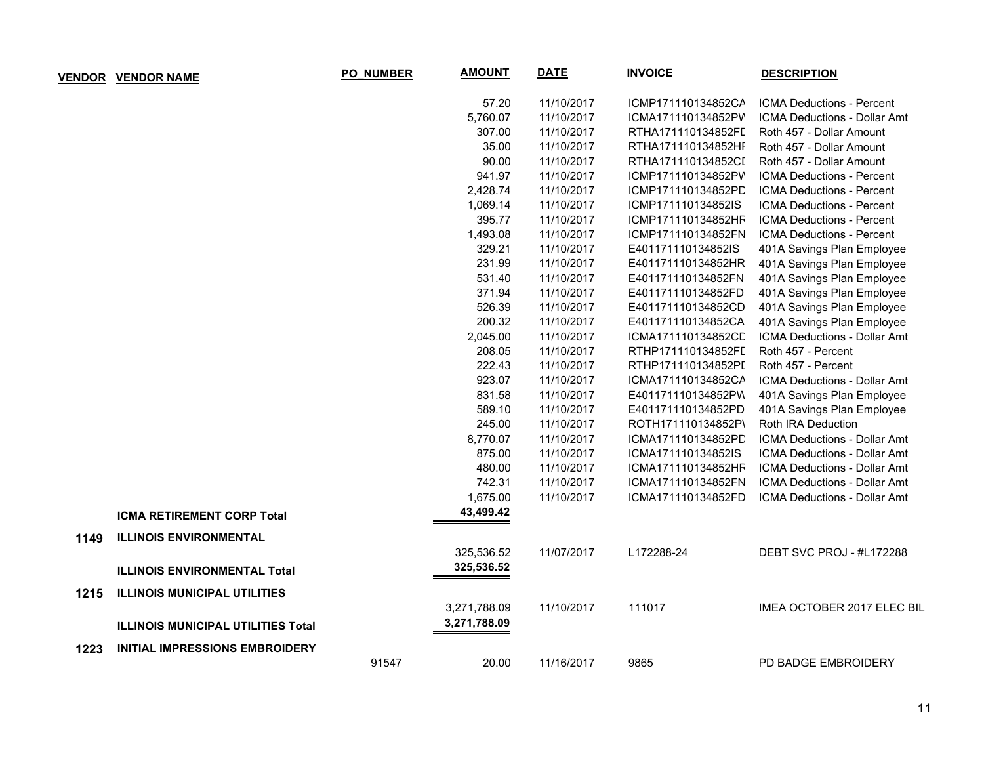|      | <b>VENDOR VENDOR NAME</b>                 | <b>PO_NUMBER</b> | <b>AMOUNT</b> | <b>DATE</b> | <b>INVOICE</b>     | <b>DESCRIPTION</b>                  |
|------|-------------------------------------------|------------------|---------------|-------------|--------------------|-------------------------------------|
|      |                                           |                  | 57.20         | 11/10/2017  | ICMP171110134852CA | <b>ICMA Deductions - Percent</b>    |
|      |                                           |                  | 5,760.07      | 11/10/2017  | ICMA171110134852PV | ICMA Deductions - Dollar Amt        |
|      |                                           |                  | 307.00        | 11/10/2017  | RTHA171110134852FI | Roth 457 - Dollar Amount            |
|      |                                           |                  | 35.00         | 11/10/2017  | RTHA171110134852HI | Roth 457 - Dollar Amount            |
|      |                                           |                  | 90.00         | 11/10/2017  | RTHA171110134852CI | Roth 457 - Dollar Amount            |
|      |                                           |                  | 941.97        | 11/10/2017  | ICMP171110134852PV | ICMA Deductions - Percent           |
|      |                                           |                  | 2,428.74      | 11/10/2017  | ICMP171110134852PD | <b>ICMA Deductions - Percent</b>    |
|      |                                           |                  | 1,069.14      | 11/10/2017  | ICMP171110134852IS | ICMA Deductions - Percent           |
|      |                                           |                  | 395.77        | 11/10/2017  | ICMP171110134852HF | ICMA Deductions - Percent           |
|      |                                           |                  | 1,493.08      | 11/10/2017  | ICMP171110134852FN | ICMA Deductions - Percent           |
|      |                                           |                  | 329.21        | 11/10/2017  | E401171110134852IS | 401A Savings Plan Employee          |
|      |                                           |                  | 231.99        | 11/10/2017  | E401171110134852HR | 401A Savings Plan Employee          |
|      |                                           |                  | 531.40        | 11/10/2017  | E401171110134852FN | 401A Savings Plan Employee          |
|      |                                           |                  | 371.94        | 11/10/2017  | E401171110134852FD | 401A Savings Plan Employee          |
|      |                                           |                  | 526.39        | 11/10/2017  | E401171110134852CD | 401A Savings Plan Employee          |
|      |                                           |                  | 200.32        | 11/10/2017  | E401171110134852CA | 401A Savings Plan Employee          |
|      |                                           |                  | 2,045.00      | 11/10/2017  | ICMA171110134852CL | <b>ICMA Deductions - Dollar Amt</b> |
|      |                                           |                  | 208.05        | 11/10/2017  | RTHP171110134852FI | Roth 457 - Percent                  |
|      |                                           |                  | 222.43        | 11/10/2017  | RTHP171110134852PI | Roth 457 - Percent                  |
|      |                                           |                  | 923.07        | 11/10/2017  | ICMA171110134852CA | ICMA Deductions - Dollar Amt        |
|      |                                           |                  | 831.58        | 11/10/2017  | E401171110134852PW | 401A Savings Plan Employee          |
|      |                                           |                  | 589.10        | 11/10/2017  | E401171110134852PD | 401A Savings Plan Employee          |
|      |                                           |                  | 245.00        | 11/10/2017  | ROTH171110134852P\ | Roth IRA Deduction                  |
|      |                                           |                  | 8,770.07      | 11/10/2017  | ICMA171110134852PD | ICMA Deductions - Dollar Amt        |
|      |                                           |                  | 875.00        | 11/10/2017  | ICMA171110134852IS | ICMA Deductions - Dollar Amt        |
|      |                                           |                  | 480.00        | 11/10/2017  | ICMA171110134852HF | ICMA Deductions - Dollar Amt        |
|      |                                           |                  | 742.31        | 11/10/2017  | ICMA171110134852FN | ICMA Deductions - Dollar Amt        |
|      |                                           |                  | 1,675.00      | 11/10/2017  | ICMA171110134852FD | <b>ICMA Deductions - Dollar Amt</b> |
|      | <b>ICMA RETIREMENT CORP Total</b>         |                  | 43,499.42     |             |                    |                                     |
| 1149 | <b>ILLINOIS ENVIRONMENTAL</b>             |                  |               |             |                    |                                     |
|      |                                           |                  | 325,536.52    | 11/07/2017  | L172288-24         | DEBT SVC PROJ - #L172288            |
|      | <b>ILLINOIS ENVIRONMENTAL Total</b>       |                  | 325,536.52    |             |                    |                                     |
| 1215 | <b>ILLINOIS MUNICIPAL UTILITIES</b>       |                  |               |             |                    |                                     |
|      |                                           |                  | 3,271,788.09  | 11/10/2017  | 111017             | IMEA OCTOBER 2017 ELEC BILI         |
|      | <b>ILLINOIS MUNICIPAL UTILITIES Total</b> |                  | 3,271,788.09  |             |                    |                                     |
| 1223 | <b>INITIAL IMPRESSIONS EMBROIDERY</b>     |                  |               |             |                    |                                     |
|      |                                           | 91547            | 20.00         | 11/16/2017  | 9865               | PD BADGE EMBROIDERY                 |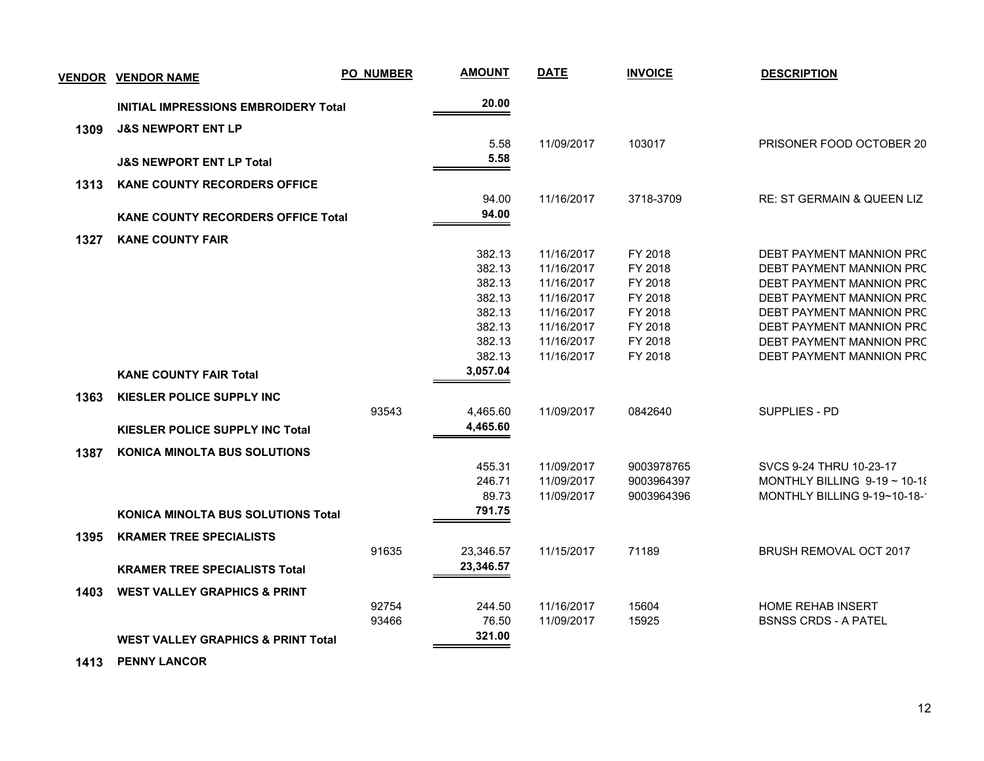| <b>VENDOR</b> | <b>VENDOR NAME</b>                            | <b>PO_NUMBER</b> | <b>AMOUNT</b> | <b>DATE</b> | <b>INVOICE</b> | <b>DESCRIPTION</b>                    |
|---------------|-----------------------------------------------|------------------|---------------|-------------|----------------|---------------------------------------|
|               | <b>INITIAL IMPRESSIONS EMBROIDERY Total</b>   |                  | 20.00         |             |                |                                       |
| 1309          | <b>J&amp;S NEWPORT ENT LP</b>                 |                  |               |             |                |                                       |
|               |                                               |                  | 5.58          | 11/09/2017  | 103017         | PRISONER FOOD OCTOBER 20              |
|               | <b>J&amp;S NEWPORT ENT LP Total</b>           |                  | 5.58          |             |                |                                       |
| 1313          | <b>KANE COUNTY RECORDERS OFFICE</b>           |                  |               |             |                |                                       |
|               |                                               |                  | 94.00         | 11/16/2017  | 3718-3709      | <b>RE: ST GERMAIN &amp; QUEEN LIZ</b> |
|               | <b>KANE COUNTY RECORDERS OFFICE Total</b>     |                  | 94.00         |             |                |                                       |
| 1327          | <b>KANE COUNTY FAIR</b>                       |                  |               |             |                |                                       |
|               |                                               |                  | 382.13        | 11/16/2017  | FY 2018        | DEBT PAYMENT MANNION PRC              |
|               |                                               |                  | 382.13        | 11/16/2017  | FY 2018        | DEBT PAYMENT MANNION PRC              |
|               |                                               |                  | 382.13        | 11/16/2017  | FY 2018        | DEBT PAYMENT MANNION PRC              |
|               |                                               |                  | 382.13        | 11/16/2017  | FY 2018        | DEBT PAYMENT MANNION PRC              |
|               |                                               |                  | 382.13        | 11/16/2017  | FY 2018        | DEBT PAYMENT MANNION PRC              |
|               |                                               |                  | 382.13        | 11/16/2017  | FY 2018        | DEBT PAYMENT MANNION PRC              |
|               |                                               |                  | 382.13        | 11/16/2017  | FY 2018        | DEBT PAYMENT MANNION PRC              |
|               |                                               |                  | 382.13        | 11/16/2017  | FY 2018        | DEBT PAYMENT MANNION PRC              |
|               | <b>KANE COUNTY FAIR Total</b>                 |                  | 3,057.04      |             |                |                                       |
| 1363          | KIESLER POLICE SUPPLY INC                     |                  |               |             |                |                                       |
|               |                                               | 93543            | 4,465.60      | 11/09/2017  | 0842640        | SUPPLIES - PD                         |
|               | <b>KIESLER POLICE SUPPLY INC Total</b>        |                  | 4,465.60      |             |                |                                       |
| 1387          | <b>KONICA MINOLTA BUS SOLUTIONS</b>           |                  |               |             |                |                                       |
|               |                                               |                  | 455.31        | 11/09/2017  | 9003978765     | SVCS 9-24 THRU 10-23-17               |
|               |                                               |                  | 246.71        | 11/09/2017  | 9003964397     | MONTHLY BILLING $9-19 \sim 10-18$     |
|               |                                               |                  | 89.73         | 11/09/2017  | 9003964396     | MONTHLY BILLING 9-19~10-18-           |
|               | <b>KONICA MINOLTA BUS SOLUTIONS Total</b>     |                  | 791.75        |             |                |                                       |
| 1395          | <b>KRAMER TREE SPECIALISTS</b>                |                  |               |             |                |                                       |
|               |                                               | 91635            | 23,346.57     | 11/15/2017  | 71189          | BRUSH REMOVAL OCT 2017                |
|               | <b>KRAMER TREE SPECIALISTS Total</b>          |                  | 23,346.57     |             |                |                                       |
| 1403          | <b>WEST VALLEY GRAPHICS &amp; PRINT</b>       |                  |               |             |                |                                       |
|               |                                               | 92754            | 244.50        | 11/16/2017  | 15604          | <b>HOME REHAB INSERT</b>              |
|               |                                               | 93466            | 76.50         | 11/09/2017  | 15925          | <b>BSNSS CRDS - A PATEL</b>           |
|               | <b>WEST VALLEY GRAPHICS &amp; PRINT Total</b> |                  | 321.00        |             |                |                                       |
|               |                                               |                  |               |             |                |                                       |

 **1413 PENNY LANCOR**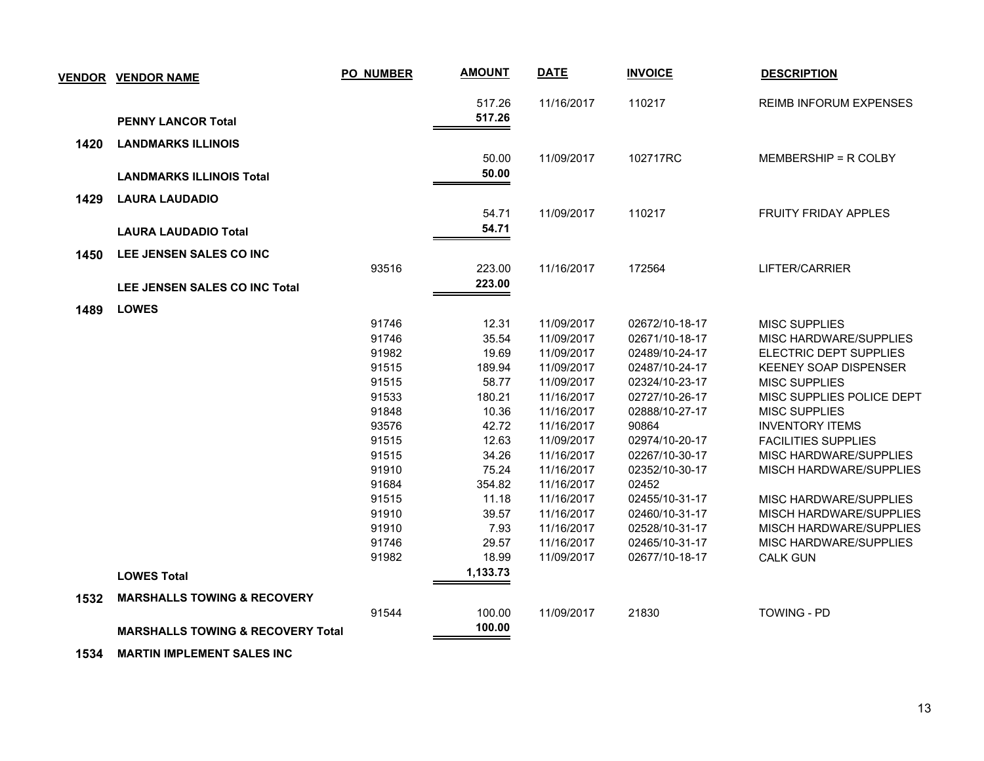|      | <b>VENDOR VENDOR NAME</b>                    | <b>PO_NUMBER</b> | <b>AMOUNT</b>   | <b>DATE</b>              | <b>INVOICE</b>          | <b>DESCRIPTION</b>                                |
|------|----------------------------------------------|------------------|-----------------|--------------------------|-------------------------|---------------------------------------------------|
|      |                                              |                  | 517.26          | 11/16/2017               | 110217                  | <b>REIMB INFORUM EXPENSES</b>                     |
|      | <b>PENNY LANCOR Total</b>                    |                  | 517.26          |                          |                         |                                                   |
| 1420 | <b>LANDMARKS ILLINOIS</b>                    |                  |                 |                          |                         |                                                   |
|      |                                              |                  | 50.00           | 11/09/2017               | 102717RC                | MEMBERSHIP = R COLBY                              |
|      | <b>LANDMARKS ILLINOIS Total</b>              |                  | 50.00           |                          |                         |                                                   |
| 1429 | <b>LAURA LAUDADIO</b>                        |                  |                 |                          |                         |                                                   |
|      |                                              |                  | 54.71           | 11/09/2017               | 110217                  | <b>FRUITY FRIDAY APPLES</b>                       |
|      | <b>LAURA LAUDADIO Total</b>                  |                  | 54.71           |                          |                         |                                                   |
| 1450 | LEE JENSEN SALES CO INC                      |                  |                 |                          |                         |                                                   |
|      |                                              | 93516            | 223.00          | 11/16/2017               | 172564                  | LIFTER/CARRIER                                    |
|      | <b>LEE JENSEN SALES CO INC Total</b>         |                  | 223.00          |                          |                         |                                                   |
|      |                                              |                  |                 |                          |                         |                                                   |
| 1489 | <b>LOWES</b>                                 |                  |                 |                          |                         |                                                   |
|      |                                              | 91746            | 12.31           | 11/09/2017               | 02672/10-18-17          | <b>MISC SUPPLIES</b>                              |
|      |                                              | 91746            | 35.54           | 11/09/2017               | 02671/10-18-17          | MISC HARDWARE/SUPPLIES                            |
|      |                                              | 91982            | 19.69           | 11/09/2017               | 02489/10-24-17          | ELECTRIC DEPT SUPPLIES                            |
|      |                                              | 91515            | 189.94          | 11/09/2017               | 02487/10-24-17          | <b>KEENEY SOAP DISPENSER</b>                      |
|      |                                              | 91515<br>91533   | 58.77           | 11/09/2017               | 02324/10-23-17          | <b>MISC SUPPLIES</b>                              |
|      |                                              | 91848            | 180.21<br>10.36 | 11/16/2017               | 02727/10-26-17          | MISC SUPPLIES POLICE DEPT<br><b>MISC SUPPLIES</b> |
|      |                                              | 93576            | 42.72           | 11/16/2017<br>11/16/2017 | 02888/10-27-17<br>90864 | <b>INVENTORY ITEMS</b>                            |
|      |                                              | 91515            | 12.63           | 11/09/2017               | 02974/10-20-17          | <b>FACILITIES SUPPLIES</b>                        |
|      |                                              | 91515            | 34.26           | 11/16/2017               | 02267/10-30-17          | MISC HARDWARE/SUPPLIES                            |
|      |                                              | 91910            | 75.24           | 11/16/2017               | 02352/10-30-17          | MISCH HARDWARE/SUPPLIES                           |
|      |                                              | 91684            | 354.82          | 11/16/2017               | 02452                   |                                                   |
|      |                                              | 91515            | 11.18           | 11/16/2017               | 02455/10-31-17          | MISC HARDWARE/SUPPLIES                            |
|      |                                              | 91910            | 39.57           | 11/16/2017               | 02460/10-31-17          | MISCH HARDWARE/SUPPLIES                           |
|      |                                              | 91910            | 7.93            | 11/16/2017               | 02528/10-31-17          | MISCH HARDWARE/SUPPLIES                           |
|      |                                              | 91746            | 29.57           | 11/16/2017               | 02465/10-31-17          | MISC HARDWARE/SUPPLIES                            |
|      |                                              | 91982            | 18.99           | 11/09/2017               | 02677/10-18-17          | <b>CALK GUN</b>                                   |
|      | <b>LOWES Total</b>                           |                  | 1,133.73        |                          |                         |                                                   |
|      |                                              |                  |                 |                          |                         |                                                   |
| 1532 | <b>MARSHALLS TOWING &amp; RECOVERY</b>       |                  |                 |                          |                         |                                                   |
|      |                                              | 91544            | 100.00          | 11/09/2017               | 21830                   | <b>TOWING - PD</b>                                |
|      | <b>MARSHALLS TOWING &amp; RECOVERY Total</b> |                  | 100.00          |                          |                         |                                                   |

 **1534 MARTIN IMPLEMENT SALES INC**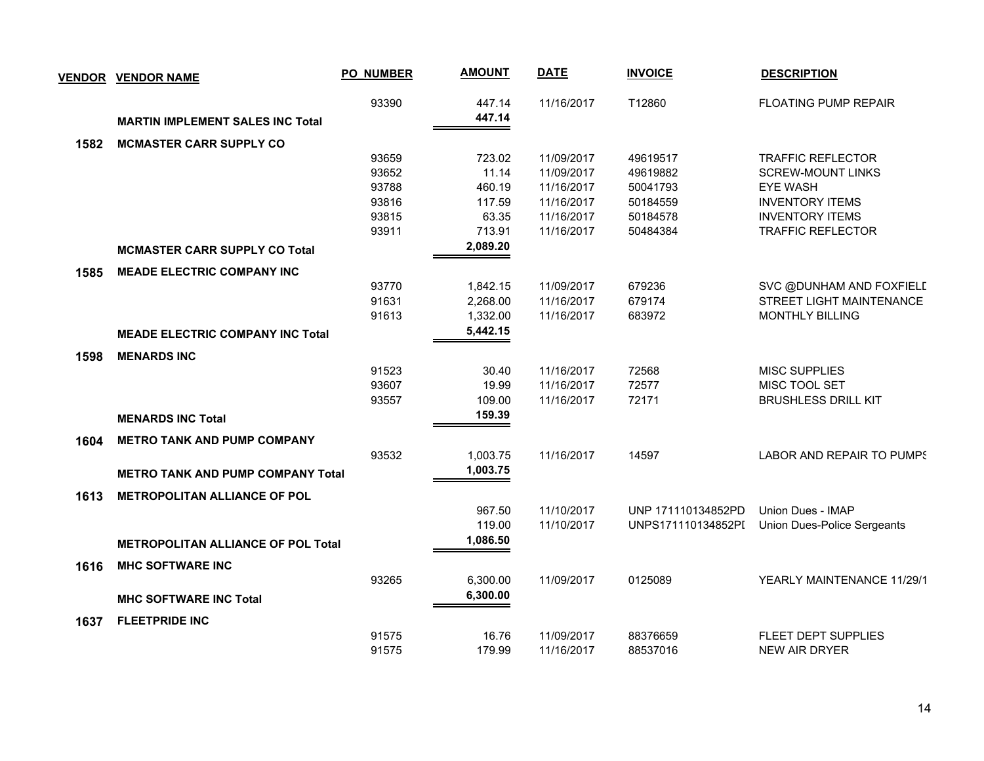| <b>VENDOR</b> | <b>VENDOR NAME</b>                        | <b>PO_NUMBER</b> | <b>AMOUNT</b> | <b>DATE</b> | <b>INVOICE</b>     | <b>DESCRIPTION</b>          |
|---------------|-------------------------------------------|------------------|---------------|-------------|--------------------|-----------------------------|
|               |                                           | 93390            | 447.14        | 11/16/2017  | T12860             | <b>FLOATING PUMP REPAIR</b> |
|               | <b>MARTIN IMPLEMENT SALES INC Total</b>   |                  | 447.14        |             |                    |                             |
| 1582          | <b>MCMASTER CARR SUPPLY CO</b>            |                  |               |             |                    |                             |
|               |                                           | 93659            | 723.02        | 11/09/2017  | 49619517           | <b>TRAFFIC REFLECTOR</b>    |
|               |                                           | 93652            | 11.14         | 11/09/2017  | 49619882           | <b>SCREW-MOUNT LINKS</b>    |
|               |                                           | 93788            | 460.19        | 11/16/2017  | 50041793           | <b>EYE WASH</b>             |
|               |                                           | 93816            | 117.59        | 11/16/2017  | 50184559           | <b>INVENTORY ITEMS</b>      |
|               |                                           | 93815            | 63.35         | 11/16/2017  | 50184578           | <b>INVENTORY ITEMS</b>      |
|               |                                           | 93911            | 713.91        | 11/16/2017  | 50484384           | <b>TRAFFIC REFLECTOR</b>    |
|               | <b>MCMASTER CARR SUPPLY CO Total</b>      |                  | 2,089.20      |             |                    |                             |
| 1585          | <b>MEADE ELECTRIC COMPANY INC</b>         |                  |               |             |                    |                             |
|               |                                           | 93770            | 1,842.15      | 11/09/2017  | 679236             | SVC @DUNHAM AND FOXFIELD    |
|               |                                           | 91631            | 2,268.00      | 11/16/2017  | 679174             | STREET LIGHT MAINTENANCE    |
|               |                                           | 91613            | 1,332.00      | 11/16/2017  | 683972             | <b>MONTHLY BILLING</b>      |
|               | <b>MEADE ELECTRIC COMPANY INC Total</b>   |                  | 5,442.15      |             |                    |                             |
| 1598          | <b>MENARDS INC</b>                        |                  |               |             |                    |                             |
|               |                                           | 91523            | 30.40         | 11/16/2017  | 72568              | <b>MISC SUPPLIES</b>        |
|               |                                           | 93607            | 19.99         | 11/16/2017  | 72577              | MISC TOOL SET               |
|               |                                           | 93557            | 109.00        | 11/16/2017  | 72171              | <b>BRUSHLESS DRILL KIT</b>  |
|               | <b>MENARDS INC Total</b>                  |                  | 159.39        |             |                    |                             |
| 1604          | <b>METRO TANK AND PUMP COMPANY</b>        |                  |               |             |                    |                             |
|               |                                           | 93532            | 1,003.75      | 11/16/2017  | 14597              | LABOR AND REPAIR TO PUMPS   |
|               | <b>METRO TANK AND PUMP COMPANY Total</b>  |                  | 1,003.75      |             |                    |                             |
| 1613          | <b>METROPOLITAN ALLIANCE OF POL</b>       |                  |               |             |                    |                             |
|               |                                           |                  | 967.50        | 11/10/2017  | UNP 171110134852PD | Union Dues - IMAP           |
|               |                                           |                  | 119.00        | 11/10/2017  | UNPS171110134852PI | Union Dues-Police Sergeants |
|               | <b>METROPOLITAN ALLIANCE OF POL Total</b> |                  | 1,086.50      |             |                    |                             |
| 1616          | <b>MHC SOFTWARE INC</b>                   |                  |               |             |                    |                             |
|               |                                           | 93265            | 6,300.00      | 11/09/2017  | 0125089            | YEARLY MAINTENANCE 11/29/1  |
|               | <b>MHC SOFTWARE INC Total</b>             |                  | 6,300.00      |             |                    |                             |
|               |                                           |                  |               |             |                    |                             |
| 1637          | <b>FLEETPRIDE INC</b>                     | 91575            | 16.76         | 11/09/2017  | 88376659           | FLEET DEPT SUPPLIES         |
|               |                                           | 91575            | 179.99        | 11/16/2017  | 88537016           | <b>NEW AIR DRYER</b>        |
|               |                                           |                  |               |             |                    |                             |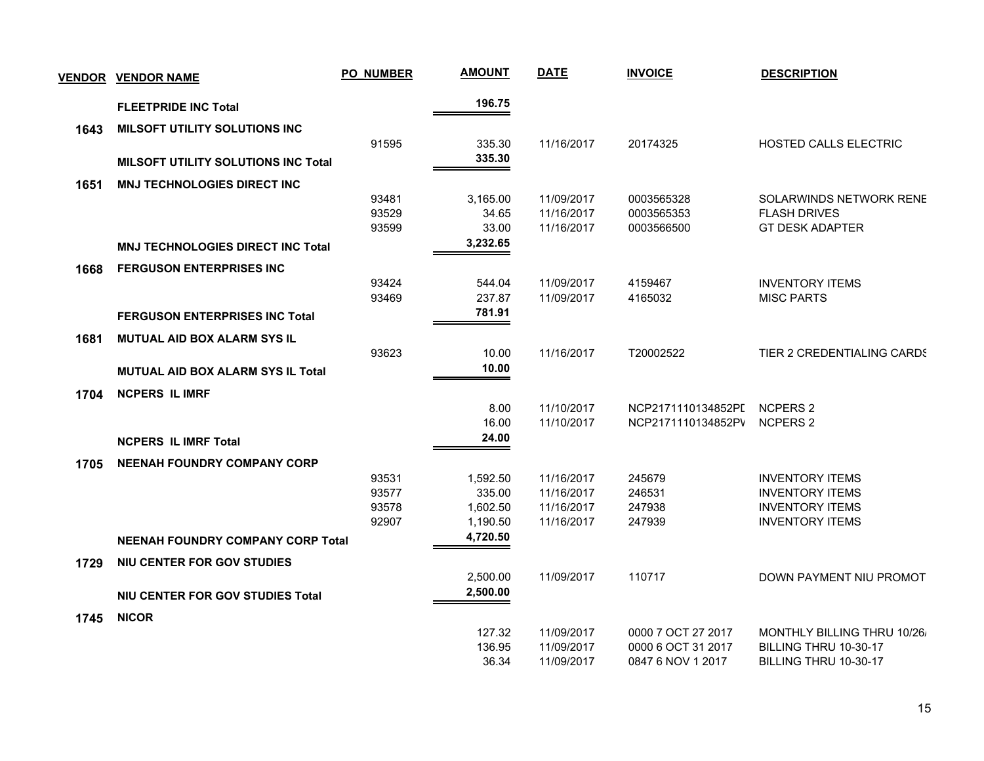|      | <b>VENDOR VENDOR NAME</b>                  | <b>PO_NUMBER</b> | <b>AMOUNT</b> | <b>DATE</b> | <b>INVOICE</b>     | <b>DESCRIPTION</b>          |
|------|--------------------------------------------|------------------|---------------|-------------|--------------------|-----------------------------|
|      | <b>FLEETPRIDE INC Total</b>                |                  | 196.75        |             |                    |                             |
| 1643 | MILSOFT UTILITY SOLUTIONS INC              |                  |               |             |                    |                             |
|      |                                            | 91595            | 335.30        | 11/16/2017  | 20174325           | HOSTED CALLS ELECTRIC       |
|      | <b>MILSOFT UTILITY SOLUTIONS INC Total</b> |                  | 335.30        |             |                    |                             |
| 1651 | <b>MNJ TECHNOLOGIES DIRECT INC</b>         |                  |               |             |                    |                             |
|      |                                            | 93481            | 3,165.00      | 11/09/2017  | 0003565328         | SOLARWINDS NETWORK RENE     |
|      |                                            | 93529            | 34.65         | 11/16/2017  | 0003565353         | <b>FLASH DRIVES</b>         |
|      |                                            | 93599            | 33.00         | 11/16/2017  | 0003566500         | <b>GT DESK ADAPTER</b>      |
|      | <b>MNJ TECHNOLOGIES DIRECT INC Total</b>   |                  | 3,232.65      |             |                    |                             |
| 1668 | <b>FERGUSON ENTERPRISES INC</b>            |                  |               |             |                    |                             |
|      |                                            | 93424            | 544.04        | 11/09/2017  | 4159467            | <b>INVENTORY ITEMS</b>      |
|      |                                            | 93469            | 237.87        | 11/09/2017  | 4165032            | <b>MISC PARTS</b>           |
|      | <b>FERGUSON ENTERPRISES INC Total</b>      |                  | 781.91        |             |                    |                             |
| 1681 | <b>MUTUAL AID BOX ALARM SYS IL</b>         |                  |               |             |                    |                             |
|      |                                            | 93623            | 10.00         | 11/16/2017  | T20002522          | TIER 2 CREDENTIALING CARDS  |
|      | <b>MUTUAL AID BOX ALARM SYS IL Total</b>   |                  | 10.00         |             |                    |                             |
| 1704 | <b>NCPERS IL IMRF</b>                      |                  |               |             |                    |                             |
|      |                                            |                  | 8.00          | 11/10/2017  | NCP2171110134852PI | <b>NCPERS 2</b>             |
|      |                                            |                  | 16.00         | 11/10/2017  | NCP2171110134852PV | <b>NCPERS 2</b>             |
|      | <b>NCPERS IL IMRF Total</b>                |                  | 24.00         |             |                    |                             |
| 1705 | <b>NEENAH FOUNDRY COMPANY CORP</b>         |                  |               |             |                    |                             |
|      |                                            | 93531            | 1,592.50      | 11/16/2017  | 245679             | <b>INVENTORY ITEMS</b>      |
|      |                                            | 93577            | 335.00        | 11/16/2017  | 246531             | <b>INVENTORY ITEMS</b>      |
|      |                                            | 93578            | 1,602.50      | 11/16/2017  | 247938             | <b>INVENTORY ITEMS</b>      |
|      |                                            | 92907            | 1,190.50      | 11/16/2017  | 247939             | <b>INVENTORY ITEMS</b>      |
|      | <b>NEENAH FOUNDRY COMPANY CORP Total</b>   |                  | 4,720.50      |             |                    |                             |
| 1729 | NIU CENTER FOR GOV STUDIES                 |                  |               |             |                    |                             |
|      |                                            |                  | 2,500.00      | 11/09/2017  | 110717             | DOWN PAYMENT NIU PROMOT     |
|      | NIU CENTER FOR GOV STUDIES Total           |                  | 2,500.00      |             |                    |                             |
| 1745 | <b>NICOR</b>                               |                  |               |             |                    |                             |
|      |                                            |                  | 127.32        | 11/09/2017  | 0000 7 OCT 27 2017 | MONTHLY BILLING THRU 10/26/ |
|      |                                            |                  | 136.95        | 11/09/2017  | 0000 6 OCT 31 2017 | BILLING THRU 10-30-17       |
|      |                                            |                  | 36.34         | 11/09/2017  | 0847 6 NOV 1 2017  | BILLING THRU 10-30-17       |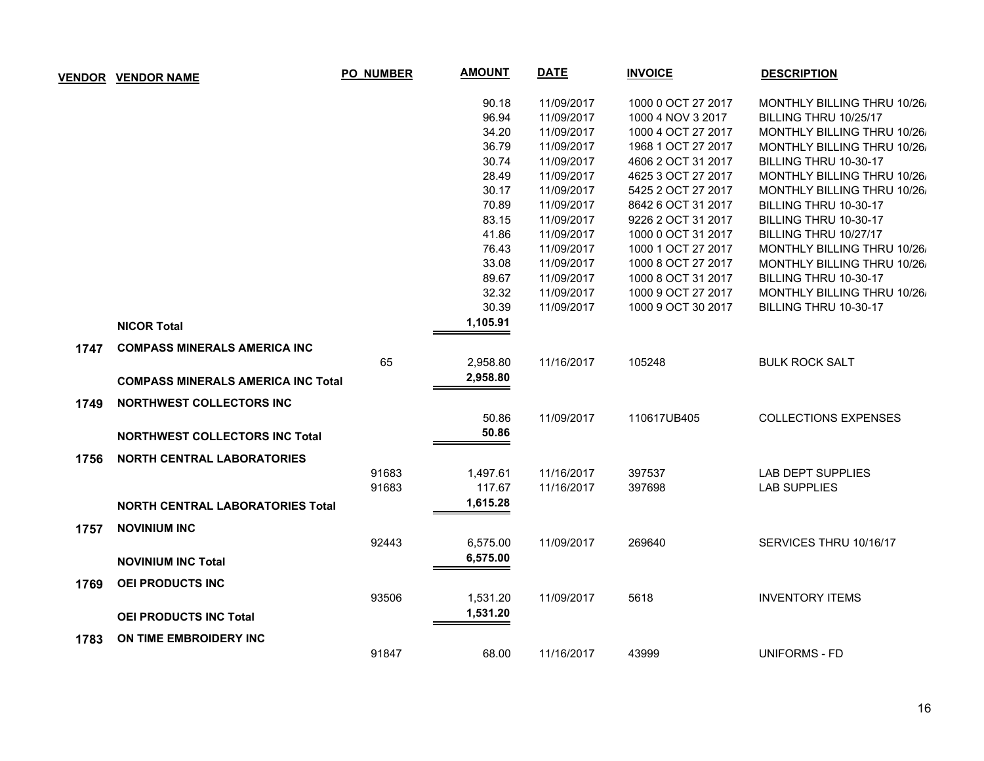| <b>VENDOR</b> | <b>VENDOR NAME</b>                        | <b>PO_NUMBER</b> | <b>AMOUNT</b> | <b>DATE</b> | <b>INVOICE</b>     | <b>DESCRIPTION</b>          |
|---------------|-------------------------------------------|------------------|---------------|-------------|--------------------|-----------------------------|
|               |                                           |                  | 90.18         | 11/09/2017  | 1000 0 OCT 27 2017 | MONTHLY BILLING THRU 10/26/ |
|               |                                           |                  | 96.94         | 11/09/2017  | 1000 4 NOV 3 2017  | BILLING THRU 10/25/17       |
|               |                                           |                  | 34.20         | 11/09/2017  | 1000 4 OCT 27 2017 | MONTHLY BILLING THRU 10/26/ |
|               |                                           |                  | 36.79         | 11/09/2017  | 1968 1 OCT 27 2017 | MONTHLY BILLING THRU 10/26/ |
|               |                                           |                  | 30.74         | 11/09/2017  | 4606 2 OCT 31 2017 | BILLING THRU 10-30-17       |
|               |                                           |                  | 28.49         | 11/09/2017  | 4625 3 OCT 27 2017 | MONTHLY BILLING THRU 10/26/ |
|               |                                           |                  | 30.17         | 11/09/2017  | 5425 2 OCT 27 2017 | MONTHLY BILLING THRU 10/26/ |
|               |                                           |                  | 70.89         | 11/09/2017  | 8642 6 OCT 31 2017 | BILLING THRU 10-30-17       |
|               |                                           |                  | 83.15         | 11/09/2017  | 9226 2 OCT 31 2017 | BILLING THRU 10-30-17       |
|               |                                           |                  | 41.86         | 11/09/2017  | 1000 0 OCT 31 2017 | BILLING THRU 10/27/17       |
|               |                                           |                  | 76.43         | 11/09/2017  | 1000 1 OCT 27 2017 | MONTHLY BILLING THRU 10/26/ |
|               |                                           |                  | 33.08         | 11/09/2017  | 1000 8 OCT 27 2017 | MONTHLY BILLING THRU 10/26/ |
|               |                                           |                  | 89.67         | 11/09/2017  | 1000 8 OCT 31 2017 | BILLING THRU 10-30-17       |
|               |                                           |                  | 32.32         | 11/09/2017  | 1000 9 OCT 27 2017 | MONTHLY BILLING THRU 10/26/ |
|               |                                           |                  | 30.39         | 11/09/2017  | 1000 9 OCT 30 2017 | BILLING THRU 10-30-17       |
|               | <b>NICOR Total</b>                        |                  | 1,105.91      |             |                    |                             |
| 1747          | <b>COMPASS MINERALS AMERICA INC</b>       |                  |               |             |                    |                             |
|               |                                           | 65               | 2,958.80      | 11/16/2017  | 105248             | <b>BULK ROCK SALT</b>       |
|               | <b>COMPASS MINERALS AMERICA INC Total</b> |                  | 2,958.80      |             |                    |                             |
| 1749          | <b>NORTHWEST COLLECTORS INC</b>           |                  |               |             |                    |                             |
|               |                                           |                  | 50.86         | 11/09/2017  | 110617UB405        | <b>COLLECTIONS EXPENSES</b> |
|               | <b>NORTHWEST COLLECTORS INC Total</b>     |                  | 50.86         |             |                    |                             |
| 1756          | <b>NORTH CENTRAL LABORATORIES</b>         |                  |               |             |                    |                             |
|               |                                           | 91683            | 1,497.61      | 11/16/2017  | 397537             | <b>LAB DEPT SUPPLIES</b>    |
|               |                                           | 91683            | 117.67        | 11/16/2017  | 397698             | <b>LAB SUPPLIES</b>         |
|               | NORTH CENTRAL LABORATORIES Total          |                  | 1,615.28      |             |                    |                             |
| 1757          | <b>NOVINIUM INC</b>                       |                  |               |             |                    |                             |
|               |                                           | 92443            | 6,575.00      | 11/09/2017  | 269640             | SERVICES THRU 10/16/17      |
|               |                                           |                  | 6,575.00      |             |                    |                             |
|               | <b>NOVINIUM INC Total</b>                 |                  |               |             |                    |                             |
| 1769          | <b>OEI PRODUCTS INC</b>                   |                  |               |             |                    |                             |
|               |                                           | 93506            | 1,531.20      | 11/09/2017  | 5618               | <b>INVENTORY ITEMS</b>      |
|               | <b>OEI PRODUCTS INC Total</b>             |                  | 1,531.20      |             |                    |                             |
| 1783          | ON TIME EMBROIDERY INC.                   |                  |               |             |                    |                             |
|               |                                           | 91847            | 68.00         | 11/16/2017  | 43999              | UNIFORMS - FD               |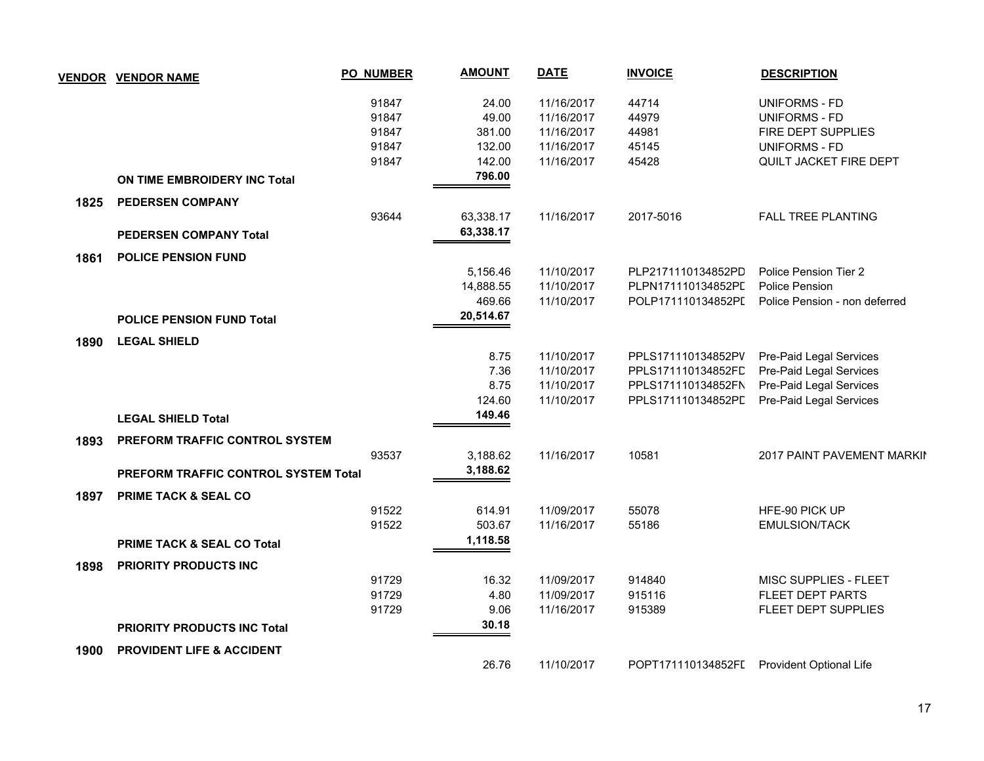|      | <b>VENDOR VENDOR NAME</b>                   | <b>PO_NUMBER</b> | <b>AMOUNT</b> | <b>DATE</b> | <b>INVOICE</b>     | <b>DESCRIPTION</b>             |
|------|---------------------------------------------|------------------|---------------|-------------|--------------------|--------------------------------|
|      |                                             | 91847            | 24.00         | 11/16/2017  | 44714              | <b>UNIFORMS - FD</b>           |
|      |                                             | 91847            | 49.00         | 11/16/2017  | 44979              | <b>UNIFORMS - FD</b>           |
|      |                                             | 91847            | 381.00        | 11/16/2017  | 44981              | FIRE DEPT SUPPLIES             |
|      |                                             | 91847            | 132.00        | 11/16/2017  | 45145              | <b>UNIFORMS - FD</b>           |
|      |                                             | 91847            | 142.00        | 11/16/2017  | 45428              | QUILT JACKET FIRE DEPT         |
|      | ON TIME EMBROIDERY INC Total                |                  | 796.00        |             |                    |                                |
| 1825 | <b>PEDERSEN COMPANY</b>                     |                  |               |             |                    |                                |
|      |                                             | 93644            | 63,338.17     | 11/16/2017  | 2017-5016          | <b>FALL TREE PLANTING</b>      |
|      | <b>PEDERSEN COMPANY Total</b>               |                  | 63,338.17     |             |                    |                                |
| 1861 | <b>POLICE PENSION FUND</b>                  |                  |               |             |                    |                                |
|      |                                             |                  | 5,156.46      | 11/10/2017  | PLP2171110134852PD | Police Pension Tier 2          |
|      |                                             |                  | 14,888.55     | 11/10/2017  | PLPN171110134852PL | Police Pension                 |
|      |                                             |                  | 469.66        | 11/10/2017  | POLP171110134852PI | Police Pension - non deferred  |
|      | <b>POLICE PENSION FUND Total</b>            |                  | 20,514.67     |             |                    |                                |
| 1890 | <b>LEGAL SHIELD</b>                         |                  |               |             |                    |                                |
|      |                                             |                  | 8.75          | 11/10/2017  | PPLS171110134852PV | Pre-Paid Legal Services        |
|      |                                             |                  | 7.36          | 11/10/2017  | PPLS171110134852FD | Pre-Paid Legal Services        |
|      |                                             |                  | 8.75          | 11/10/2017  | PPLS171110134852FN | Pre-Paid Legal Services        |
|      |                                             |                  | 124.60        | 11/10/2017  | PPLS171110134852PD | Pre-Paid Legal Services        |
|      | <b>LEGAL SHIELD Total</b>                   |                  | 149.46        |             |                    |                                |
| 1893 | PREFORM TRAFFIC CONTROL SYSTEM              |                  |               |             |                    |                                |
|      |                                             | 93537            | 3,188.62      | 11/16/2017  | 10581              | 2017 PAINT PAVEMENT MARKIN     |
|      | <b>PREFORM TRAFFIC CONTROL SYSTEM Total</b> |                  | 3,188.62      |             |                    |                                |
| 1897 | <b>PRIME TACK &amp; SEAL CO</b>             |                  |               |             |                    |                                |
|      |                                             | 91522            | 614.91        | 11/09/2017  | 55078              | HFE-90 PICK UP                 |
|      |                                             | 91522            | 503.67        | 11/16/2017  | 55186              | <b>EMULSION/TACK</b>           |
|      | <b>PRIME TACK &amp; SEAL CO Total</b>       |                  | 1,118.58      |             |                    |                                |
| 1898 | <b>PRIORITY PRODUCTS INC</b>                |                  |               |             |                    |                                |
|      |                                             | 91729            | 16.32         | 11/09/2017  | 914840             | MISC SUPPLIES - FLEET          |
|      |                                             | 91729            | 4.80          | 11/09/2017  | 915116             | FLEET DEPT PARTS               |
|      |                                             | 91729            | 9.06          | 11/16/2017  | 915389             | FLEET DEPT SUPPLIES            |
|      | <b>PRIORITY PRODUCTS INC Total</b>          |                  | 30.18         |             |                    |                                |
| 1900 | <b>PROVIDENT LIFE &amp; ACCIDENT</b>        |                  |               |             |                    |                                |
|      |                                             |                  | 26.76         | 11/10/2017  | POPT171110134852FI | <b>Provident Optional Life</b> |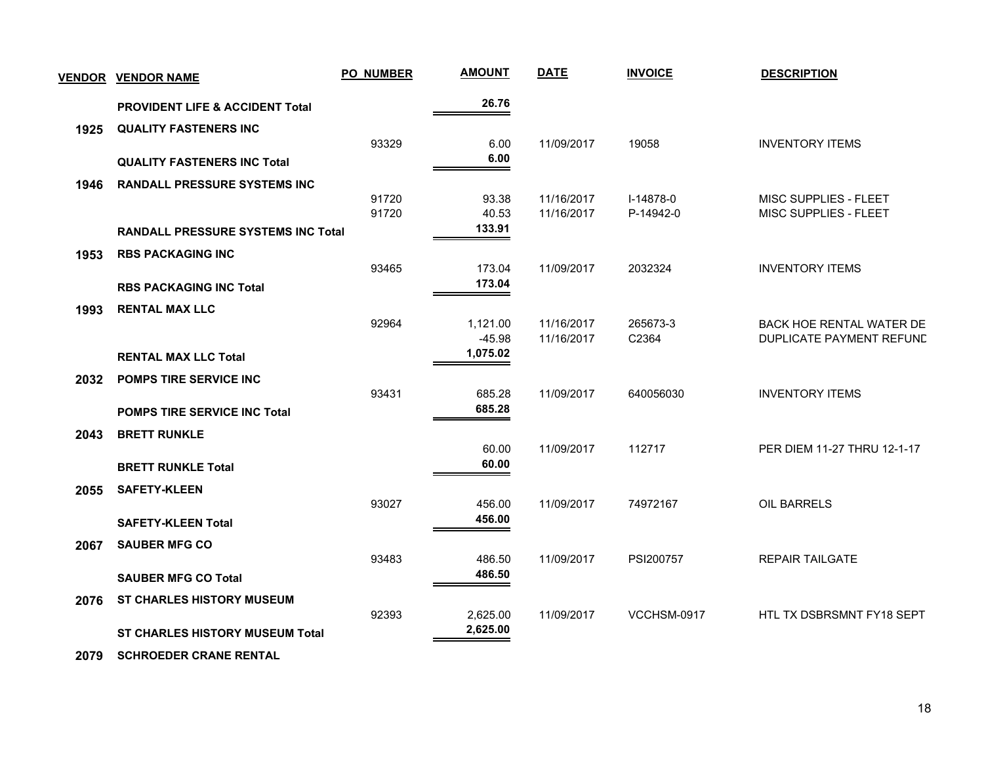| <b>VENDOR</b> | <b>VENDOR NAME</b>                         | <b>PO_NUMBER</b> | <b>AMOUNT</b>        | <b>DATE</b> | <b>INVOICE</b> | <b>DESCRIPTION</b>          |
|---------------|--------------------------------------------|------------------|----------------------|-------------|----------------|-----------------------------|
|               | <b>PROVIDENT LIFE &amp; ACCIDENT Total</b> |                  | 26.76                |             |                |                             |
| 1925          | <b>QUALITY FASTENERS INC</b>               |                  |                      |             |                |                             |
|               | <b>QUALITY FASTENERS INC Total</b>         | 93329            | 6.00<br>6.00         | 11/09/2017  | 19058          | <b>INVENTORY ITEMS</b>      |
| 1946          | <b>RANDALL PRESSURE SYSTEMS INC</b>        |                  |                      |             |                |                             |
|               |                                            | 91720            | 93.38                | 11/16/2017  | I-14878-0      | MISC SUPPLIES - FLEET       |
|               | <b>RANDALL PRESSURE SYSTEMS INC Total</b>  | 91720            | 40.53<br>133.91      | 11/16/2017  | P-14942-0      | MISC SUPPLIES - FLEET       |
| 1953          | <b>RBS PACKAGING INC</b>                   |                  |                      |             |                |                             |
|               |                                            | 93465            | 173.04               | 11/09/2017  | 2032324        | <b>INVENTORY ITEMS</b>      |
|               | <b>RBS PACKAGING INC Total</b>             |                  | 173.04               |             |                |                             |
| 1993          | <b>RENTAL MAX LLC</b>                      |                  |                      |             |                |                             |
|               |                                            | 92964            | 1,121.00             | 11/16/2017  | 265673-3       | BACK HOE RENTAL WATER DE    |
|               |                                            |                  | $-45.98$<br>1,075.02 | 11/16/2017  | C2364          | DUPLICATE PAYMENT REFUND    |
|               | <b>RENTAL MAX LLC Total</b>                |                  |                      |             |                |                             |
| 2032          | POMPS TIRE SERVICE INC                     | 93431            | 685.28               | 11/09/2017  | 640056030      | <b>INVENTORY ITEMS</b>      |
|               | <b>POMPS TIRE SERVICE INC Total</b>        |                  | 685.28               |             |                |                             |
| 2043          | <b>BRETT RUNKLE</b>                        |                  |                      |             |                |                             |
|               |                                            |                  | 60.00                | 11/09/2017  | 112717         | PER DIEM 11-27 THRU 12-1-17 |
|               | <b>BRETT RUNKLE Total</b>                  |                  | 60.00                |             |                |                             |
| 2055          | <b>SAFETY-KLEEN</b>                        |                  |                      |             |                |                             |
|               |                                            | 93027            | 456.00               | 11/09/2017  | 74972167       | <b>OIL BARRELS</b>          |
|               | <b>SAFETY-KLEEN Total</b>                  |                  | 456.00               |             |                |                             |
| 2067          | <b>SAUBER MFG CO</b>                       |                  |                      |             |                |                             |
|               | <b>SAUBER MFG CO Total</b>                 | 93483            | 486.50<br>486.50     | 11/09/2017  | PSI200757      | <b>REPAIR TAILGATE</b>      |
| 2076          | <b>ST CHARLES HISTORY MUSEUM</b>           |                  |                      |             |                |                             |
|               |                                            | 92393            | 2,625.00             | 11/09/2017  | VCCHSM-0917    | HTL TX DSBRSMNT FY18 SEPT   |
|               | <b>ST CHARLES HISTORY MUSEUM Total</b>     |                  | 2,625.00             |             |                |                             |
|               |                                            |                  |                      |             |                |                             |

 **2079 SCHROEDER CRANE RENTAL**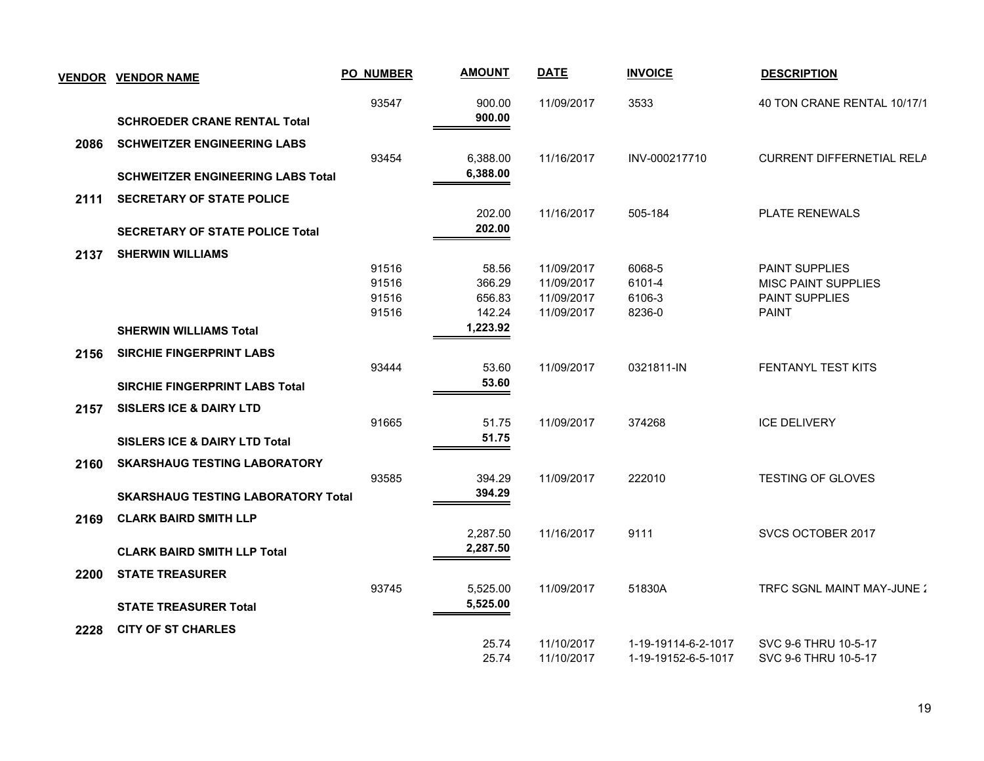| <b>VENDOR</b> | <b>VENDOR NAME</b>                        | <b>PO_NUMBER</b> | <b>AMOUNT</b> | <b>DATE</b> | <b>INVOICE</b>      | <b>DESCRIPTION</b>          |
|---------------|-------------------------------------------|------------------|---------------|-------------|---------------------|-----------------------------|
|               |                                           | 93547            | 900.00        | 11/09/2017  | 3533                | 40 TON CRANE RENTAL 10/17/1 |
|               | <b>SCHROEDER CRANE RENTAL Total</b>       |                  | 900.00        |             |                     |                             |
| 2086          | <b>SCHWEITZER ENGINEERING LABS</b>        |                  |               |             |                     |                             |
|               |                                           | 93454            | 6,388.00      | 11/16/2017  | INV-000217710       | CURRENT DIFFERNETIAL RELA   |
|               | <b>SCHWEITZER ENGINEERING LABS Total</b>  |                  | 6,388.00      |             |                     |                             |
| 2111          | <b>SECRETARY OF STATE POLICE</b>          |                  |               |             |                     |                             |
|               |                                           |                  | 202.00        | 11/16/2017  | 505-184             | <b>PLATE RENEWALS</b>       |
|               | <b>SECRETARY OF STATE POLICE Total</b>    |                  | 202.00        |             |                     |                             |
| 2137          | <b>SHERWIN WILLIAMS</b>                   |                  |               |             |                     |                             |
|               |                                           | 91516            | 58.56         | 11/09/2017  | 6068-5              | <b>PAINT SUPPLIES</b>       |
|               |                                           | 91516            | 366.29        | 11/09/2017  | 6101-4              | <b>MISC PAINT SUPPLIES</b>  |
|               |                                           | 91516            | 656.83        | 11/09/2017  | 6106-3              | PAINT SUPPLIES              |
|               |                                           | 91516            | 142.24        | 11/09/2017  | 8236-0              | <b>PAINT</b>                |
|               | <b>SHERWIN WILLIAMS Total</b>             |                  | 1,223.92      |             |                     |                             |
| 2156          | <b>SIRCHIE FINGERPRINT LABS</b>           |                  |               |             |                     |                             |
|               |                                           | 93444            | 53.60         | 11/09/2017  | 0321811-IN          | FENTANYL TEST KITS          |
|               | <b>SIRCHIE FINGERPRINT LABS Total</b>     |                  | 53.60         |             |                     |                             |
| 2157          | <b>SISLERS ICE &amp; DAIRY LTD</b>        |                  |               |             |                     |                             |
|               |                                           | 91665            | 51.75         | 11/09/2017  | 374268              | <b>ICE DELIVERY</b>         |
|               | <b>SISLERS ICE &amp; DAIRY LTD Total</b>  |                  | 51.75         |             |                     |                             |
| 2160          | <b>SKARSHAUG TESTING LABORATORY</b>       |                  |               |             |                     |                             |
|               |                                           | 93585            | 394.29        | 11/09/2017  | 222010              | <b>TESTING OF GLOVES</b>    |
|               | <b>SKARSHAUG TESTING LABORATORY Total</b> |                  | 394.29        |             |                     |                             |
| 2169          | <b>CLARK BAIRD SMITH LLP</b>              |                  |               |             |                     |                             |
|               |                                           |                  | 2,287.50      | 11/16/2017  | 9111                | SVCS OCTOBER 2017           |
|               | <b>CLARK BAIRD SMITH LLP Total</b>        |                  | 2,287.50      |             |                     |                             |
| 2200          | <b>STATE TREASURER</b>                    |                  |               |             |                     |                             |
|               |                                           | 93745            | 5,525.00      | 11/09/2017  | 51830A              | TRFC SGNL MAINT MAY-JUNE:   |
|               |                                           |                  |               |             |                     |                             |
|               |                                           |                  | 5,525.00      |             |                     |                             |
|               | <b>STATE TREASURER Total</b>              |                  |               |             |                     |                             |
| 2228          | <b>CITY OF ST CHARLES</b>                 |                  | 25.74         | 11/10/2017  | 1-19-19114-6-2-1017 | SVC 9-6 THRU 10-5-17        |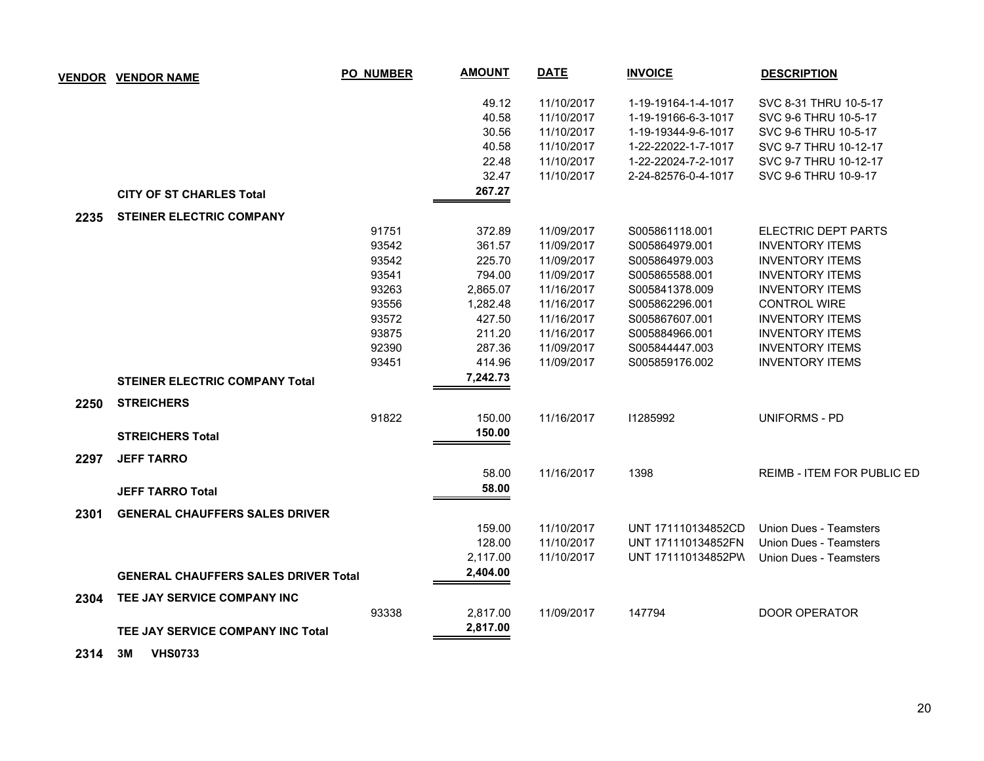| <b>VENDOR</b> | <b>VENDOR NAME</b>                          | <b>PO_NUMBER</b> | <b>AMOUNT</b> | <b>DATE</b> | <b>INVOICE</b>      | <b>DESCRIPTION</b>         |
|---------------|---------------------------------------------|------------------|---------------|-------------|---------------------|----------------------------|
|               |                                             |                  | 49.12         | 11/10/2017  | 1-19-19164-1-4-1017 | SVC 8-31 THRU 10-5-17      |
|               |                                             |                  | 40.58         | 11/10/2017  | 1-19-19166-6-3-1017 | SVC 9-6 THRU 10-5-17       |
|               |                                             |                  | 30.56         | 11/10/2017  | 1-19-19344-9-6-1017 | SVC 9-6 THRU 10-5-17       |
|               |                                             |                  | 40.58         | 11/10/2017  | 1-22-22022-1-7-1017 | SVC 9-7 THRU 10-12-17      |
|               |                                             |                  | 22.48         | 11/10/2017  | 1-22-22024-7-2-1017 | SVC 9-7 THRU 10-12-17      |
|               |                                             |                  | 32.47         | 11/10/2017  | 2-24-82576-0-4-1017 | SVC 9-6 THRU 10-9-17       |
|               | <b>CITY OF ST CHARLES Total</b>             |                  | 267.27        |             |                     |                            |
| 2235          | <b>STEINER ELECTRIC COMPANY</b>             |                  |               |             |                     |                            |
|               |                                             | 91751            | 372.89        | 11/09/2017  | S005861118.001      | ELECTRIC DEPT PARTS        |
|               |                                             | 93542            | 361.57        | 11/09/2017  | S005864979.001      | <b>INVENTORY ITEMS</b>     |
|               |                                             | 93542            | 225.70        | 11/09/2017  | S005864979.003      | <b>INVENTORY ITEMS</b>     |
|               |                                             | 93541            | 794.00        | 11/09/2017  | S005865588.001      | <b>INVENTORY ITEMS</b>     |
|               |                                             | 93263            | 2,865.07      | 11/16/2017  | S005841378.009      | <b>INVENTORY ITEMS</b>     |
|               |                                             | 93556            | 1,282.48      | 11/16/2017  | S005862296.001      | <b>CONTROL WIRE</b>        |
|               |                                             | 93572            | 427.50        | 11/16/2017  | S005867607.001      | <b>INVENTORY ITEMS</b>     |
|               |                                             | 93875            | 211.20        | 11/16/2017  | S005884966.001      | <b>INVENTORY ITEMS</b>     |
|               |                                             | 92390            | 287.36        | 11/09/2017  | S005844447.003      | <b>INVENTORY ITEMS</b>     |
|               |                                             | 93451            | 414.96        | 11/09/2017  | S005859176.002      | <b>INVENTORY ITEMS</b>     |
|               | <b>STEINER ELECTRIC COMPANY Total</b>       |                  | 7,242.73      |             |                     |                            |
| 2250          | <b>STREICHERS</b>                           |                  |               |             |                     |                            |
|               |                                             | 91822            | 150.00        | 11/16/2017  | 11285992            | <b>UNIFORMS - PD</b>       |
|               | <b>STREICHERS Total</b>                     |                  | 150.00        |             |                     |                            |
| 2297          | <b>JEFF TARRO</b>                           |                  |               |             |                     |                            |
|               |                                             |                  | 58.00         | 11/16/2017  | 1398                | REIMB - ITEM FOR PUBLIC ED |
|               | <b>JEFF TARRO Total</b>                     |                  | 58.00         |             |                     |                            |
| 2301          | <b>GENERAL CHAUFFERS SALES DRIVER</b>       |                  |               |             |                     |                            |
|               |                                             |                  | 159.00        | 11/10/2017  | UNT 171110134852CD  | Union Dues - Teamsters     |
|               |                                             |                  | 128.00        | 11/10/2017  | UNT 171110134852FN  | Union Dues - Teamsters     |
|               |                                             |                  | 2,117.00      | 11/10/2017  | UNT 171110134852PW  | Union Dues - Teamsters     |
|               | <b>GENERAL CHAUFFERS SALES DRIVER Total</b> |                  | 2,404.00      |             |                     |                            |
| 2304          | TEE JAY SERVICE COMPANY INC                 |                  |               |             |                     |                            |
|               |                                             | 93338            | 2,817.00      | 11/09/2017  | 147794              | <b>DOOR OPERATOR</b>       |
|               | TEE JAY SERVICE COMPANY INC Total           |                  | 2,817.00      |             |                     |                            |
|               |                                             |                  |               |             |                     |                            |

 **2314 3M VHS0733**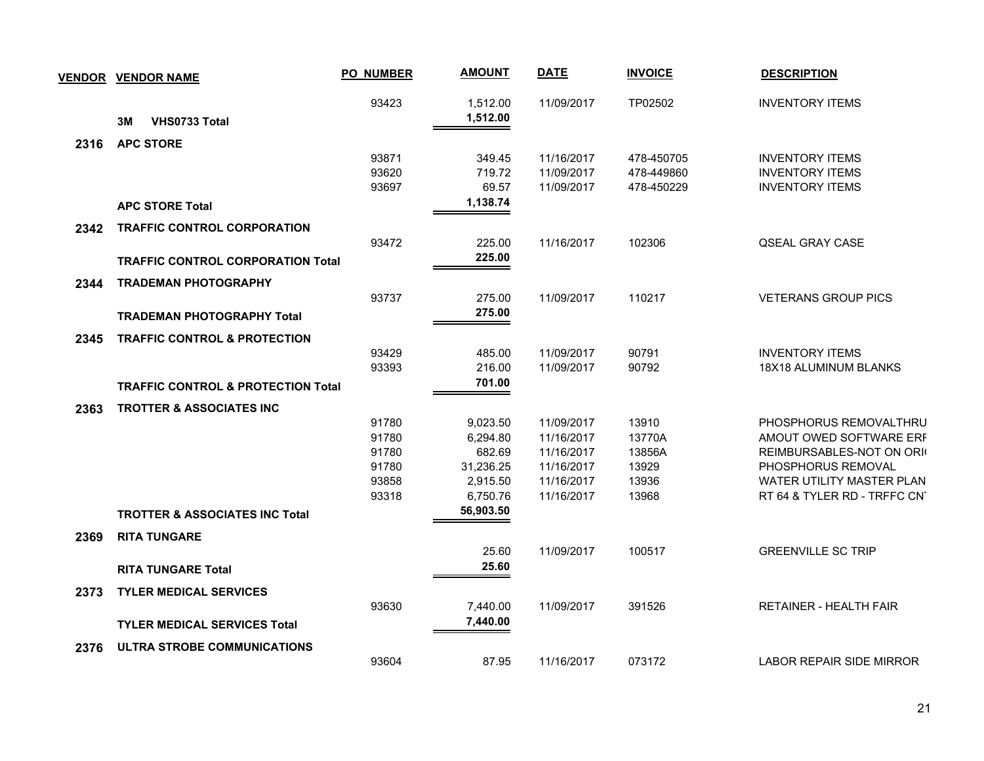|      | <b>VENDOR VENDOR NAME</b>                     | <b>PO_NUMBER</b> | <b>AMOUNT</b>        | <b>DATE</b>              | <b>INVOICE</b> | <b>DESCRIPTION</b>                                       |
|------|-----------------------------------------------|------------------|----------------------|--------------------------|----------------|----------------------------------------------------------|
|      | VHS0733 Total<br>3M                           | 93423            | 1,512.00<br>1,512.00 | 11/09/2017               | TP02502        | <b>INVENTORY ITEMS</b>                                   |
| 2316 | <b>APC STORE</b>                              |                  |                      |                          |                |                                                          |
|      |                                               | 93871            | 349.45               | 11/16/2017               | 478-450705     | <b>INVENTORY ITEMS</b>                                   |
|      |                                               | 93620            | 719.72               | 11/09/2017               | 478-449860     | <b>INVENTORY ITEMS</b>                                   |
|      |                                               | 93697            | 69.57                | 11/09/2017               | 478-450229     | <b>INVENTORY ITEMS</b>                                   |
|      | <b>APC STORE Total</b>                        |                  | 1,138.74             |                          |                |                                                          |
| 2342 | <b>TRAFFIC CONTROL CORPORATION</b>            |                  |                      |                          |                |                                                          |
|      |                                               | 93472            | 225.00               | 11/16/2017               | 102306         | <b>QSEAL GRAY CASE</b>                                   |
|      | <b>TRAFFIC CONTROL CORPORATION Total</b>      |                  | 225.00               |                          |                |                                                          |
| 2344 | <b>TRADEMAN PHOTOGRAPHY</b>                   |                  |                      |                          |                |                                                          |
|      |                                               | 93737            | 275.00               | 11/09/2017               | 110217         | <b>VETERANS GROUP PICS</b>                               |
|      | <b>TRADEMAN PHOTOGRAPHY Total</b>             |                  | 275.00               |                          |                |                                                          |
|      |                                               |                  |                      |                          |                |                                                          |
| 2345 | <b>TRAFFIC CONTROL &amp; PROTECTION</b>       |                  |                      |                          |                |                                                          |
|      |                                               | 93429            | 485.00               | 11/09/2017               | 90791<br>90792 | <b>INVENTORY ITEMS</b><br>18X18 ALUMINUM BLANKS          |
|      |                                               | 93393            | 216.00<br>701.00     | 11/09/2017               |                |                                                          |
|      | <b>TRAFFIC CONTROL &amp; PROTECTION Total</b> |                  |                      |                          |                |                                                          |
| 2363 | <b>TROTTER &amp; ASSOCIATES INC</b>           |                  |                      |                          |                |                                                          |
|      |                                               | 91780            | 9,023.50             | 11/09/2017               | 13910          | PHOSPHORUS REMOVALTHRU                                   |
|      |                                               | 91780            | 6,294.80             | 11/16/2017               | 13770A         | AMOUT OWED SOFTWARE ERF                                  |
|      |                                               | 91780            | 682.69               | 11/16/2017               | 13856A         | REIMBURSABLES-NOT ON ORK                                 |
|      |                                               | 91780            | 31,236.25            | 11/16/2017               | 13929          | PHOSPHORUS REMOVAL                                       |
|      |                                               | 93858<br>93318   | 2,915.50<br>6,750.76 | 11/16/2017<br>11/16/2017 | 13936<br>13968 | WATER UTILITY MASTER PLAN<br>RT 64 & TYLER RD - TRFFC CN |
|      |                                               |                  | 56,903.50            |                          |                |                                                          |
|      | <b>TROTTER &amp; ASSOCIATES INC Total</b>     |                  |                      |                          |                |                                                          |
| 2369 | <b>RITA TUNGARE</b>                           |                  |                      |                          |                |                                                          |
|      |                                               |                  | 25.60                | 11/09/2017               | 100517         | <b>GREENVILLE SC TRIP</b>                                |
|      | <b>RITA TUNGARE Total</b>                     |                  | 25.60                |                          |                |                                                          |
| 2373 | <b>TYLER MEDICAL SERVICES</b>                 |                  |                      |                          |                |                                                          |
|      |                                               | 93630            | 7,440.00             | 11/09/2017               | 391526         | <b>RETAINER - HEALTH FAIR</b>                            |
|      | <b>TYLER MEDICAL SERVICES Total</b>           |                  | 7,440.00             |                          |                |                                                          |
|      |                                               |                  |                      |                          |                |                                                          |
| 2376 | ULTRA STROBE COMMUNICATIONS                   | 93604            | 87.95                | 11/16/2017               | 073172         | <b>LABOR REPAIR SIDE MIRROR</b>                          |
|      |                                               |                  |                      |                          |                |                                                          |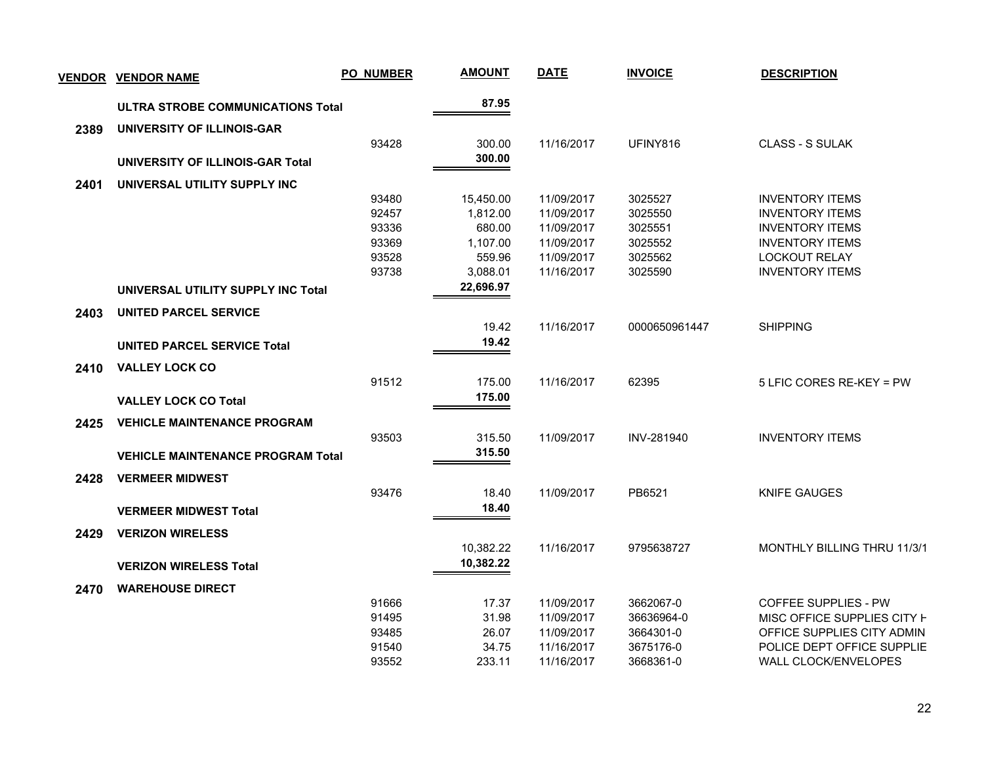| <b>VENDOR</b> | <b>VENDOR NAME</b>                       | <b>PO_NUMBER</b> | <b>AMOUNT</b> | <b>DATE</b> | <b>INVOICE</b>    | <b>DESCRIPTION</b>                 |
|---------------|------------------------------------------|------------------|---------------|-------------|-------------------|------------------------------------|
|               | ULTRA STROBE COMMUNICATIONS Total        |                  | 87.95         |             |                   |                                    |
| 2389          | UNIVERSITY OF ILLINOIS-GAR               |                  |               |             |                   |                                    |
|               |                                          | 93428            | 300.00        | 11/16/2017  | UFINY816          | <b>CLASS - S SULAK</b>             |
|               | UNIVERSITY OF ILLINOIS-GAR Total         |                  | 300.00        |             |                   |                                    |
| 2401          | UNIVERSAL UTILITY SUPPLY INC             |                  |               |             |                   |                                    |
|               |                                          | 93480            | 15,450.00     | 11/09/2017  | 3025527           | <b>INVENTORY ITEMS</b>             |
|               |                                          | 92457            | 1,812.00      | 11/09/2017  | 3025550           | <b>INVENTORY ITEMS</b>             |
|               |                                          | 93336            | 680.00        | 11/09/2017  | 3025551           | <b>INVENTORY ITEMS</b>             |
|               |                                          | 93369            | 1,107.00      | 11/09/2017  | 3025552           | <b>INVENTORY ITEMS</b>             |
|               |                                          | 93528            | 559.96        | 11/09/2017  | 3025562           | <b>LOCKOUT RELAY</b>               |
|               |                                          | 93738            | 3,088.01      | 11/16/2017  | 3025590           | <b>INVENTORY ITEMS</b>             |
|               | UNIVERSAL UTILITY SUPPLY INC Total       |                  | 22,696.97     |             |                   |                                    |
| 2403          | <b>UNITED PARCEL SERVICE</b>             |                  |               |             |                   |                                    |
|               |                                          |                  | 19.42         | 11/16/2017  | 0000650961447     | <b>SHIPPING</b>                    |
|               | <b>UNITED PARCEL SERVICE Total</b>       |                  | 19.42         |             |                   |                                    |
| 2410          | <b>VALLEY LOCK CO</b>                    |                  |               |             |                   |                                    |
|               |                                          | 91512            | 175.00        | 11/16/2017  | 62395             | 5 LFIC CORES RE-KEY = PW           |
|               |                                          |                  | 175.00        |             |                   |                                    |
|               | <b>VALLEY LOCK CO Total</b>              |                  |               |             |                   |                                    |
| 2425          | <b>VEHICLE MAINTENANCE PROGRAM</b>       |                  |               |             |                   |                                    |
|               |                                          | 93503            | 315.50        | 11/09/2017  | <b>INV-281940</b> | <b>INVENTORY ITEMS</b>             |
|               | <b>VEHICLE MAINTENANCE PROGRAM Total</b> |                  | 315.50        |             |                   |                                    |
| 2428          | <b>VERMEER MIDWEST</b>                   |                  |               |             |                   |                                    |
|               |                                          | 93476            | 18.40         | 11/09/2017  | PB6521            | <b>KNIFE GAUGES</b>                |
|               | <b>VERMEER MIDWEST Total</b>             |                  | 18.40         |             |                   |                                    |
| 2429          | <b>VERIZON WIRELESS</b>                  |                  |               |             |                   |                                    |
|               |                                          |                  | 10,382.22     | 11/16/2017  | 9795638727        | <b>MONTHLY BILLING THRU 11/3/1</b> |
|               | <b>VERIZON WIRELESS Total</b>            |                  | 10,382.22     |             |                   |                                    |
|               |                                          |                  |               |             |                   |                                    |
| 2470          | <b>WAREHOUSE DIRECT</b>                  | 91666            | 17.37         | 11/09/2017  | 3662067-0         | <b>COFFEE SUPPLIES - PW</b>        |
|               |                                          | 91495            | 31.98         | 11/09/2017  | 36636964-0        | MISC OFFICE SUPPLIES CITY <b>F</b> |
|               |                                          | 93485            | 26.07         | 11/09/2017  | 3664301-0         | OFFICE SUPPLIES CITY ADMIN         |
|               |                                          | 91540            | 34.75         | 11/16/2017  | 3675176-0         | POLICE DEPT OFFICE SUPPLIE         |
|               |                                          | 93552            | 233.11        | 11/16/2017  | 3668361-0         | WALL CLOCK/ENVELOPES               |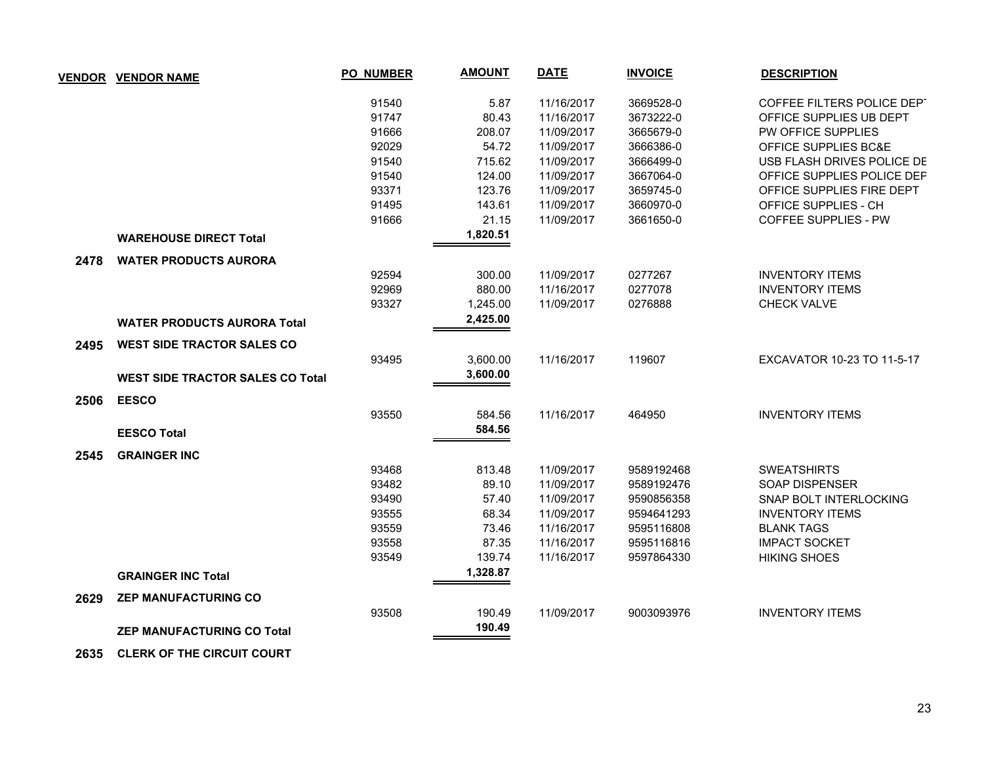|      | <b>VENDOR VENDOR NAME</b>               | <b>PO_NUMBER</b> | <b>AMOUNT</b> | <b>DATE</b> | <b>INVOICE</b> | <b>DESCRIPTION</b>          |
|------|-----------------------------------------|------------------|---------------|-------------|----------------|-----------------------------|
|      |                                         | 91540            | 5.87          | 11/16/2017  | 3669528-0      | COFFEE FILTERS POLICE DEPT  |
|      |                                         | 91747            | 80.43         | 11/16/2017  | 3673222-0      | OFFICE SUPPLIES UB DEPT     |
|      |                                         | 91666            | 208.07        | 11/09/2017  | 3665679-0      | PW OFFICE SUPPLIES          |
|      |                                         | 92029            | 54.72         | 11/09/2017  | 3666386-0      | OFFICE SUPPLIES BC&E        |
|      |                                         | 91540            | 715.62        | 11/09/2017  | 3666499-0      | USB FLASH DRIVES POLICE DE  |
|      |                                         | 91540            | 124.00        | 11/09/2017  | 3667064-0      | OFFICE SUPPLIES POLICE DEP  |
|      |                                         | 93371            | 123.76        | 11/09/2017  | 3659745-0      | OFFICE SUPPLIES FIRE DEPT   |
|      |                                         | 91495            | 143.61        | 11/09/2017  | 3660970-0      | OFFICE SUPPLIES - CH        |
|      |                                         | 91666            | 21.15         | 11/09/2017  | 3661650-0      | <b>COFFEE SUPPLIES - PW</b> |
|      | <b>WAREHOUSE DIRECT Total</b>           |                  | 1,820.51      |             |                |                             |
| 2478 | <b>WATER PRODUCTS AURORA</b>            |                  |               |             |                |                             |
|      |                                         | 92594            | 300.00        | 11/09/2017  | 0277267        | <b>INVENTORY ITEMS</b>      |
|      |                                         | 92969            | 880.00        | 11/16/2017  | 0277078        | <b>INVENTORY ITEMS</b>      |
|      |                                         | 93327            | 1,245.00      | 11/09/2017  | 0276888        | <b>CHECK VALVE</b>          |
|      | <b>WATER PRODUCTS AURORA Total</b>      |                  | 2,425.00      |             |                |                             |
| 2495 | <b>WEST SIDE TRACTOR SALES CO</b>       |                  |               |             |                |                             |
|      |                                         | 93495            | 3,600.00      | 11/16/2017  | 119607         | EXCAVATOR 10-23 TO 11-5-17  |
|      | <b>WEST SIDE TRACTOR SALES CO Total</b> |                  | 3,600.00      |             |                |                             |
| 2506 | <b>EESCO</b>                            |                  |               |             |                |                             |
|      |                                         | 93550            | 584.56        | 11/16/2017  | 464950         | <b>INVENTORY ITEMS</b>      |
|      | <b>EESCO Total</b>                      |                  | 584.56        |             |                |                             |
| 2545 | <b>GRAINGER INC</b>                     |                  |               |             |                |                             |
|      |                                         | 93468            | 813.48        | 11/09/2017  | 9589192468     | <b>SWEATSHIRTS</b>          |
|      |                                         | 93482            | 89.10         | 11/09/2017  | 9589192476     | SOAP DISPENSER              |
|      |                                         | 93490            | 57.40         | 11/09/2017  | 9590856358     | SNAP BOLT INTERLOCKING      |
|      |                                         | 93555            | 68.34         | 11/09/2017  | 9594641293     | <b>INVENTORY ITEMS</b>      |
|      |                                         | 93559            | 73.46         | 11/16/2017  | 9595116808     | <b>BLANK TAGS</b>           |
|      |                                         | 93558            | 87.35         | 11/16/2017  | 9595116816     | <b>IMPACT SOCKET</b>        |
|      |                                         | 93549            | 139.74        | 11/16/2017  | 9597864330     | <b>HIKING SHOES</b>         |
|      | <b>GRAINGER INC Total</b>               |                  | 1,328.87      |             |                |                             |
| 2629 | <b>ZEP MANUFACTURING CO</b>             |                  |               |             |                |                             |
|      |                                         | 93508            | 190.49        | 11/09/2017  | 9003093976     | <b>INVENTORY ITEMS</b>      |
|      | <b>ZEP MANUFACTURING CO Total</b>       |                  | 190.49        |             |                |                             |

 **2635 CLERK OF THE CIRCUIT COURT**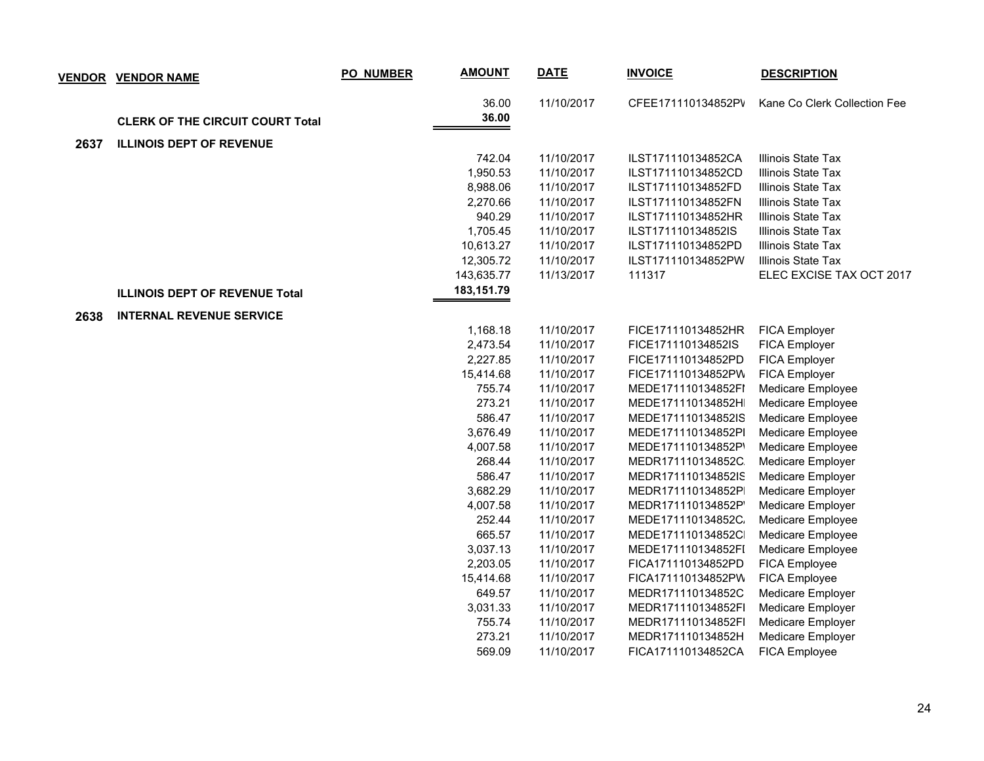|      | <b>VENDOR VENDOR NAME</b>               | PO_NUMBER | <b>AMOUNT</b> | <b>DATE</b> | <b>INVOICE</b>     | <b>DESCRIPTION</b>           |
|------|-----------------------------------------|-----------|---------------|-------------|--------------------|------------------------------|
|      |                                         |           | 36.00         | 11/10/2017  | CFEE171110134852PV | Kane Co Clerk Collection Fee |
|      | <b>CLERK OF THE CIRCUIT COURT Total</b> |           | 36.00         |             |                    |                              |
| 2637 | <b>ILLINOIS DEPT OF REVENUE</b>         |           |               |             |                    |                              |
|      |                                         |           | 742.04        | 11/10/2017  | ILST171110134852CA | Illinois State Tax           |
|      |                                         |           | 1,950.53      | 11/10/2017  | ILST171110134852CD | Illinois State Tax           |
|      |                                         |           | 8,988.06      | 11/10/2017  | ILST171110134852FD | Illinois State Tax           |
|      |                                         |           | 2,270.66      | 11/10/2017  | ILST171110134852FN | Illinois State Tax           |
|      |                                         |           | 940.29        | 11/10/2017  | ILST171110134852HR | Illinois State Tax           |
|      |                                         |           | 1,705.45      | 11/10/2017  | ILST171110134852IS | Illinois State Tax           |
|      |                                         |           | 10,613.27     | 11/10/2017  | ILST171110134852PD | Illinois State Tax           |
|      |                                         |           | 12,305.72     | 11/10/2017  | ILST171110134852PW | <b>Illinois State Tax</b>    |
|      |                                         |           | 143,635.77    | 11/13/2017  | 111317             | ELEC EXCISE TAX OCT 2017     |
|      | <b>ILLINOIS DEPT OF REVENUE Total</b>   |           | 183, 151.79   |             |                    |                              |
| 2638 | <b>INTERNAL REVENUE SERVICE</b>         |           |               |             |                    |                              |
|      |                                         |           | 1,168.18      | 11/10/2017  | FICE171110134852HR | <b>FICA Employer</b>         |
|      |                                         |           | 2,473.54      | 11/10/2017  | FICE171110134852IS | FICA Employer                |
|      |                                         |           | 2,227.85      | 11/10/2017  | FICE171110134852PD | FICA Employer                |
|      |                                         |           | 15,414.68     | 11/10/2017  | FICE171110134852PW | FICA Employer                |
|      |                                         |           | 755.74        | 11/10/2017  | MEDE171110134852FI | Medicare Employee            |
|      |                                         |           | 273.21        | 11/10/2017  | MEDE171110134852H  | Medicare Employee            |
|      |                                         |           | 586.47        | 11/10/2017  | MEDE171110134852IS | Medicare Employee            |
|      |                                         |           | 3,676.49      | 11/10/2017  | MEDE171110134852PI | Medicare Employee            |
|      |                                         |           | 4,007.58      | 11/10/2017  | MEDE171110134852P  | Medicare Employee            |
|      |                                         |           | 268.44        | 11/10/2017  | MEDR171110134852C  | Medicare Employer            |
|      |                                         |           | 586.47        | 11/10/2017  | MEDR171110134852IS | Medicare Employer            |
|      |                                         |           | 3,682.29      | 11/10/2017  | MEDR171110134852P  | Medicare Employer            |
|      |                                         |           | 4,007.58      | 11/10/2017  | MEDR171110134852P  | Medicare Employer            |
|      |                                         |           | 252.44        | 11/10/2017  | MEDE171110134852C. | Medicare Employee            |
|      |                                         |           | 665.57        | 11/10/2017  | MEDE171110134852C  | Medicare Employee            |
|      |                                         |           | 3,037.13      | 11/10/2017  | MEDE171110134852FI | Medicare Employee            |
|      |                                         |           | 2,203.05      | 11/10/2017  | FICA171110134852PD | FICA Employee                |
|      |                                         |           | 15,414.68     | 11/10/2017  | FICA171110134852PW | FICA Employee                |
|      |                                         |           | 649.57        | 11/10/2017  | MEDR171110134852C  | Medicare Employer            |
|      |                                         |           | 3,031.33      | 11/10/2017  | MEDR171110134852FI | Medicare Employer            |
|      |                                         |           | 755.74        | 11/10/2017  | MEDR171110134852FI | Medicare Employer            |
|      |                                         |           | 273.21        | 11/10/2017  | MEDR171110134852H  | Medicare Employer            |
|      |                                         |           | 569.09        | 11/10/2017  | FICA171110134852CA | <b>FICA Employee</b>         |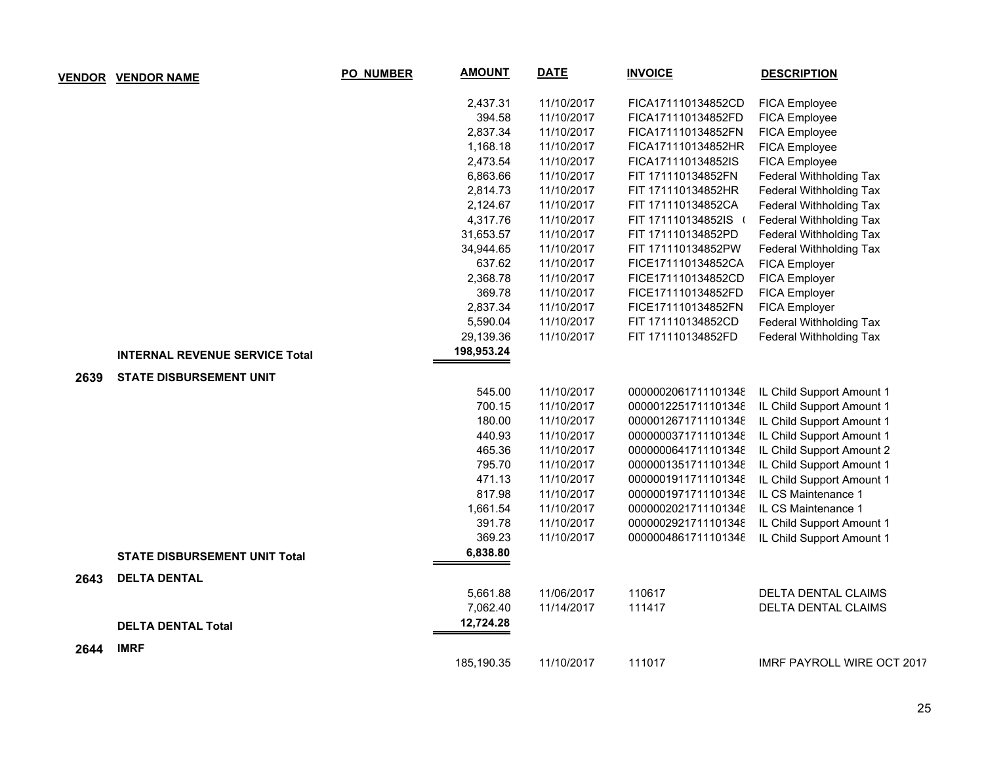|      | <b>VENDOR VENDOR NAME</b>             | PO_NUMBER | <b>AMOUNT</b> | <b>DATE</b> | <b>INVOICE</b>      | <b>DESCRIPTION</b>         |
|------|---------------------------------------|-----------|---------------|-------------|---------------------|----------------------------|
|      |                                       |           | 2,437.31      | 11/10/2017  | FICA171110134852CD  | <b>FICA Employee</b>       |
|      |                                       |           | 394.58        | 11/10/2017  | FICA171110134852FD  | FICA Employee              |
|      |                                       |           | 2,837.34      | 11/10/2017  | FICA171110134852FN  | FICA Employee              |
|      |                                       |           | 1,168.18      | 11/10/2017  | FICA171110134852HR  | FICA Employee              |
|      |                                       |           | 2,473.54      | 11/10/2017  | FICA171110134852IS  | FICA Employee              |
|      |                                       |           | 6,863.66      | 11/10/2017  | FIT 171110134852FN  | Federal Withholding Tax    |
|      |                                       |           | 2,814.73      | 11/10/2017  | FIT 171110134852HR  | Federal Withholding Tax    |
|      |                                       |           | 2,124.67      | 11/10/2017  | FIT 171110134852CA  | Federal Withholding Tax    |
|      |                                       |           | 4,317.76      | 11/10/2017  | FIT 171110134852IS  | Federal Withholding Tax    |
|      |                                       |           | 31,653.57     | 11/10/2017  | FIT 171110134852PD  | Federal Withholding Tax    |
|      |                                       |           | 34,944.65     | 11/10/2017  | FIT 171110134852PW  | Federal Withholding Tax    |
|      |                                       |           | 637.62        | 11/10/2017  | FICE171110134852CA  | FICA Employer              |
|      |                                       |           | 2,368.78      | 11/10/2017  | FICE171110134852CD  | FICA Employer              |
|      |                                       |           | 369.78        | 11/10/2017  | FICE171110134852FD  | FICA Employer              |
|      |                                       |           | 2,837.34      | 11/10/2017  | FICE171110134852FN  | FICA Employer              |
|      |                                       |           | 5,590.04      | 11/10/2017  | FIT 171110134852CD  | Federal Withholding Tax    |
|      |                                       |           | 29,139.36     | 11/10/2017  | FIT 171110134852FD  | Federal Withholding Tax    |
|      | <b>INTERNAL REVENUE SERVICE Total</b> |           | 198,953.24    |             |                     |                            |
| 2639 | <b>STATE DISBURSEMENT UNIT</b>        |           |               |             |                     |                            |
|      |                                       |           | 545.00        | 11/10/2017  | 0000002061711101348 | IL Child Support Amount 1  |
|      |                                       |           | 700.15        | 11/10/2017  | 0000012251711101348 | IL Child Support Amount 1  |
|      |                                       |           | 180.00        | 11/10/2017  | 0000012671711101348 | IL Child Support Amount 1  |
|      |                                       |           | 440.93        | 11/10/2017  | 0000000371711101348 | IL Child Support Amount 1  |
|      |                                       |           | 465.36        | 11/10/2017  | 0000000641711101348 | IL Child Support Amount 2  |
|      |                                       |           | 795.70        | 11/10/2017  | 0000001351711101348 | IL Child Support Amount 1  |
|      |                                       |           | 471.13        | 11/10/2017  | 0000001911711101348 | IL Child Support Amount 1  |
|      |                                       |           | 817.98        | 11/10/2017  | 0000001971711101348 | IL CS Maintenance 1        |
|      |                                       |           | 1,661.54      | 11/10/2017  | 0000002021711101348 | IL CS Maintenance 1        |
|      |                                       |           | 391.78        | 11/10/2017  | 0000002921711101348 | IL Child Support Amount 1  |
|      |                                       |           | 369.23        | 11/10/2017  | 0000004861711101348 | IL Child Support Amount 1  |
|      | <b>STATE DISBURSEMENT UNIT Total</b>  |           | 6,838.80      |             |                     |                            |
| 2643 | <b>DELTA DENTAL</b>                   |           |               |             |                     |                            |
|      |                                       |           | 5,661.88      | 11/06/2017  | 110617              | DELTA DENTAL CLAIMS        |
|      |                                       |           | 7,062.40      | 11/14/2017  | 111417              | DELTA DENTAL CLAIMS        |
|      | <b>DELTA DENTAL Total</b>             |           | 12,724.28     |             |                     |                            |
| 2644 | <b>IMRF</b>                           |           |               |             |                     |                            |
|      |                                       |           | 185,190.35    | 11/10/2017  | 111017              | IMRF PAYROLL WIRE OCT 2017 |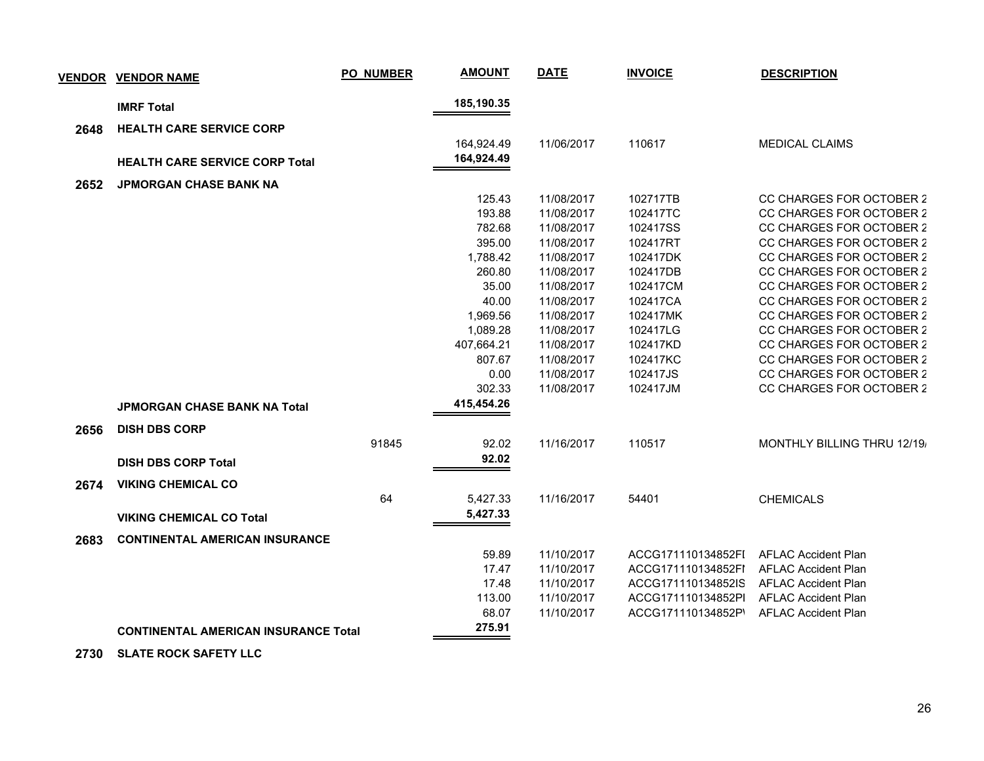|      | <b>VENDOR VENDOR NAME</b>                   | <b>PO_NUMBER</b> | <b>AMOUNT</b> | <b>DATE</b> | <b>INVOICE</b>     | <b>DESCRIPTION</b>          |
|------|---------------------------------------------|------------------|---------------|-------------|--------------------|-----------------------------|
|      | <b>IMRF Total</b>                           |                  | 185,190.35    |             |                    |                             |
| 2648 | <b>HEALTH CARE SERVICE CORP</b>             |                  |               |             |                    |                             |
|      |                                             |                  | 164,924.49    | 11/06/2017  | 110617             | <b>MEDICAL CLAIMS</b>       |
|      |                                             |                  | 164,924.49    |             |                    |                             |
|      | <b>HEALTH CARE SERVICE CORP Total</b>       |                  |               |             |                    |                             |
| 2652 | <b>JPMORGAN CHASE BANK NA</b>               |                  |               |             |                    |                             |
|      |                                             |                  | 125.43        | 11/08/2017  | 102717TB           | CC CHARGES FOR OCTOBER 2    |
|      |                                             |                  | 193.88        | 11/08/2017  | 102417TC           | CC CHARGES FOR OCTOBER 2    |
|      |                                             |                  | 782.68        | 11/08/2017  | 102417SS           | CC CHARGES FOR OCTOBER 2    |
|      |                                             |                  | 395.00        | 11/08/2017  | 102417RT           | CC CHARGES FOR OCTOBER 2    |
|      |                                             |                  | 1,788.42      | 11/08/2017  | 102417DK           | CC CHARGES FOR OCTOBER 2    |
|      |                                             |                  | 260.80        | 11/08/2017  | 102417DB           | CC CHARGES FOR OCTOBER 2    |
|      |                                             |                  | 35.00         | 11/08/2017  | 102417CM           | CC CHARGES FOR OCTOBER 2    |
|      |                                             |                  | 40.00         | 11/08/2017  | 102417CA           | CC CHARGES FOR OCTOBER 2    |
|      |                                             |                  | 1,969.56      | 11/08/2017  | 102417MK           | CC CHARGES FOR OCTOBER 2    |
|      |                                             |                  | 1,089.28      | 11/08/2017  | 102417LG           | CC CHARGES FOR OCTOBER 2    |
|      |                                             |                  | 407,664.21    | 11/08/2017  | 102417KD           | CC CHARGES FOR OCTOBER 2    |
|      |                                             |                  | 807.67        | 11/08/2017  | 102417KC           | CC CHARGES FOR OCTOBER 2    |
|      |                                             |                  | 0.00          | 11/08/2017  | 102417JS           | CC CHARGES FOR OCTOBER 2    |
|      |                                             |                  | 302.33        | 11/08/2017  | 102417JM           | CC CHARGES FOR OCTOBER 2    |
|      | JPMORGAN CHASE BANK NA Total                |                  | 415,454.26    |             |                    |                             |
| 2656 | <b>DISH DBS CORP</b>                        |                  |               |             |                    |                             |
|      |                                             | 91845            | 92.02         | 11/16/2017  | 110517             | MONTHLY BILLING THRU 12/19/ |
|      | <b>DISH DBS CORP Total</b>                  |                  | 92.02         |             |                    |                             |
|      |                                             |                  |               |             |                    |                             |
| 2674 | <b>VIKING CHEMICAL CO</b>                   |                  |               |             |                    |                             |
|      |                                             | 64               | 5,427.33      | 11/16/2017  | 54401              | <b>CHEMICALS</b>            |
|      | <b>VIKING CHEMICAL CO Total</b>             |                  | 5,427.33      |             |                    |                             |
| 2683 | <b>CONTINENTAL AMERICAN INSURANCE</b>       |                  |               |             |                    |                             |
|      |                                             |                  | 59.89         | 11/10/2017  | ACCG171110134852FI | <b>AFLAC Accident Plan</b>  |
|      |                                             |                  | 17.47         | 11/10/2017  | ACCG171110134852FI | <b>AFLAC Accident Plan</b>  |
|      |                                             |                  | 17.48         | 11/10/2017  | ACCG171110134852IS | <b>AFLAC Accident Plan</b>  |
|      |                                             |                  | 113.00        | 11/10/2017  | ACCG171110134852PI | <b>AFLAC Accident Plan</b>  |
|      |                                             |                  | 68.07         | 11/10/2017  | ACCG171110134852P' | <b>AFLAC Accident Plan</b>  |
|      | <b>CONTINENTAL AMERICAN INSURANCE Total</b> |                  | 275.91        |             |                    |                             |
|      |                                             |                  |               |             |                    |                             |

 **2730 SLATE ROCK SAFETY LLC**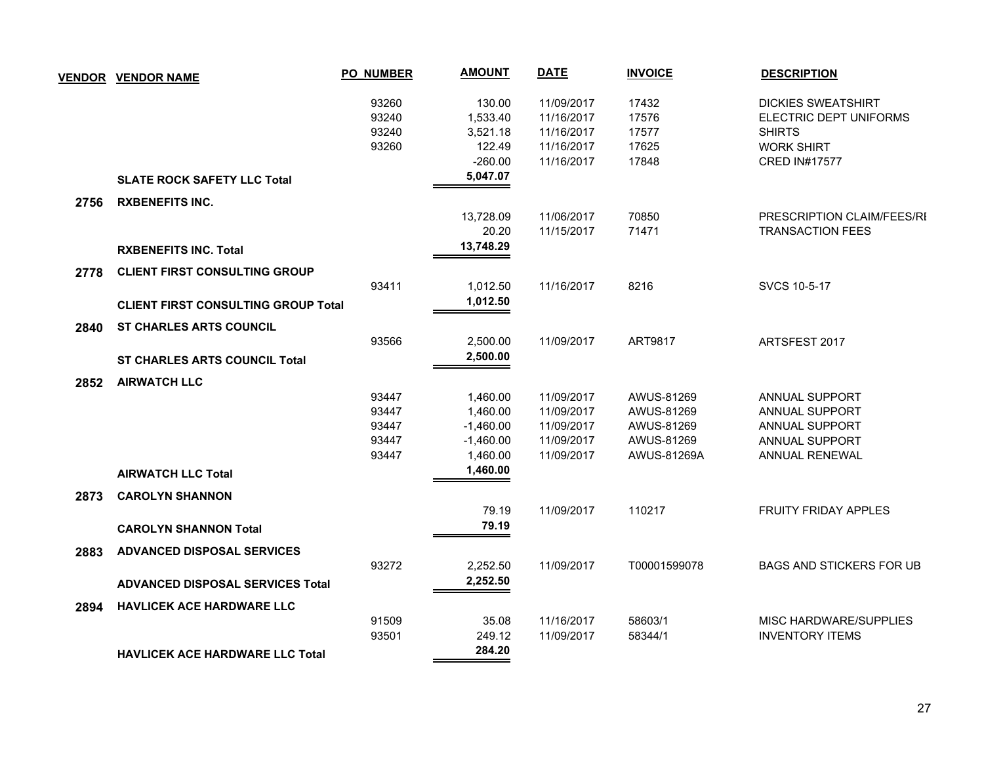|      | <b>VENDOR VENDOR NAME</b>                  | <b>PO_NUMBER</b> | <b>AMOUNT</b> | <b>DATE</b> | <b>INVOICE</b> | <b>DESCRIPTION</b>              |
|------|--------------------------------------------|------------------|---------------|-------------|----------------|---------------------------------|
|      |                                            | 93260            | 130.00        | 11/09/2017  | 17432          | <b>DICKIES SWEATSHIRT</b>       |
|      |                                            | 93240            | 1,533.40      | 11/16/2017  | 17576          | ELECTRIC DEPT UNIFORMS          |
|      |                                            | 93240            | 3,521.18      | 11/16/2017  | 17577          | <b>SHIRTS</b>                   |
|      |                                            | 93260            | 122.49        | 11/16/2017  | 17625          | <b>WORK SHIRT</b>               |
|      |                                            |                  | $-260.00$     | 11/16/2017  | 17848          | <b>CRED IN#17577</b>            |
|      | <b>SLATE ROCK SAFETY LLC Total</b>         |                  | 5,047.07      |             |                |                                 |
| 2756 | <b>RXBENEFITS INC.</b>                     |                  |               |             |                |                                 |
|      |                                            |                  | 13,728.09     | 11/06/2017  | 70850          | PRESCRIPTION CLAIM/FEES/RI      |
|      |                                            |                  | 20.20         | 11/15/2017  | 71471          | <b>TRANSACTION FEES</b>         |
|      | <b>RXBENEFITS INC. Total</b>               |                  | 13,748.29     |             |                |                                 |
|      |                                            |                  |               |             |                |                                 |
| 2778 | <b>CLIENT FIRST CONSULTING GROUP</b>       | 93411            | 1,012.50      | 11/16/2017  | 8216           | SVCS 10-5-17                    |
|      |                                            |                  |               |             |                |                                 |
|      | <b>CLIENT FIRST CONSULTING GROUP Total</b> |                  | 1,012.50      |             |                |                                 |
| 2840 | <b>ST CHARLES ARTS COUNCIL</b>             |                  |               |             |                |                                 |
|      |                                            | 93566            | 2,500.00      | 11/09/2017  | ART9817        | ARTSFEST 2017                   |
|      | <b>ST CHARLES ARTS COUNCIL Total</b>       |                  | 2,500.00      |             |                |                                 |
| 2852 | <b>AIRWATCH LLC</b>                        |                  |               |             |                |                                 |
|      |                                            | 93447            | 1,460.00      | 11/09/2017  | AWUS-81269     | <b>ANNUAL SUPPORT</b>           |
|      |                                            | 93447            | 1,460.00      | 11/09/2017  | AWUS-81269     | ANNUAL SUPPORT                  |
|      |                                            | 93447            | $-1,460.00$   | 11/09/2017  | AWUS-81269     | ANNUAL SUPPORT                  |
|      |                                            | 93447            | $-1,460.00$   | 11/09/2017  | AWUS-81269     | ANNUAL SUPPORT                  |
|      |                                            | 93447            | 1,460.00      | 11/09/2017  | AWUS-81269A    | ANNUAL RENEWAL                  |
|      | <b>AIRWATCH LLC Total</b>                  |                  | 1,460.00      |             |                |                                 |
| 2873 | <b>CAROLYN SHANNON</b>                     |                  |               |             |                |                                 |
|      |                                            |                  | 79.19         | 11/09/2017  | 110217         | <b>FRUITY FRIDAY APPLES</b>     |
|      | <b>CAROLYN SHANNON Total</b>               |                  | 79.19         |             |                |                                 |
| 2883 | <b>ADVANCED DISPOSAL SERVICES</b>          |                  |               |             |                |                                 |
|      |                                            | 93272            | 2,252.50      | 11/09/2017  | T00001599078   | <b>BAGS AND STICKERS FOR UB</b> |
|      | <b>ADVANCED DISPOSAL SERVICES Total</b>    |                  | 2,252.50      |             |                |                                 |
| 2894 | <b>HAVLICEK ACE HARDWARE LLC</b>           |                  |               |             |                |                                 |
|      |                                            | 91509            | 35.08         | 11/16/2017  | 58603/1        | MISC HARDWARE/SUPPLIES          |
|      |                                            | 93501            | 249.12        | 11/09/2017  | 58344/1        | <b>INVENTORY ITEMS</b>          |
|      | HAVLICEK ACE HARDWARE LLC Total            |                  | 284.20        |             |                |                                 |
|      |                                            |                  |               |             |                |                                 |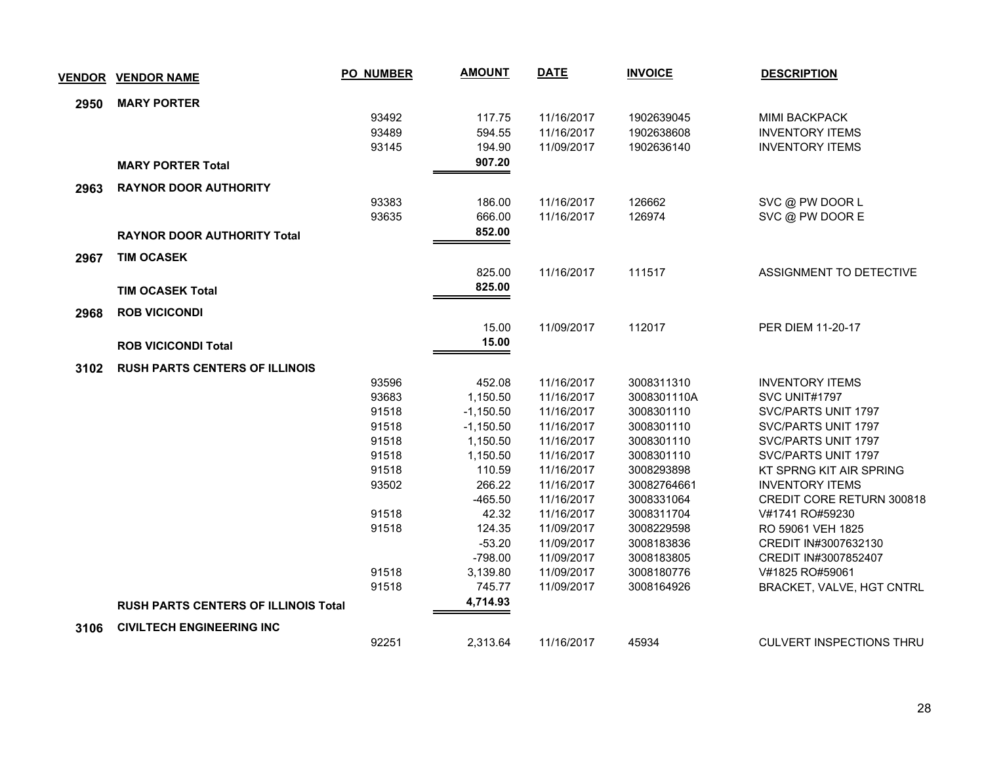| <b>VENDOR</b> | <b>VENDOR NAME</b>                          | <b>PO_NUMBER</b> | <b>AMOUNT</b>      | <b>DATE</b>              | <b>INVOICE</b>           | <b>DESCRIPTION</b>                                  |
|---------------|---------------------------------------------|------------------|--------------------|--------------------------|--------------------------|-----------------------------------------------------|
| 2950          | <b>MARY PORTER</b>                          |                  |                    |                          |                          |                                                     |
|               |                                             | 93492            | 117.75             | 11/16/2017               | 1902639045               | <b>MIMI BACKPACK</b>                                |
|               |                                             | 93489            | 594.55             | 11/16/2017               | 1902638608               | <b>INVENTORY ITEMS</b>                              |
|               |                                             | 93145            | 194.90             | 11/09/2017               | 1902636140               | <b>INVENTORY ITEMS</b>                              |
|               | <b>MARY PORTER Total</b>                    |                  | 907.20             |                          |                          |                                                     |
| 2963          | <b>RAYNOR DOOR AUTHORITY</b>                |                  |                    |                          |                          |                                                     |
|               |                                             | 93383            | 186.00             | 11/16/2017               | 126662                   | SVC @ PW DOOR L                                     |
|               |                                             | 93635            | 666.00             | 11/16/2017               | 126974                   | SVC @ PW DOOR E                                     |
|               | <b>RAYNOR DOOR AUTHORITY Total</b>          |                  | 852.00             |                          |                          |                                                     |
| 2967          | <b>TIM OCASEK</b>                           |                  |                    |                          |                          |                                                     |
|               |                                             |                  | 825.00             | 11/16/2017               | 111517                   | ASSIGNMENT TO DETECTIVE                             |
|               | <b>TIM OCASEK Total</b>                     |                  | 825.00             |                          |                          |                                                     |
|               |                                             |                  |                    |                          |                          |                                                     |
| 2968          | <b>ROB VICICONDI</b>                        |                  |                    |                          |                          |                                                     |
|               |                                             |                  | 15.00              | 11/09/2017               | 112017                   | PER DIEM 11-20-17                                   |
|               | <b>ROB VICICONDI Total</b>                  |                  | 15.00              |                          |                          |                                                     |
| 3102          | <b>RUSH PARTS CENTERS OF ILLINOIS</b>       |                  |                    |                          |                          |                                                     |
|               |                                             | 93596            | 452.08             | 11/16/2017               | 3008311310               | <b>INVENTORY ITEMS</b>                              |
|               |                                             | 93683            | 1,150.50           | 11/16/2017               | 3008301110A              | SVC UNIT#1797                                       |
|               |                                             | 91518            | $-1,150.50$        | 11/16/2017               | 3008301110               | SVC/PARTS UNIT 1797                                 |
|               |                                             | 91518            | $-1,150.50$        | 11/16/2017               | 3008301110               | SVC/PARTS UNIT 1797                                 |
|               |                                             | 91518            | 1,150.50           | 11/16/2017               | 3008301110               | SVC/PARTS UNIT 1797                                 |
|               |                                             | 91518            | 1,150.50           | 11/16/2017               | 3008301110               | SVC/PARTS UNIT 1797                                 |
|               |                                             | 91518            | 110.59             | 11/16/2017               | 3008293898               | KT SPRNG KIT AIR SPRING                             |
|               |                                             | 93502            | 266.22             | 11/16/2017               | 30082764661              | <b>INVENTORY ITEMS</b>                              |
|               |                                             | 91518            | $-465.50$<br>42.32 | 11/16/2017<br>11/16/2017 | 3008331064<br>3008311704 | <b>CREDIT CORE RETURN 300818</b><br>V#1741 RO#59230 |
|               |                                             | 91518            | 124.35             | 11/09/2017               | 3008229598               | RO 59061 VEH 1825                                   |
|               |                                             |                  | $-53.20$           | 11/09/2017               | 3008183836               | CREDIT IN#3007632130                                |
|               |                                             |                  | $-798.00$          | 11/09/2017               | 3008183805               | CREDIT IN#3007852407                                |
|               |                                             | 91518            | 3,139.80           | 11/09/2017               | 3008180776               | V#1825 RO#59061                                     |
|               |                                             | 91518            | 745.77             | 11/09/2017               | 3008164926               | BRACKET, VALVE, HGT CNTRL                           |
|               | <b>RUSH PARTS CENTERS OF ILLINOIS Total</b> |                  | 4,714.93           |                          |                          |                                                     |
| 3106          | <b>CIVILTECH ENGINEERING INC</b>            |                  |                    |                          |                          |                                                     |
|               |                                             | 92251            | 2,313.64           | 11/16/2017               | 45934                    | <b>CULVERT INSPECTIONS THRU</b>                     |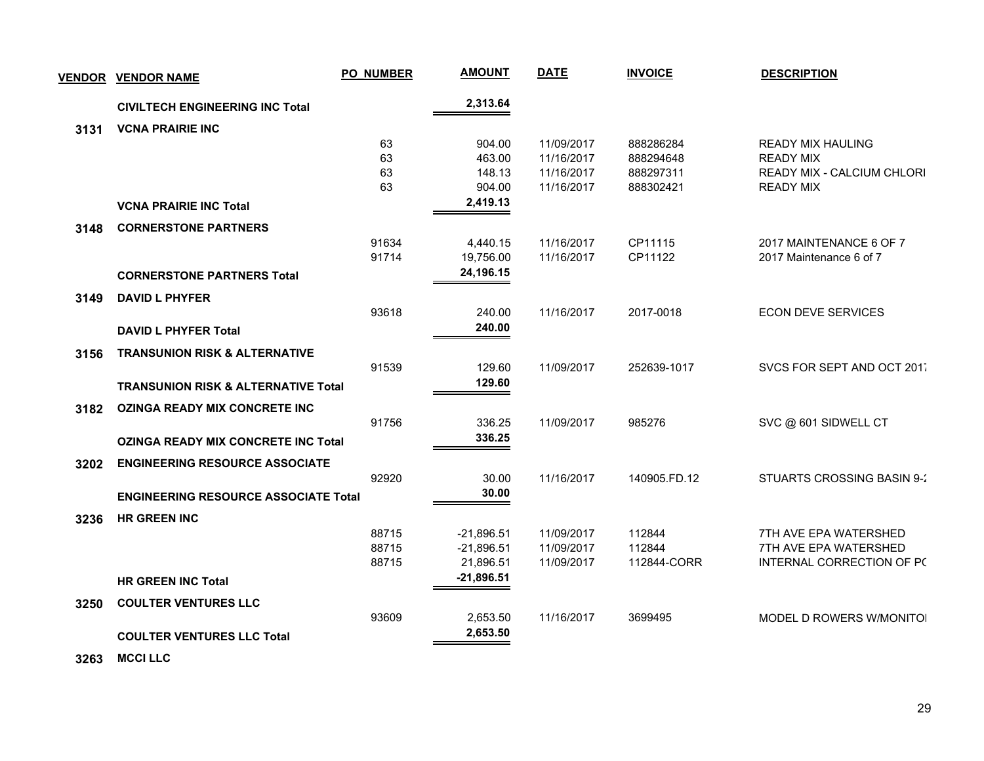| <b>VENDOR</b> | <b>VENDOR NAME</b>                             | <b>PO_NUMBER</b> | <b>AMOUNT</b> | <b>DATE</b> | <b>INVOICE</b> | <b>DESCRIPTION</b>                |  |
|---------------|------------------------------------------------|------------------|---------------|-------------|----------------|-----------------------------------|--|
|               | <b>CIVILTECH ENGINEERING INC Total</b>         |                  | 2,313.64      |             |                |                                   |  |
| 3131          | <b>VCNA PRAIRIE INC</b>                        |                  |               |             |                |                                   |  |
|               |                                                | 63               | 904.00        | 11/09/2017  | 888286284      | <b>READY MIX HAULING</b>          |  |
|               |                                                | 63               | 463.00        | 11/16/2017  | 888294648      | <b>READY MIX</b>                  |  |
|               |                                                | 63               | 148.13        | 11/16/2017  | 888297311      | <b>READY MIX - CALCIUM CHLORI</b> |  |
|               |                                                | 63               | 904.00        | 11/16/2017  | 888302421      | <b>READY MIX</b>                  |  |
|               | <b>VCNA PRAIRIE INC Total</b>                  |                  | 2,419.13      |             |                |                                   |  |
| 3148          | <b>CORNERSTONE PARTNERS</b>                    |                  |               |             |                |                                   |  |
|               |                                                | 91634            | 4,440.15      | 11/16/2017  | CP11115        | 2017 MAINTENANCE 6 OF 7           |  |
|               |                                                | 91714            | 19,756.00     | 11/16/2017  | CP11122        | 2017 Maintenance 6 of 7           |  |
|               | <b>CORNERSTONE PARTNERS Total</b>              |                  | 24,196.15     |             |                |                                   |  |
| 3149          | <b>DAVID L PHYFER</b>                          |                  |               |             |                |                                   |  |
|               |                                                | 93618            | 240.00        | 11/16/2017  | 2017-0018      | <b>ECON DEVE SERVICES</b>         |  |
|               | <b>DAVID L PHYFER Total</b>                    |                  | 240.00        |             |                |                                   |  |
| 3156          | <b>TRANSUNION RISK &amp; ALTERNATIVE</b>       |                  |               |             |                |                                   |  |
|               |                                                | 91539            | 129.60        | 11/09/2017  | 252639-1017    | SVCS FOR SEPT AND OCT 2017        |  |
|               | <b>TRANSUNION RISK &amp; ALTERNATIVE Total</b> |                  | 129.60        |             |                |                                   |  |
| 3182          | <b>OZINGA READY MIX CONCRETE INC</b>           |                  |               |             |                |                                   |  |
|               |                                                | 91756            | 336.25        | 11/09/2017  | 985276         | SVC @ 601 SIDWELL CT              |  |
|               | <b>OZINGA READY MIX CONCRETE INC Total</b>     |                  | 336.25        |             |                |                                   |  |
|               |                                                |                  |               |             |                |                                   |  |
| 3202          | <b>ENGINEERING RESOURCE ASSOCIATE</b>          |                  |               |             |                |                                   |  |
|               |                                                | 92920            | 30.00         | 11/16/2017  | 140905.FD.12   | STUARTS CROSSING BASIN 9-2        |  |
|               | <b>ENGINEERING RESOURCE ASSOCIATE Total</b>    |                  | 30.00         |             |                |                                   |  |
| 3236          | <b>HR GREEN INC</b>                            |                  |               |             |                |                                   |  |
|               |                                                | 88715            | $-21,896.51$  | 11/09/2017  | 112844         | 7TH AVE EPA WATERSHED             |  |
|               |                                                | 88715            | $-21,896.51$  | 11/09/2017  | 112844         | 7TH AVE EPA WATERSHED             |  |
|               |                                                | 88715            | 21,896.51     | 11/09/2017  | 112844-CORR    | INTERNAL CORRECTION OF PC         |  |
|               | <b>HR GREEN INC Total</b>                      |                  | $-21,896.51$  |             |                |                                   |  |
| 3250          | <b>COULTER VENTURES LLC</b>                    |                  |               |             |                |                                   |  |
|               |                                                | 93609            | 2,653.50      | 11/16/2017  | 3699495        | MODEL D ROWERS W/MONITOI          |  |
|               | <b>COULTER VENTURES LLC Total</b>              |                  | 2,653.50      |             |                |                                   |  |
|               |                                                |                  |               |             |                |                                   |  |

 **3263 MCCI LLC**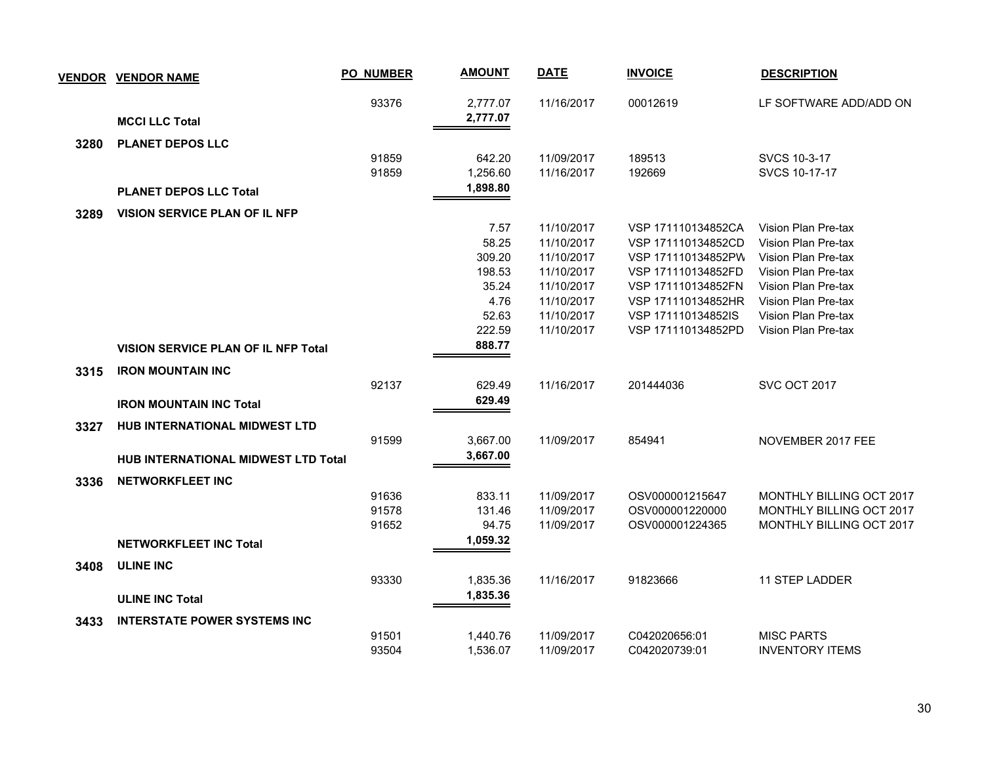| <b>VENDOR</b> | <b>VENDOR NAME</b>                         | <b>PO_NUMBER</b> | <b>AMOUNT</b> | <b>DATE</b> | <b>INVOICE</b>     | <b>DESCRIPTION</b>       |
|---------------|--------------------------------------------|------------------|---------------|-------------|--------------------|--------------------------|
|               |                                            | 93376            | 2,777.07      | 11/16/2017  | 00012619           | LF SOFTWARE ADD/ADD ON   |
|               | <b>MCCI LLC Total</b>                      |                  | 2,777.07      |             |                    |                          |
| 3280          | <b>PLANET DEPOS LLC</b>                    |                  |               |             |                    |                          |
|               |                                            | 91859            | 642.20        | 11/09/2017  | 189513             | SVCS 10-3-17             |
|               |                                            | 91859            | 1,256.60      | 11/16/2017  | 192669             | SVCS 10-17-17            |
|               | <b>PLANET DEPOS LLC Total</b>              |                  | 1,898.80      |             |                    |                          |
| 3289          | <b>VISION SERVICE PLAN OF IL NFP</b>       |                  |               |             |                    |                          |
|               |                                            |                  | 7.57          | 11/10/2017  | VSP 171110134852CA | Vision Plan Pre-tax      |
|               |                                            |                  | 58.25         | 11/10/2017  | VSP 171110134852CD | Vision Plan Pre-tax      |
|               |                                            |                  | 309.20        | 11/10/2017  | VSP 171110134852PW | Vision Plan Pre-tax      |
|               |                                            |                  | 198.53        | 11/10/2017  | VSP 171110134852FD | Vision Plan Pre-tax      |
|               |                                            |                  | 35.24         | 11/10/2017  | VSP 171110134852FN | Vision Plan Pre-tax      |
|               |                                            |                  | 4.76          | 11/10/2017  | VSP 171110134852HR | Vision Plan Pre-tax      |
|               |                                            |                  | 52.63         | 11/10/2017  | VSP 171110134852IS | Vision Plan Pre-tax      |
|               |                                            |                  | 222.59        | 11/10/2017  | VSP 171110134852PD | Vision Plan Pre-tax      |
|               | <b>VISION SERVICE PLAN OF IL NFP Total</b> |                  | 888.77        |             |                    |                          |
| 3315          | <b>IRON MOUNTAIN INC</b>                   |                  |               |             |                    |                          |
|               |                                            | 92137            | 629.49        | 11/16/2017  | 201444036          | <b>SVC OCT 2017</b>      |
|               | <b>IRON MOUNTAIN INC Total</b>             |                  | 629.49        |             |                    |                          |
| 3327          | <b>HUB INTERNATIONAL MIDWEST LTD</b>       |                  |               |             |                    |                          |
|               |                                            | 91599            | 3,667.00      | 11/09/2017  | 854941             | NOVEMBER 2017 FEE        |
|               | <b>HUB INTERNATIONAL MIDWEST LTD Total</b> |                  | 3,667.00      |             |                    |                          |
| 3336          | <b>NETWORKFLEET INC</b>                    |                  |               |             |                    |                          |
|               |                                            | 91636            | 833.11        | 11/09/2017  | OSV000001215647    | MONTHLY BILLING OCT 2017 |
|               |                                            | 91578            | 131.46        | 11/09/2017  | OSV000001220000    | MONTHLY BILLING OCT 2017 |
|               |                                            | 91652            | 94.75         | 11/09/2017  | OSV000001224365    | MONTHLY BILLING OCT 2017 |
|               | <b>NETWORKFLEET INC Total</b>              |                  | 1,059.32      |             |                    |                          |
| 3408          | <b>ULINE INC</b>                           |                  |               |             |                    |                          |
|               |                                            | 93330            | 1,835.36      | 11/16/2017  | 91823666           | 11 STEP LADDER           |
|               | <b>ULINE INC Total</b>                     |                  | 1,835.36      |             |                    |                          |
| 3433          | <b>INTERSTATE POWER SYSTEMS INC</b>        |                  |               |             |                    |                          |
|               |                                            | 91501            | 1,440.76      | 11/09/2017  | C042020656:01      | <b>MISC PARTS</b>        |
|               |                                            | 93504            | 1,536.07      | 11/09/2017  | C042020739:01      | <b>INVENTORY ITEMS</b>   |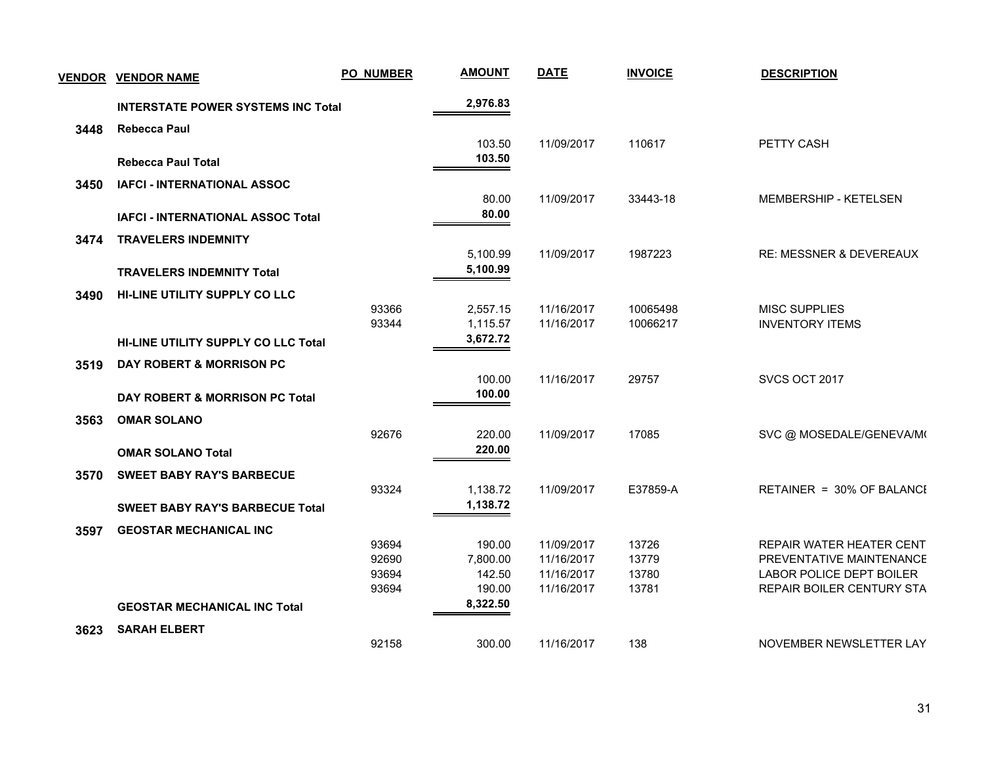| <b>VENDOR</b> | <b>VENDOR NAME</b>                         | <b>PO_NUMBER</b> | <b>AMOUNT</b>        | <b>DATE</b>              | <b>INVOICE</b>       | <b>DESCRIPTION</b>                             |  |
|---------------|--------------------------------------------|------------------|----------------------|--------------------------|----------------------|------------------------------------------------|--|
|               | <b>INTERSTATE POWER SYSTEMS INC Total</b>  |                  | 2,976.83             |                          |                      |                                                |  |
| 3448          | <b>Rebecca Paul</b>                        |                  |                      |                          |                      |                                                |  |
|               | <b>Rebecca Paul Total</b>                  |                  | 103.50<br>103.50     | 11/09/2017               | 110617               | <b>PETTY CASH</b>                              |  |
| 3450          | <b>IAFCI - INTERNATIONAL ASSOC</b>         |                  |                      |                          |                      |                                                |  |
|               |                                            |                  | 80.00                | 11/09/2017               | 33443-18             | MEMBERSHIP - KETELSEN                          |  |
|               | IAFCI - INTERNATIONAL ASSOC Total          |                  | 80.00                |                          |                      |                                                |  |
| 3474          | <b>TRAVELERS INDEMNITY</b>                 |                  |                      |                          |                      |                                                |  |
|               |                                            |                  | 5,100.99             | 11/09/2017               | 1987223              | RE: MESSNER & DEVEREAUX                        |  |
|               | <b>TRAVELERS INDEMNITY Total</b>           |                  | 5,100.99             |                          |                      |                                                |  |
| 3490          | HI-LINE UTILITY SUPPLY CO LLC              |                  |                      |                          |                      |                                                |  |
|               |                                            | 93366<br>93344   | 2,557.15<br>1,115.57 | 11/16/2017<br>11/16/2017 | 10065498<br>10066217 | <b>MISC SUPPLIES</b><br><b>INVENTORY ITEMS</b> |  |
|               | <b>HI-LINE UTILITY SUPPLY CO LLC Total</b> |                  | 3,672.72             |                          |                      |                                                |  |
|               |                                            |                  |                      |                          |                      |                                                |  |
| 3519          | <b>DAY ROBERT &amp; MORRISON PC</b>        |                  | 100.00               | 11/16/2017               | 29757                | SVCS OCT 2017                                  |  |
|               | DAY ROBERT & MORRISON PC Total             |                  | 100.00               |                          |                      |                                                |  |
| 3563          | <b>OMAR SOLANO</b>                         |                  |                      |                          |                      |                                                |  |
|               |                                            | 92676            | 220.00               | 11/09/2017               | 17085                | SVC @ MOSEDALE/GENEVA/M(                       |  |
|               | <b>OMAR SOLANO Total</b>                   |                  | 220.00               |                          |                      |                                                |  |
| 3570          | <b>SWEET BABY RAY'S BARBECUE</b>           |                  |                      |                          |                      |                                                |  |
|               |                                            | 93324            | 1,138.72             | 11/09/2017               | E37859-A             | RETAINER = 30% OF BALANCE                      |  |
|               | <b>SWEET BABY RAY'S BARBECUE Total</b>     |                  | 1,138.72             |                          |                      |                                                |  |
| 3597          | <b>GEOSTAR MECHANICAL INC</b>              |                  |                      |                          |                      |                                                |  |
|               |                                            | 93694            | 190.00               | 11/09/2017               | 13726                | REPAIR WATER HEATER CENT                       |  |
|               |                                            | 92690            | 7,800.00             | 11/16/2017               | 13779                | PREVENTATIVE MAINTENANCE                       |  |
|               |                                            | 93694            | 142.50               | 11/16/2017               | 13780                | <b>LABOR POLICE DEPT BOILER</b>                |  |
|               |                                            | 93694            | 190.00<br>8,322.50   | 11/16/2017               | 13781                | REPAIR BOILER CENTURY STA                      |  |
|               | <b>GEOSTAR MECHANICAL INC Total</b>        |                  |                      |                          |                      |                                                |  |
| 3623          | <b>SARAH ELBERT</b>                        |                  |                      |                          |                      |                                                |  |
|               |                                            | 92158            | 300.00               | 11/16/2017               | 138                  | NOVEMBER NEWSLETTER LAY                        |  |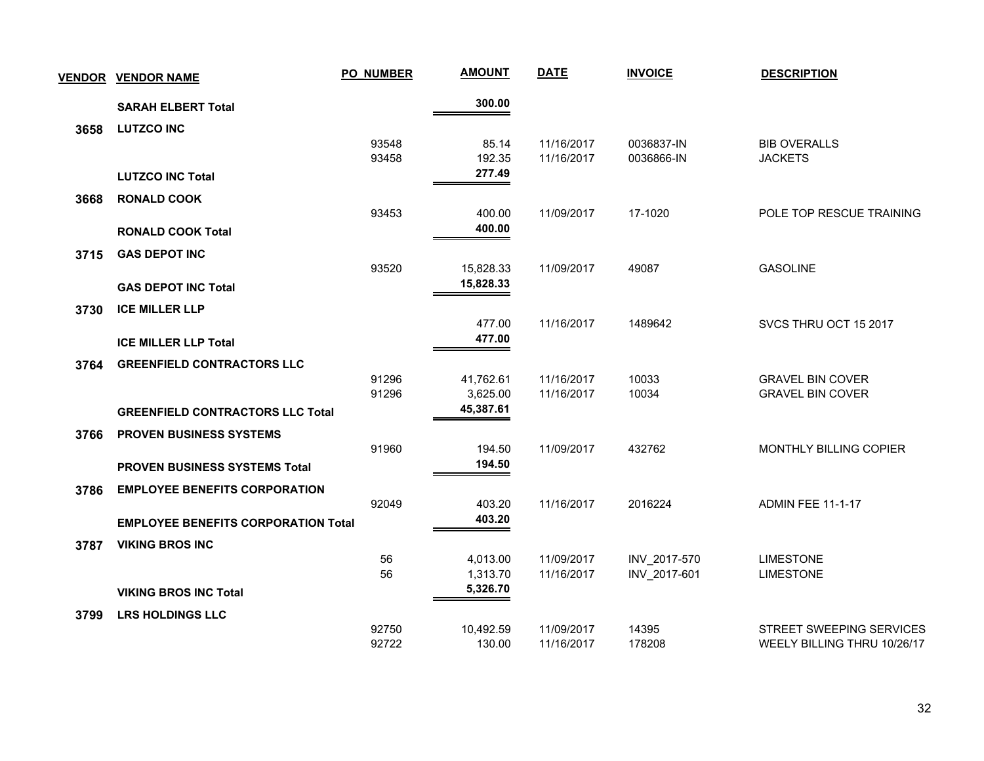|      | <b>VENDOR VENDOR NAME</b>                  | PO_NUMBER      | <b>AMOUNT</b>          | <b>DATE</b>              | <b>INVOICE</b> | <b>DESCRIPTION</b>                                 |
|------|--------------------------------------------|----------------|------------------------|--------------------------|----------------|----------------------------------------------------|
|      | <b>SARAH ELBERT Total</b>                  |                | 300.00                 |                          |                |                                                    |
| 3658 | <b>LUTZCO INC</b>                          |                |                        |                          |                |                                                    |
|      |                                            | 93548          | 85.14                  | 11/16/2017               | 0036837-IN     | <b>BIB OVERALLS</b>                                |
|      |                                            | 93458          | 192.35<br>277.49       | 11/16/2017               | 0036866-IN     | <b>JACKETS</b>                                     |
|      | <b>LUTZCO INC Total</b>                    |                |                        |                          |                |                                                    |
| 3668 | <b>RONALD COOK</b>                         |                |                        |                          |                |                                                    |
|      |                                            | 93453          | 400.00<br>400.00       | 11/09/2017               | 17-1020        | POLE TOP RESCUE TRAINING                           |
|      | <b>RONALD COOK Total</b>                   |                |                        |                          |                |                                                    |
| 3715 | <b>GAS DEPOT INC</b>                       |                |                        |                          |                |                                                    |
|      |                                            | 93520          | 15,828.33<br>15,828.33 | 11/09/2017               | 49087          | <b>GASOLINE</b>                                    |
|      | <b>GAS DEPOT INC Total</b>                 |                |                        |                          |                |                                                    |
| 3730 | <b>ICE MILLER LLP</b>                      |                |                        |                          |                |                                                    |
|      |                                            |                | 477.00<br>477.00       | 11/16/2017               | 1489642        | SVCS THRU OCT 15 2017                              |
|      | <b>ICE MILLER LLP Total</b>                |                |                        |                          |                |                                                    |
| 3764 | <b>GREENFIELD CONTRACTORS LLC</b>          |                |                        |                          |                |                                                    |
|      |                                            | 91296<br>91296 | 41,762.61<br>3,625.00  | 11/16/2017<br>11/16/2017 | 10033<br>10034 | <b>GRAVEL BIN COVER</b><br><b>GRAVEL BIN COVER</b> |
|      | <b>GREENFIELD CONTRACTORS LLC Total</b>    |                | 45,387.61              |                          |                |                                                    |
|      |                                            |                |                        |                          |                |                                                    |
| 3766 | <b>PROVEN BUSINESS SYSTEMS</b>             | 91960          | 194.50                 | 11/09/2017               | 432762         | MONTHLY BILLING COPIER                             |
|      | <b>PROVEN BUSINESS SYSTEMS Total</b>       |                | 194.50                 |                          |                |                                                    |
|      | <b>EMPLOYEE BENEFITS CORPORATION</b>       |                |                        |                          |                |                                                    |
| 3786 |                                            | 92049          | 403.20                 | 11/16/2017               | 2016224        | <b>ADMIN FEE 11-1-17</b>                           |
|      | <b>EMPLOYEE BENEFITS CORPORATION Total</b> |                | 403.20                 |                          |                |                                                    |
| 3787 | <b>VIKING BROS INC</b>                     |                |                        |                          |                |                                                    |
|      |                                            | 56             | 4,013.00               | 11/09/2017               | INV_2017-570   | <b>LIMESTONE</b>                                   |
|      |                                            | 56             | 1,313.70               | 11/16/2017               | INV 2017-601   | <b>LIMESTONE</b>                                   |
|      | <b>VIKING BROS INC Total</b>               |                | 5,326.70               |                          |                |                                                    |
| 3799 | <b>LRS HOLDINGS LLC</b>                    |                |                        |                          |                |                                                    |
|      |                                            | 92750          | 10,492.59              | 11/09/2017               | 14395          | <b>STREET SWEEPING SERVICES</b>                    |
|      |                                            | 92722          | 130.00                 | 11/16/2017               | 178208         | WEELY BILLING THRU 10/26/17                        |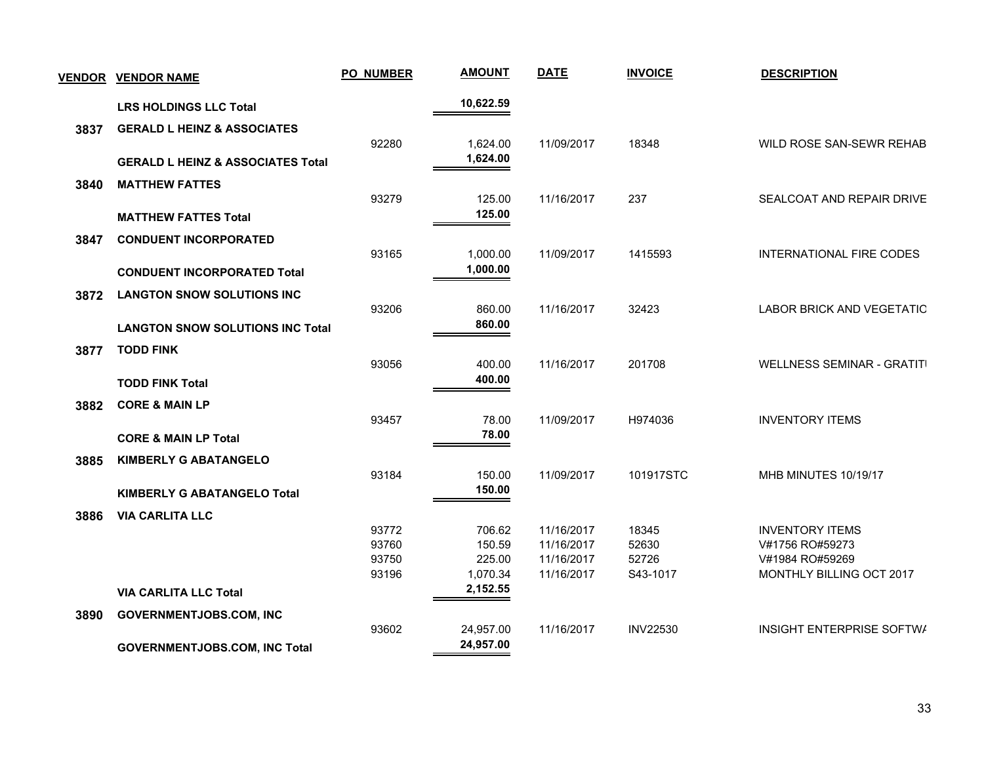| <b>VENDOR</b> | <b>VENDOR NAME</b>                           | <b>PO_NUMBER</b> | <b>AMOUNT</b>        | <b>DATE</b> | <b>INVOICE</b>  | <b>DESCRIPTION</b>                |
|---------------|----------------------------------------------|------------------|----------------------|-------------|-----------------|-----------------------------------|
|               | <b>LRS HOLDINGS LLC Total</b>                |                  | 10,622.59            |             |                 |                                   |
| 3837          | <b>GERALD L HEINZ &amp; ASSOCIATES</b>       |                  |                      |             |                 |                                   |
|               | <b>GERALD L HEINZ &amp; ASSOCIATES Total</b> | 92280            | 1,624.00<br>1,624.00 | 11/09/2017  | 18348           | WILD ROSE SAN-SEWR REHAB          |
| 3840          | <b>MATTHEW FATTES</b>                        |                  |                      |             |                 |                                   |
|               |                                              | 93279            | 125.00               | 11/16/2017  | 237             | SEALCOAT AND REPAIR DRIVE         |
|               | <b>MATTHEW FATTES Total</b>                  |                  | 125.00               |             |                 |                                   |
| 3847          | <b>CONDUENT INCORPORATED</b>                 |                  |                      |             |                 |                                   |
|               |                                              | 93165            | 1,000.00             | 11/09/2017  | 1415593         | <b>INTERNATIONAL FIRE CODES</b>   |
|               | <b>CONDUENT INCORPORATED Total</b>           |                  | 1,000.00             |             |                 |                                   |
| 3872          | <b>LANGTON SNOW SOLUTIONS INC</b>            |                  |                      |             |                 |                                   |
|               |                                              | 93206            | 860.00<br>860.00     | 11/16/2017  | 32423           | LABOR BRICK AND VEGETATIC         |
|               | <b>LANGTON SNOW SOLUTIONS INC Total</b>      |                  |                      |             |                 |                                   |
| 3877          | <b>TODD FINK</b>                             | 93056            |                      | 11/16/2017  | 201708          | <b>WELLNESS SEMINAR - GRATITI</b> |
|               | <b>TODD FINK Total</b>                       |                  | 400.00<br>400.00     |             |                 |                                   |
|               |                                              |                  |                      |             |                 |                                   |
| 3882          | <b>CORE &amp; MAIN LP</b>                    | 93457            | 78.00                | 11/09/2017  | H974036         | <b>INVENTORY ITEMS</b>            |
|               | <b>CORE &amp; MAIN LP Total</b>              |                  | 78.00                |             |                 |                                   |
| 3885          | <b>KIMBERLY G ABATANGELO</b>                 |                  |                      |             |                 |                                   |
|               |                                              | 93184            | 150.00               | 11/09/2017  | 101917STC       | MHB MINUTES 10/19/17              |
|               | <b>KIMBERLY G ABATANGELO Total</b>           |                  | 150.00               |             |                 |                                   |
| 3886          | <b>VIA CARLITA LLC</b>                       |                  |                      |             |                 |                                   |
|               |                                              | 93772            | 706.62               | 11/16/2017  | 18345           | <b>INVENTORY ITEMS</b>            |
|               |                                              | 93760            | 150.59               | 11/16/2017  | 52630           | V#1756 RO#59273                   |
|               |                                              | 93750            | 225.00               | 11/16/2017  | 52726           | V#1984 RO#59269                   |
|               |                                              | 93196            | 1,070.34             | 11/16/2017  | S43-1017        | MONTHLY BILLING OCT 2017          |
|               | <b>VIA CARLITA LLC Total</b>                 |                  | 2,152.55             |             |                 |                                   |
| 3890          | <b>GOVERNMENTJOBS.COM, INC</b>               |                  |                      |             |                 |                                   |
|               |                                              | 93602            | 24,957.00            | 11/16/2017  | <b>INV22530</b> | INSIGHT ENTERPRISE SOFTWA         |
|               | <b>GOVERNMENTJOBS.COM, INC Total</b>         |                  | 24,957.00            |             |                 |                                   |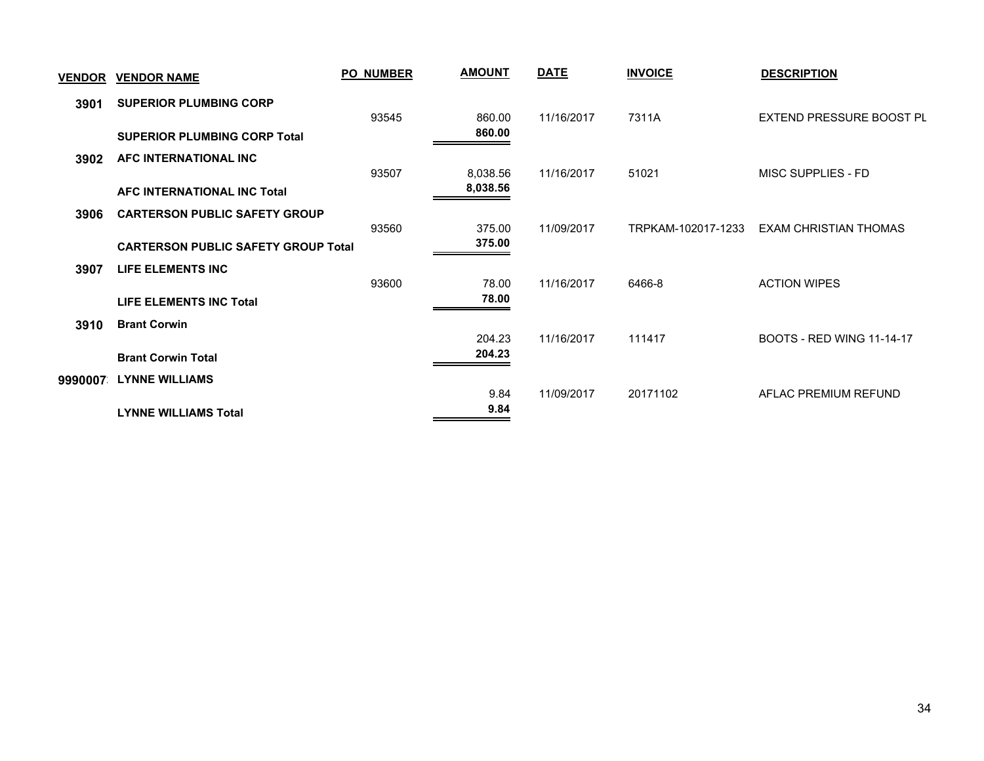| <u>VENDOR</u> | <b>VENDOR NAME</b>                         | <b>PO NUMBER</b> | <b>AMOUNT</b> | <b>DATE</b> | <b>INVOICE</b>     | <b>DESCRIPTION</b>               |
|---------------|--------------------------------------------|------------------|---------------|-------------|--------------------|----------------------------------|
| 3901          | <b>SUPERIOR PLUMBING CORP</b>              | 93545            | 860.00        | 11/16/2017  | 7311A              | EXTEND PRESSURE BOOST PL         |
|               | <b>SUPERIOR PLUMBING CORP Total</b>        |                  | 860.00        |             |                    |                                  |
| 3902          | AFC INTERNATIONAL INC                      | 93507            | 8,038.56      | 11/16/2017  | 51021              | MISC SUPPLIES - FD               |
|               | AFC INTERNATIONAL INC Total                |                  | 8,038.56      |             |                    |                                  |
| 3906          | <b>CARTERSON PUBLIC SAFETY GROUP</b>       | 93560            | 375.00        | 11/09/2017  | TRPKAM-102017-1233 | EXAM CHRISTIAN THOMAS            |
|               | <b>CARTERSON PUBLIC SAFETY GROUP Total</b> |                  | 375.00        |             |                    |                                  |
| 3907          | LIFE ELEMENTS INC                          | 93600            | 78.00         | 11/16/2017  | 6466-8             | <b>ACTION WIPES</b>              |
|               | LIFE ELEMENTS INC Total                    |                  | 78.00         |             |                    |                                  |
| 3910          | <b>Brant Corwin</b>                        |                  | 204.23        | 11/16/2017  | 111417             | <b>BOOTS - RED WING 11-14-17</b> |
|               | <b>Brant Corwin Total</b>                  |                  | 204.23        |             |                    |                                  |
| 9990007       | <b>LYNNE WILLIAMS</b>                      |                  | 9.84          | 11/09/2017  | 20171102           | AFLAC PREMIUM REFUND             |
|               | <b>LYNNE WILLIAMS Total</b>                |                  | 9.84          |             |                    |                                  |